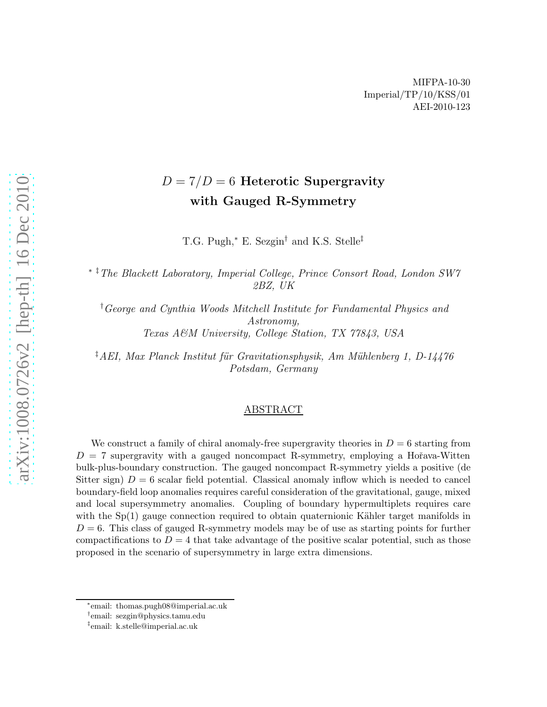# $D = 7/D = 6$  Heterotic Supergravity with Gauged R-Symmetry

T.G. Pugh,<sup>∗</sup> E. Sezgin† and K.S. Stelle‡

∗ ‡The Blackett Laboratory, Imperial College, Prince Consort Road, London SW7 2BZ, UK

†George and Cynthia Woods Mitchell Institute for Fundamental Physics and Astronomy, Texas A&M University, College Station, TX 77843, USA

<sup>‡</sup>AEI, Max Planck Institut für Gravitationsphysik, Am Mühlenberg 1, D-14476 Potsdam, Germany

#### ABSTRACT

We construct a family of chiral anomaly-free supergravity theories in  $D = 6$  starting from  $D = 7$  supergravity with a gauged noncompact R-symmetry, employing a Hořava-Witten bulk-plus-boundary construction. The gauged noncompact R-symmetry yields a positive (de Sitter sign)  $D = 6$  scalar field potential. Classical anomaly inflow which is needed to cancel boundary-field loop anomalies requires careful consideration of the gravitational, gauge, mixed and local supersymmetry anomalies. Coupling of boundary hypermultiplets requires care with the  $Sp(1)$  gauge connection required to obtain quaternionic Kähler target manifolds in  $D = 6$ . This class of gauged R-symmetry models may be of use as starting points for further compactifications to  $D = 4$  that take advantage of the positive scalar potential, such as those proposed in the scenario of supersymmetry in large extra dimensions.

<sup>∗</sup> email: thomas.pugh08@imperial.ac.uk

<sup>†</sup> email: sezgin@physics.tamu.edu

<sup>‡</sup> email: k.stelle@imperial.ac.uk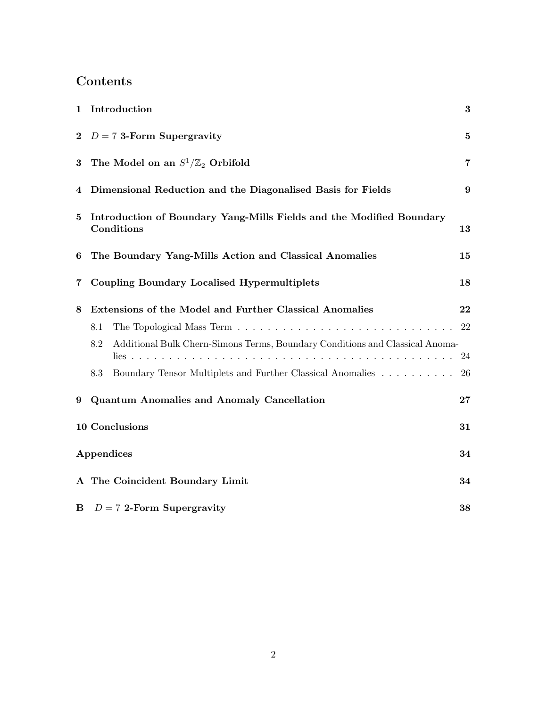# Contents

|          | 1 Introduction                                                                      | 3                |
|----------|-------------------------------------------------------------------------------------|------------------|
|          | 2 $D = 7$ 3-Form Supergravity                                                       | $\bf{5}$         |
| $\bf{3}$ | The Model on an $S^1/\mathbb{Z}_2$ Orbifold                                         | $\overline{7}$   |
| 4        | Dimensional Reduction and the Diagonalised Basis for Fields                         | $\boldsymbol{9}$ |
| $\bf{5}$ | Introduction of Boundary Yang-Mills Fields and the Modified Boundary<br>Conditions  | 13               |
| 6        | The Boundary Yang-Mills Action and Classical Anomalies                              | 15               |
| 7        | <b>Coupling Boundary Localised Hypermultiplets</b>                                  | 18               |
| 8        | Extensions of the Model and Further Classical Anomalies                             | 22               |
|          | 8.1                                                                                 | 22               |
|          | Additional Bulk Chern-Simons Terms, Boundary Conditions and Classical Anoma-<br>8.2 | 24               |
|          | Boundary Tensor Multiplets and Further Classical Anomalies<br>8.3                   | 26               |
| 9        | <b>Quantum Anomalies and Anomaly Cancellation</b>                                   | $27\,$           |
|          | 10 Conclusions                                                                      | 31               |
|          | Appendices                                                                          | 34               |
|          | A The Coincident Boundary Limit                                                     | 34               |
|          | <b>B</b> $D = 7$ 2-Form Supergravity                                                | 38               |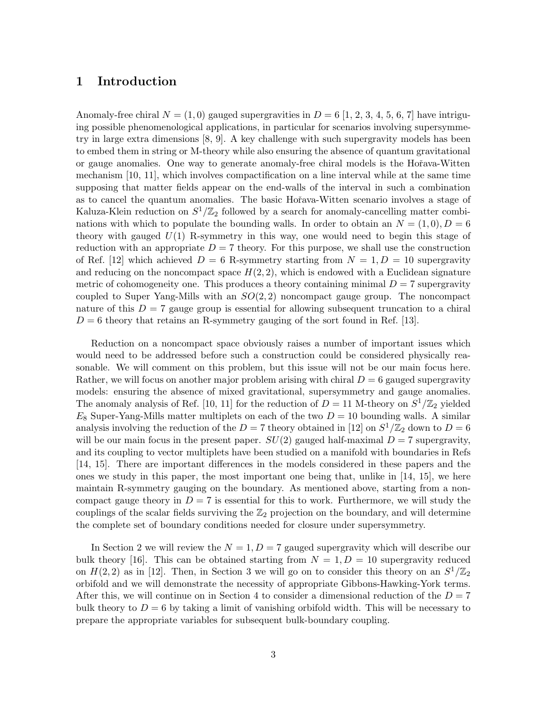## 1 Introduction

Anomaly-free chiral  $N = (1, 0)$  gauged supergravities in  $D = 6$  [1, 2, 3, 4, 5, 6, 7] have intriguing possible phenomenological applications, in particular for scenarios involving supersymmetry in large extra dimensions [8, 9]. A key challenge with such supergravity models has been to embed them in string or M-theory while also ensuring the absence of quantum gravitational or gauge anomalies. One way to generate anomaly-free chiral models is the Hoˇrava-Witten mechanism [10, 11], which involves compactification on a line interval while at the same time supposing that matter fields appear on the end-walls of the interval in such a combination as to cancel the quantum anomalies. The basic Hoˇrava-Witten scenario involves a stage of Kaluza-Klein reduction on  $S^1/\mathbb{Z}_2$  followed by a search for anomaly-cancelling matter combinations with which to populate the bounding walls. In order to obtain an  $N = (1, 0), D = 6$ theory with gauged  $U(1)$  R-symmetry in this way, one would need to begin this stage of reduction with an appropriate  $D = 7$  theory. For this purpose, we shall use the construction of Ref. [12] which achieved  $D = 6$  R-symmetry starting from  $N = 1, D = 10$  supergravity and reducing on the noncompact space  $H(2, 2)$ , which is endowed with a Euclidean signature metric of cohomogeneity one. This produces a theory containing minimal  $D = 7$  supergravity coupled to Super Yang-Mills with an  $SO(2, 2)$  noncompact gauge group. The noncompact nature of this  $D = 7$  gauge group is essential for allowing subsequent truncation to a chiral  $D = 6$  theory that retains an R-symmetry gauging of the sort found in Ref. [13].

Reduction on a noncompact space obviously raises a number of important issues which would need to be addressed before such a construction could be considered physically reasonable. We will comment on this problem, but this issue will not be our main focus here. Rather, we will focus on another major problem arising with chiral  $D = 6$  gauged supergravity models: ensuring the absence of mixed gravitational, supersymmetry and gauge anomalies. The anomaly analysis of Ref. [10, 11] for the reduction of  $D = 11$  M-theory on  $S^1/\mathbb{Z}_2$  yielded  $E_8$  Super-Yang-Mills matter multiplets on each of the two  $D = 10$  bounding walls. A similar analysis involving the reduction of the  $D = 7$  theory obtained in [12] on  $S^1/\mathbb{Z}_2$  down to  $D = 6$ will be our main focus in the present paper.  $SU(2)$  gauged half-maximal  $D = 7$  supergravity, and its coupling to vector multiplets have been studied on a manifold with boundaries in Refs [14, 15]. There are important differences in the models considered in these papers and the ones we study in this paper, the most important one being that, unlike in [14, 15], we here maintain R-symmetry gauging on the boundary. As mentioned above, starting from a noncompact gauge theory in  $D = 7$  is essential for this to work. Furthermore, we will study the couplings of the scalar fields surviving the  $\mathbb{Z}_2$  projection on the boundary, and will determine the complete set of boundary conditions needed for closure under supersymmetry.

In Section 2 we will review the  $N = 1, D = 7$  gauged supergravity which will describe our bulk theory [16]. This can be obtained starting from  $N = 1, D = 10$  supergravity reduced on  $H(2, 2)$  as in [12]. Then, in Section 3 we will go on to consider this theory on an  $S^1/\mathbb{Z}_2$ orbifold and we will demonstrate the necessity of appropriate Gibbons-Hawking-York terms. After this, we will continue on in Section 4 to consider a dimensional reduction of the  $D = 7$ bulk theory to  $D = 6$  by taking a limit of vanishing orbifold width. This will be necessary to prepare the appropriate variables for subsequent bulk-boundary coupling.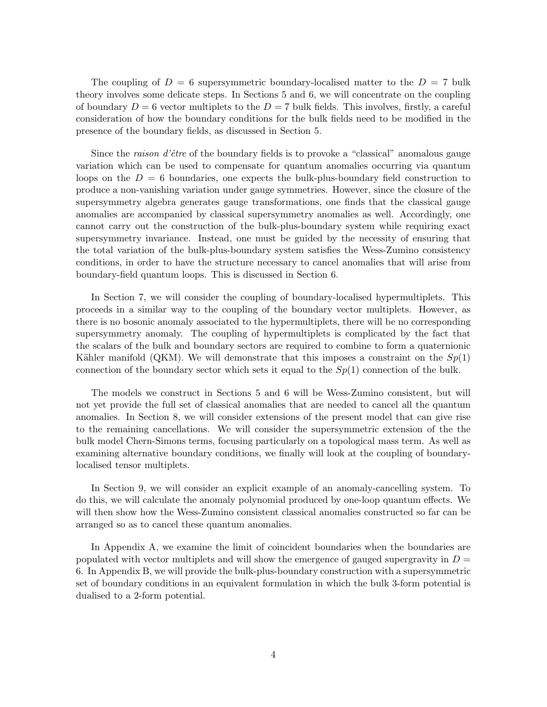The coupling of  $D = 6$  supersymmetric boundary-localised matter to the  $D = 7$  bulk theory involves some delicate steps. In Sections 5 and 6, we will concentrate on the coupling of boundary  $D = 6$  vector multiplets to the  $D = 7$  bulk fields. This involves, firstly, a careful consideration of how the boundary conditions for the bulk fields need to be modified in the presence of the boundary fields, as discussed in Section 5.

Since the *raison d'être* of the boundary fields is to provoke a "classical" anomalous gauge variation which can be used to compensate for quantum anomalies occurring via quantum loops on the  $D = 6$  boundaries, one expects the bulk-plus-boundary field construction to produce a non-vanishing variation under gauge symmetries. However, since the closure of the supersymmetry algebra generates gauge transformations, one finds that the classical gauge anomalies are accompanied by classical supersymmetry anomalies as well. Accordingly, one cannot carry out the construction of the bulk-plus-boundary system while requiring exact supersymmetry invariance. Instead, one must be guided by the necessity of ensuring that the total variation of the bulk-plus-boundary system satisfies the Wess-Zumino consistency conditions, in order to have the structure necessary to cancel anomalies that will arise from boundary-field quantum loops. This is discussed in Section 6.

In Section 7, we will consider the coupling of boundary-localised hypermultiplets. This proceeds in a similar way to the coupling of the boundary vector multiplets. However, as there is no bosonic anomaly associated to the hypermultiplets, there will be no corresponding supersymmetry anomaly. The coupling of hypermultiplets is complicated by the fact that the scalars of the bulk and boundary sectors are required to combine to form a quaternionic Kähler manifold (QKM). We will demonstrate that this imposes a constraint on the  $Sp(1)$ connection of the boundary sector which sets it equal to the  $Sp(1)$  connection of the bulk.

The models we construct in Sections 5 and 6 will be Wess-Zumino consistent, but will not yet provide the full set of classical anomalies that are needed to cancel all the quantum anomalies. In Section 8, we will consider extensions of the present model that can give rise to the remaining cancellations. We will consider the supersymmetric extension of the the bulk model Chern-Simons terms, focusing particularly on a topological mass term. As well as examining alternative boundary conditions, we finally will look at the coupling of boundarylocalised tensor multiplets.

In Section 9, we will consider an explicit example of an anomaly-cancelling system. To do this, we will calculate the anomaly polynomial produced by one-loop quantum effects. We will then show how the Wess-Zumino consistent classical anomalies constructed so far can be arranged so as to cancel these quantum anomalies.

In Appendix A, we examine the limit of coincident boundaries when the boundaries are populated with vector multiplets and will show the emergence of gauged supergravity in  $D =$ 6. In Appendix B, we will provide the bulk-plus-boundary construction with a supersymmetric set of boundary conditions in an equivalent formulation in which the bulk 3-form potential is dualised to a 2-form potential.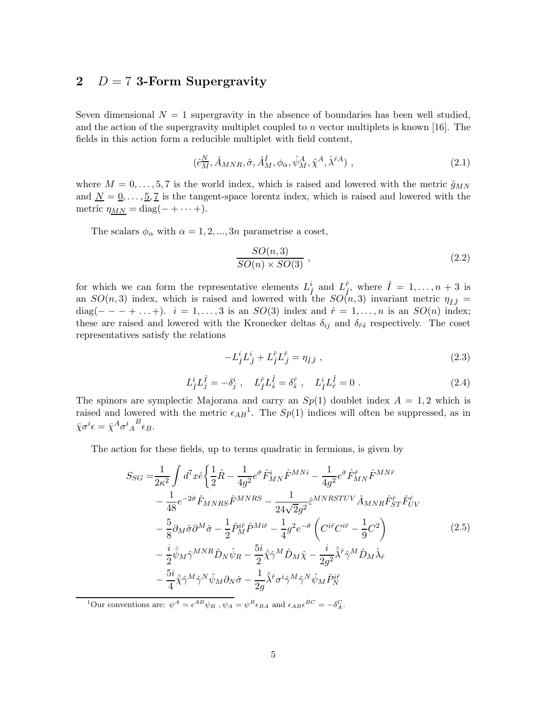## 2  $D = 7$  3-Form Supergravity

Seven dimensional  $N = 1$  supergravity in the absence of boundaries has been well studied, and the action of the supergravity multiplet coupled to  $n$  vector multiplets is known [16]. The fields in this action form a reducible multiplet with field content,

$$
(\hat{e}_{M}^{N}, \hat{A}_{MNR}, \hat{\sigma}, \hat{A}_{M}^{\hat{I}}, \phi_{\alpha}, \hat{\psi}_{M}^{A}, \hat{\chi}^{A}, \hat{\lambda}^{\hat{r}A}), \qquad (2.1)
$$

where  $M = 0, \ldots, 5, 7$  is the world index, which is raised and lowered with the metric  $\hat{g}_{MN}$ and  $N = 0, \ldots, 5, 7$  is the tangent-space lorentz index, which is raised and lowered with the metric  $\eta_{MN} = \text{diag}(- + \cdots +).$ 

The scalars  $\phi_{\alpha}$  with  $\alpha = 1, 2, ..., 3n$  parametrise a coset,

$$
\frac{SO(n,3)}{SO(n)\times SO(3)}
$$
\n<sup>(2.2)</sup>

for which we can form the representative elements  $L_f^i$  and  $L_f^{\hat{r}}$ , where  $\hat{I} = 1, \ldots, n+3$  is an  $SO(n,3)$  index, which is raised and lowered with the  $SO(n,3)$  invariant metric  $\eta_{\hat{I}\hat{I}}=$ diag(- - + ...+).  $i = 1, ..., 3$  is an  $SO(3)$  index and  $\hat{r} = 1, ..., n$  is an  $SO(n)$  index; these are raised and lowered with the Kronecker deltas  $\delta_{ij}$  and  $\delta_{\hat{r}\hat{s}}$  respectively. The coset representatives satisfy the relations

$$
-L_f^i L_j^i + L_f^{\hat{r}} L_J^{\hat{r}} = \eta_{\hat{I}\hat{J}} , \qquad (2.3)
$$

$$
L_f^i L_J^{\hat{I}} = -\delta_j^i \ , \quad L_f^{\hat{r}} L_{\hat{s}}^{\hat{I}} = \delta_{\hat{s}}^{\hat{r}} \ , \quad L_f^i L_{\hat{r}}^{\hat{I}} = 0 \ . \tag{2.4}
$$

The spinors are symplectic Majorana and carry an  $Sp(1)$  doublet index  $A = 1, 2$  which is raised and lowered with the metric  $\epsilon_{AB}$ <sup>1</sup>. The  $Sp(1)$  indices will often be suppressed, as in  $\bar{\chi}\sigma^i\epsilon = \bar{\chi}^A\sigma^i{}_A{}^B\epsilon_B.$ 

The action for these fields, up to terms quadratic in fermions, is given by

$$
S_{SG} = \frac{1}{2\kappa^2} \int d^7x \hat{e} \left\{ \frac{1}{2} \hat{R} - \frac{1}{4g^2} e^{\hat{\sigma}} \hat{F}_{MN}^i \hat{F}^{MNi} - \frac{1}{4g^2} e^{\hat{\sigma}} \hat{F}_{MN}^{\hat{r}} \hat{F}^{MN\hat{r}} - \frac{1}{48} e^{-2\hat{\sigma}} \hat{F}_{MNRS} \hat{F}^{MNRS} - \frac{1}{24\sqrt{2g^2}} \hat{\varepsilon}^{MNRSTUV} \hat{A}_{MNR} \hat{F}_{ST}^{\hat{r}} \hat{F}_{UV}^{\hat{r}}
$$

$$
- \frac{5}{8} \partial_M \hat{\sigma} \partial^M \hat{\sigma} - \frac{1}{2} \hat{P}_M^{i\hat{r}} \hat{P}^{Mi\hat{r}} - \frac{1}{4} g^2 e^{-\hat{\sigma}} \left( C^{i\hat{r}} C^{i\hat{r}} - \frac{1}{9} C^2 \right) - \frac{i}{2} \hat{\psi}_M \hat{\gamma}^{MNR} \hat{D}_N \hat{\psi}_R - \frac{5i}{2} \hat{\chi} \hat{\gamma}^M \hat{D}_M \hat{\chi} - \frac{i}{2g^2} \hat{\lambda}^{\hat{r}} \hat{\gamma}^M \hat{D}_M \hat{\lambda}_{\hat{r}}
$$

$$
- \frac{5i}{4} \hat{\chi} \hat{\gamma}^M \hat{\gamma}^N \hat{\psi}_M \partial_N \hat{\sigma} - \frac{1}{2g} \hat{\lambda}^{\hat{r}} \sigma^i \hat{\gamma}^M \hat{\gamma}^N \hat{\psi}_M \hat{P}_N^{i\hat{r}}
$$
(2.5)

<sup>1</sup>Our conventions are:  $\psi^A = \epsilon^{AB} \psi_B$ ,  $\psi_A = \psi^B \epsilon_{BA}$  and  $\epsilon_{AB} \epsilon^{BC} = -\delta_A^C$ .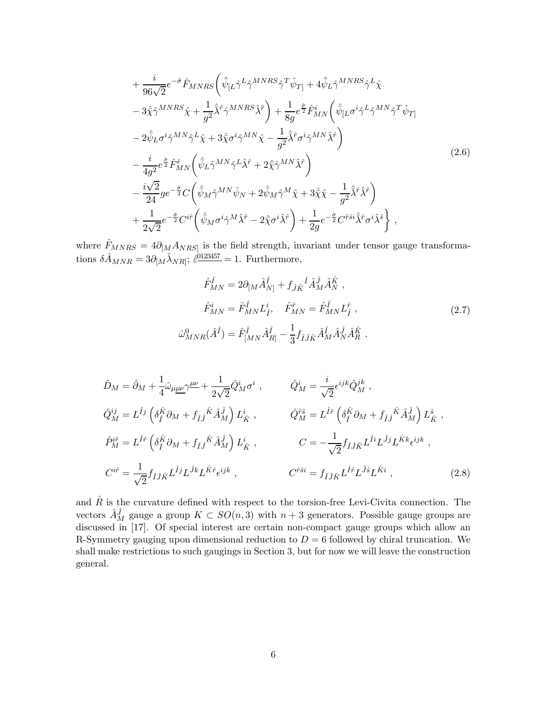$$
+\frac{i}{96\sqrt{2}}e^{-\hat{\sigma}}\hat{F}_{MNRS}\left(\hat{\psi}_{[L}\hat{\gamma}^{L}\hat{\gamma}^{MNRS}\hat{\gamma}^{T}\hat{\psi}_{T]}+4\hat{\psi}_{L}\hat{\gamma}^{MNRS}\hat{\gamma}^{L}\hat{\chi}\right)-\frac{3\hat{\chi}\hat{\gamma}^{MNRS}\hat{\chi}+\frac{1}{g^{2}}\hat{\lambda}^{\hat{r}}\hat{\gamma}^{MNRS}\hat{\chi}^{\hat{r}}\right)+\frac{1}{8g}e^{\frac{\hat{\sigma}}{2}}\hat{F}_{MN}^{i}\left(\hat{\psi}_{[L}\sigma^{i}\hat{\gamma}^{L}\hat{\gamma}^{MN}\hat{\gamma}^{T}\hat{\psi}_{T]}\right)-\frac{2\hat{\psi}_{L}\sigma^{i}\hat{\gamma}^{MN}\hat{\gamma}^{L}\hat{\chi}+3\hat{\chi}\sigma^{i}\hat{\gamma}^{MN}\hat{\chi}-\frac{1}{g^{2}}\hat{\lambda}^{\hat{r}}\sigma^{i}\hat{\gamma}^{MN}\hat{\lambda}^{\hat{r}}\right)-\frac{i}{4g^{2}}e^{\frac{\hat{\sigma}}{2}}\hat{F}_{MN}^{\hat{r}}\left(\hat{\psi}_{L}\hat{\gamma}^{MN}\hat{\gamma}^{L}\hat{\lambda}^{\hat{r}}+2\hat{\chi}\hat{\gamma}^{MN}\hat{\lambda}^{\hat{r}}\right)-\frac{i\sqrt{2}}{24}ge^{-\frac{\hat{\sigma}}{2}}C\left(\hat{\psi}_{M}\hat{\gamma}^{MN}\hat{\psi}_{N}+2\hat{\psi}_{M}\hat{\gamma}^{M}\hat{\chi}+3\hat{\chi}\hat{\chi}-\frac{1}{g^{2}}\hat{\lambda}^{\hat{r}}\hat{\lambda}^{\hat{r}}\right)+\frac{1}{2\sqrt{2}}e^{-\frac{\hat{\sigma}}{2}}C^{i\hat{r}}\left(\hat{\psi}_{M}\sigma^{i}\hat{\gamma}^{M}\hat{\lambda}^{\hat{r}}-2\hat{\chi}\sigma^{i}\hat{\lambda}^{\hat{r}}\right)+\frac{1}{2g}e^{-\frac{\hat{\sigma}}{2}}C^{i\hat{s}i}\hat{\lambda}^{\hat{r}}\sigma^{i}\hat{\lambda}^{\hat{s}}\right},\qquad (2.6)
$$

where  $\hat{F}_{MNRS} = 4\partial_{[M}A_{NRS]}$  is the field strength, invariant under tensor gauge transformations  $\delta \hat{A}_{MNR} = 3 \partial_{[M} \hat{\lambda}_{NR]}$ ;  $\hat{\varepsilon}^{0123457} = 1$ . Furthermore,

$$
\hat{F}_{MN}^{\hat{I}} = 2\partial_{[M}\hat{A}_{N]}^{\hat{I}} + f_{\hat{J}\hat{K}}{}^{\hat{I}}\hat{A}_{M}^{\hat{J}}\hat{A}_{N}^{\hat{K}} ,
$$
\n
$$
\hat{F}_{MN}^{i} = \hat{F}_{MN}^{\hat{I}}L_{\hat{I}}^{i}, \quad \hat{F}_{MN}^{\hat{r}} = \hat{F}_{MN}^{\hat{I}}L_{\hat{I}}^{\hat{r}} ,
$$
\n
$$
\hat{\omega}_{MNR}^{0}(\hat{A}^{\hat{I}}) = \hat{F}_{[MN}^{\hat{I}}\hat{A}_{R]}^{\hat{I}} - \frac{1}{3}f_{\hat{I}\hat{J}\hat{K}}\hat{A}_{M}^{\hat{I}}\hat{A}_{N}^{\hat{J}}\hat{A}_{R}^{\hat{K}} .
$$
\n(2.7)

$$
\hat{D}_{M} = \hat{\partial}_{M} + \frac{1}{4} \hat{\omega}_{\mu \underline{\mu}} \gamma^{\underline{\mu} \underline{\nu}} + \frac{1}{2\sqrt{2}} \hat{Q}_{M}^{i} \sigma^{i} , \qquad \hat{Q}_{M}^{i} = \frac{i}{\sqrt{2}} \epsilon^{ijk} \hat{Q}_{M}^{jk} ,
$$
\n
$$
\hat{Q}_{M}^{ij} = L^{\hat{I}j} \left( \delta_{\hat{I}}^{\hat{K}} \partial_{M} + f_{\hat{I}j}^{\hat{K}} \hat{A}_{M}^{\hat{J}} \right) L_{\hat{K}}^{i} , \qquad \hat{Q}_{M}^{\hat{r}\hat{s}} = L^{\hat{I}\hat{r}} \left( \delta_{\hat{I}}^{\hat{K}} \partial_{M} + f_{\hat{I}j}^{\hat{K}} \hat{A}_{M}^{\hat{J}} \right) L_{\hat{K}}^{\hat{s} } ,
$$
\n
$$
\hat{P}_{M}^{i\hat{r}} = L^{\hat{I}\hat{r}} \left( \delta_{\hat{I}}^{\hat{K}} \partial_{M} + f_{\hat{I}j}^{\hat{K}} \hat{A}_{M}^{\hat{J}} \right) L_{\hat{K}}^{i} , \qquad C = -\frac{1}{\sqrt{2}} f_{\hat{I}j\hat{K}} L^{\hat{I}i} L^{\hat{J}j} L^{\hat{K}k} \epsilon^{ijk} ,
$$
\n
$$
C^{i\hat{r}} = \frac{1}{\sqrt{2}} f_{\hat{I}j\hat{K}} L^{\hat{I}j} L^{\hat{J}k} L^{\hat{K}\hat{r}} \epsilon^{ijk} , \qquad C^{\hat{r}\hat{s}i} = f_{\hat{I}j\hat{K}} L^{\hat{I}\hat{r}} L^{\hat{J}s} L^{\hat{K}i} , \qquad (2.8)
$$

and  $\hat{R}$  is the curvature defined with respect to the torsion-free Levi-Civita connection. The vectors  $\hat{A}_{M}^{\hat{J}}$  gauge a group  $K \subset SO(n, 3)$  with  $n+3$  generators. Possible gauge groups are discussed in [17]. Of special interest are certain non-compact gauge groups which allow an R-Symmetry gauging upon dimensional reduction to  $D = 6$  followed by chiral truncation. We shall make restrictions to such gaugings in Section 3, but for now we will leave the construction general.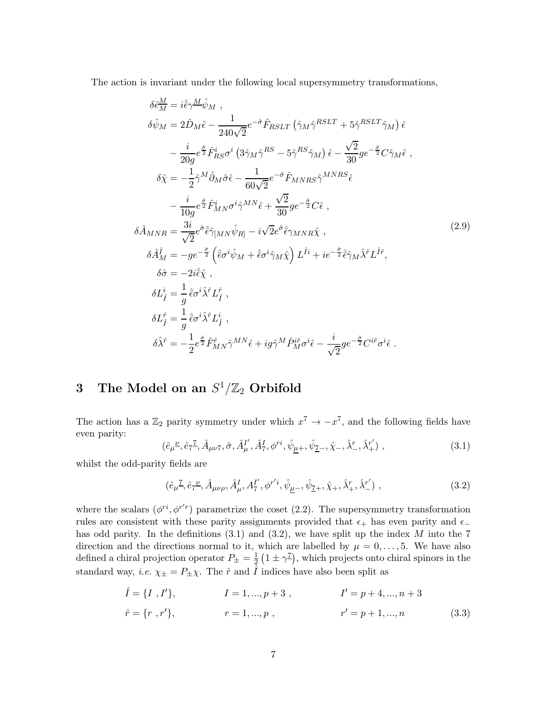The action is invariant under the following local supersymmetry transformations,

$$
\delta \hat{e}_{M}^{\underline{M}} = i \hat{\epsilon} \gamma^{\underline{M}} \hat{\psi}_{M} ,
$$
  
\n
$$
\delta \hat{\psi}_{M} = 2 \hat{D}_{M} \hat{\epsilon} - \frac{1}{240\sqrt{2}} e^{-\hat{\sigma}} \hat{F}_{RSLT} \left( \hat{\gamma}_{M} \hat{\gamma}^{RSLT} + 5 \hat{\gamma}^{RSLT} \hat{\gamma}_{M} \right) \hat{\epsilon} \n- \frac{i}{20g} e^{\frac{\hat{\sigma}}{2}} \hat{F}_{RS}^{i} \sigma^{i} \left( 3 \hat{\gamma}_{M} \hat{\gamma}^{RS} - 5 \hat{\gamma}^{RS} \hat{\gamma}_{M} \right) \hat{\epsilon} - \frac{\sqrt{2}}{30} g e^{-\frac{\hat{\sigma}}{2}} C \hat{\gamma}_{M} \hat{\epsilon} ,
$$
  
\n
$$
\delta \hat{\chi} = -\frac{1}{2} \hat{\gamma}^{M} \hat{\partial}_{M} \hat{\sigma} \hat{\epsilon} - \frac{1}{60\sqrt{2}} e^{-\hat{\sigma}} \hat{F}_{MNRS} \hat{\gamma}^{MNRS} \hat{\epsilon} \n- \frac{i}{10g} e^{\frac{\hat{\sigma}}{2}} \hat{F}_{MN}^{i} \sigma^{i} \hat{\gamma}^{MN} \hat{\epsilon} + \frac{\sqrt{2}}{30} g e^{-\frac{\hat{\sigma}}{2}} C \hat{\epsilon} ,
$$
  
\n
$$
\delta \hat{A}_{MNR} = \frac{3i}{\sqrt{2}} e^{\hat{\sigma}} \hat{\epsilon} \hat{\gamma}_{[MN} \hat{\psi}_{R]} - i \sqrt{2} e^{\hat{\sigma}} \hat{\epsilon}_{\gamma_{MNR}} \hat{\chi} ,
$$
  
\n
$$
\delta \hat{A}_{M}^{f} = -g e^{-\frac{\hat{\sigma}}{2}} \left( \hat{\epsilon} \sigma^{i} \hat{\psi}_{M} + \hat{\epsilon} \sigma^{i} \hat{\gamma}_{M} \hat{\chi} \right) L^{\hat{I}i} + i e^{-\frac{\hat{\sigma}}{2}} \hat{\epsilon} \hat{\gamma}_{M} \hat{\lambda}^{\hat{\tau}} L^{\hat{I}f} ,
$$
  
\n
$$
\delta \hat{L}_{\hat{I}}^{i} = \frac{1}{g} \hat{\epsilon} \sigma^{i} \hat{\lambda}^{\hat{\tau}} L_{\hat{I}}^{i} ,
$$
  
\n

# 3 The Model on an  $S^1/\mathbb{Z}_2$  Orbifold

The action has a  $\mathbb{Z}_2$  parity symmetry under which  $x^7 \to -x^7$ , and the following fields have even parity:

$$
(\hat{e}_{\mu}^{\nu}, \hat{e}_{7}^{\tau}, \hat{A}_{\mu\nu 7}, \hat{\sigma}, \hat{A}_{\mu}^{I'}, \hat{A}_{7}^{I}, \phi^{ri}, \hat{\psi}_{\mu+}, \hat{\psi}_{\mu-}, \hat{\chi}_{-}, \hat{\chi}_{-}, \hat{\lambda}_{+}^{r'}) , \qquad (3.1)
$$

whilst the odd-parity fields are

$$
(\hat{e}_{\mu}{}^{\mathcal{I}}, \hat{e}_{7}{}^{\mu}, \hat{A}_{\mu\nu\rho}, \hat{A}_{\mu}^{I}, A_{7}^{I'}, \phi^{r'i}, \hat{\psi}_{\mu^{-}}, \hat{\psi}_{\mathcal{I}^{+}}, \hat{\chi}_{+}, \hat{\lambda}_{+}^{r}, \hat{\lambda}_{-}^{r'}) , \qquad (3.2)
$$

where the scalars  $(\phi^{ri}, \phi^{r'r})$  parametrize the coset (2.2). The supersymmetry transformation rules are consistent with these parity assignments provided that  $\epsilon_+$  has even parity and  $\epsilon_$ has odd parity. In the definitions  $(3.1)$  and  $(3.2)$ , we have split up the index M into the 7 direction and the directions normal to it, which are labelled by  $\mu = 0, \ldots, 5$ . We have also defined a chiral projection operator  $P_{\pm} = \frac{1}{2}$  $\frac{1}{2}(1 \pm \gamma^{\frac{7}{2}})$ , which projects onto chiral spinors in the standard way, *i.e.*  $\chi_{\pm} = P_{\pm} \chi$ . The  $\hat{r}$  and  $\hat{I}$  indices have also been split as

$$
\hat{I} = \{I, I'\}, \qquad I = 1, ..., p + 3, \qquad I' = p + 4, ..., n + 3
$$
\n
$$
\hat{r} = \{r, r'\}, \qquad r = 1, ..., p, \qquad r' = p + 1, ..., n \qquad (3.3)
$$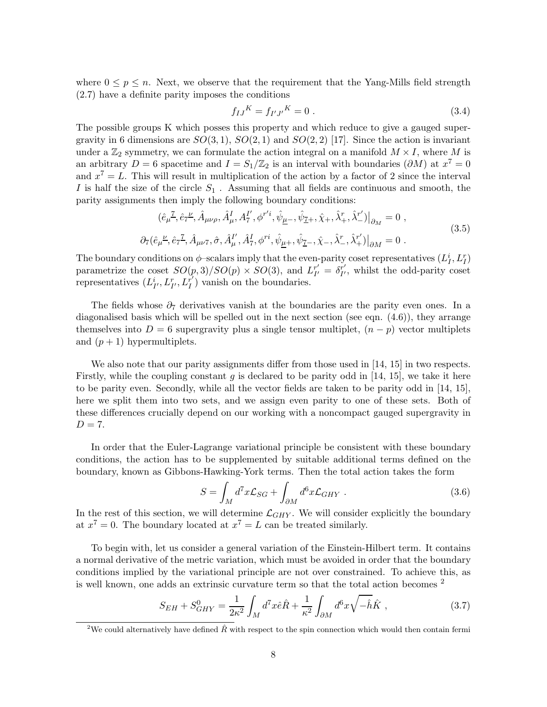where  $0 \leq p \leq n$ . Next, we observe that the requirement that the Yang-Mills field strength (2.7) have a definite parity imposes the conditions

$$
f_{IJ}{}^K = f_{I'J'}{}^K = 0 \tag{3.4}
$$

The possible groups K which posses this property and which reduce to give a gauged supergravity in 6 dimensions are  $SO(3,1), SO(2,1)$  and  $SO(2,2)$  [17]. Since the action is invariant under a  $\mathbb{Z}_2$  symmetry, we can formulate the action integral on a manifold  $M \times I$ , where M is an arbitrary  $D = 6$  spacetime and  $I = S_1/\mathbb{Z}_2$  is an interval with boundaries  $(\partial M)$  at  $x^7 = 0$ and  $x^7 = L$ . This will result in multiplication of the action by a factor of 2 since the interval I is half the size of the circle  $S_1$ . Assuming that all fields are continuous and smooth, the parity assignments then imply the following boundary conditions:

$$
(\hat{e}_{\mu}^{\mathcal{I}}, \hat{e}_{7}^{\mu}, \hat{A}_{\mu\nu\rho}, \hat{A}_{\mu}^{I}, A_{7}^{I'}, \phi^{r'i}, \hat{\psi}_{\mu^{-}}, \hat{\psi}_{\tilde{Z}^{+}}, \hat{\chi}_{+}, \hat{\lambda}_{+}^{r}, \hat{\lambda}_{-}^{r'})|_{\partial_{M}} = 0 ,
$$
  

$$
\partial_{7}(\hat{e}_{\mu}^{\mu}, \hat{e}_{7}^{\mathcal{I}}, \hat{A}_{\mu\nu 7}, \hat{\sigma}, \hat{A}_{\mu}^{I'}, \hat{A}_{7}^{I}, \phi^{ri}, \hat{\psi}_{\underline{\mu}^{+}}, \hat{\psi}_{\tilde{Z}^{-}}, \hat{\chi}_{-}, \hat{\lambda}_{-}^{r}, \hat{\lambda}_{+}^{r'})|_{\partial M} = 0 .
$$
\n(3.5)

The boundary conditions on  $\phi$ -scalars imply that the even-parity coset representatives  $(L_I^i, L_I^r)$ parametrize the coset  $SO(p, 3)/SO(p) \times SO(3)$ , and  $L_{I'}^{r'}$  $I_I^{r'} = \delta_{I'}^{r'}$  $I'_{I'}$ , whilst the odd-parity coset representatives  $(L_{I'}^i, L_{I'}^r, L_I^{r'})$  $I_I^r$ ) vanish on the boundaries.

The fields whose  $\partial_7$  derivatives vanish at the boundaries are the parity even ones. In a diagonalised basis which will be spelled out in the next section (see eqn. (4.6)), they arrange themselves into  $D = 6$  supergravity plus a single tensor multiplet,  $(n - p)$  vector multiplets and  $(p+1)$  hypermultiplets.

We also note that our parity assignments differ from those used in [14, 15] in two respects. Firstly, while the coupling constant g is declared to be parity odd in  $[14, 15]$ , we take it here to be parity even. Secondly, while all the vector fields are taken to be parity odd in [14, 15], here we split them into two sets, and we assign even parity to one of these sets. Both of these differences crucially depend on our working with a noncompact gauged supergravity in  $D = 7.$ 

In order that the Euler-Lagrange variational principle be consistent with these boundary conditions, the action has to be supplemented by suitable additional terms defined on the boundary, known as Gibbons-Hawking-York terms. Then the total action takes the form

$$
S = \int_M d^7x \mathcal{L}_{SG} + \int_{\partial M} d^6x \mathcal{L}_{GHY} . \qquad (3.6)
$$

In the rest of this section, we will determine  $\mathcal{L}_{GHY}$ . We will consider explicitly the boundary at  $x^7 = 0$ . The boundary located at  $x^7 = L$  can be treated similarly.

To begin with, let us consider a general variation of the Einstein-Hilbert term. It contains a normal derivative of the metric variation, which must be avoided in order that the boundary conditions implied by the variational principle are not over constrained. To achieve this, as is well known, one adds an extrinsic curvature term so that the total action becomes <sup>2</sup>

$$
S_{EH} + S_{GHY}^0 = \frac{1}{2\kappa^2} \int_M d^7x \hat{e}\hat{R} + \frac{1}{\kappa^2} \int_{\partial M} d^6x \sqrt{-\hat{h}}\hat{K} , \qquad (3.7)
$$

<sup>&</sup>lt;sup>2</sup>We could alternatively have defined  $\hat{R}$  with respect to the spin connection which would then contain fermi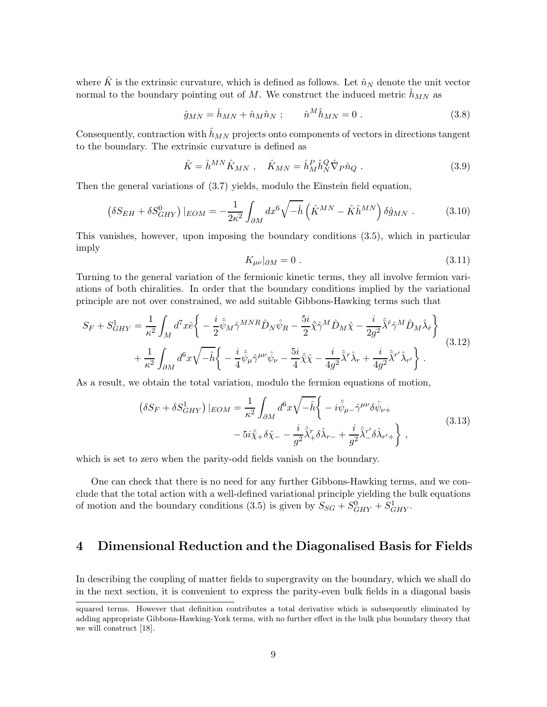where  $\hat{K}$  is the extrinsic curvature, which is defined as follows. Let  $\hat{n}_N$  denote the unit vector normal to the boundary pointing out of M. We construct the induced metric  $\hat{h}_{MN}$  as

$$
\hat{g}_{MN} = \hat{h}_{MN} + \hat{n}_M \hat{n}_N ; \qquad \hat{n}^M \hat{h}_{MN} = 0 . \qquad (3.8)
$$

Consequently, contraction with  $\hat{h}_{MN}$  projects onto components of vectors in directions tangent to the boundary. The extrinsic curvature is defined as

$$
\hat{K} = \hat{h}^{MN}\hat{K}_{MN} , \quad \hat{K}_{MN} = \hat{h}^P_M \hat{h}^Q_N \hat{\nabla}_P \hat{n}_Q . \tag{3.9}
$$

Then the general variations of (3.7) yields, modulo the Einstein field equation,

$$
\left(\delta S_{EH} + \delta S_{GHY}^0\right)|_{EOM} = -\frac{1}{2\kappa^2} \int_{\partial M} dx^6 \sqrt{-\hat{h}} \left(\hat{K}^{MN} - \hat{K}\hat{h}^{MN}\right) \delta \hat{g}_{MN} . \tag{3.10}
$$

This vanishes, however, upon imposing the boundary conditions (3.5), which in particular imply

$$
K_{\mu\nu}|_{\partial M} = 0. \tag{3.11}
$$

Turning to the general variation of the fermionic kinetic terms, they all involve fermion variations of both chiralities. In order that the boundary conditions implied by the variational principle are not over constrained, we add suitable Gibbons-Hawking terms such that

$$
S_F + S_{GHY}^1 = \frac{1}{\kappa^2} \int_M d^7x \hat{e} \left\{ -\frac{i}{2} \hat{\bar{\psi}}_M \hat{\gamma}^{MNR} \hat{D}_N \hat{\psi}_R - \frac{5i}{2} \hat{\bar{\chi}} \hat{\gamma}^M \hat{D}_M \hat{\chi} - \frac{i}{2g^2} \hat{\bar{\lambda}}^{\hat{\tau}} \hat{\gamma}^M \hat{D}_M \hat{\lambda}_{\hat{r}} \right\} + \frac{1}{\kappa^2} \int_{\partial M} d^6x \sqrt{-\hat{h}} \left\{ -\frac{i}{4} \hat{\bar{\psi}}_\mu \hat{\gamma}^{\mu\nu} \hat{\psi}_\nu - \frac{5i}{4} \hat{\bar{\chi}} \hat{\chi} - \frac{i}{4g^2} \hat{\bar{\chi}}^{\tau} \hat{\lambda}_{r} + \frac{i}{4g^2} \hat{\bar{\lambda}}^{r'} \hat{\lambda}_{r'} \right\}.
$$
(3.12)

As a result, we obtain the total variation, modulo the fermion equations of motion,

$$
\left(\delta S_F + \delta S_{GHY}^1\right)|EOM = \frac{1}{\kappa^2} \int_{\partial M} d^6 x \sqrt{-\hat{h}} \left\{-i\hat{\bar{\psi}}_{\mu-} \hat{\gamma}^{\mu\nu} \delta \hat{\psi}_{\nu+}\right.\n-5i\hat{\bar{\chi}}_{+} \delta \hat{\chi}_{-} - \frac{i}{g^2} \hat{\bar{\chi}}_{+}^r \delta \hat{\lambda}_{r-} + \frac{i}{g^2} \hat{\bar{\chi}}_{-}^r \delta \hat{\lambda}_{r'+}\right\},
$$
\n(3.13)

which is set to zero when the parity-odd fields vanish on the boundary.

One can check that there is no need for any further Gibbons-Hawking terms, and we conclude that the total action with a well-defined variational principle yielding the bulk equations of motion and the boundary conditions (3.5) is given by  $S_{SG} + S_{GHY}^0 + S_{GHY}^1$ .

## 4 Dimensional Reduction and the Diagonalised Basis for Fields

In describing the coupling of matter fields to supergravity on the boundary, which we shall do in the next section, it is convenient to express the parity-even bulk fields in a diagonal basis

squared terms. However that definition contributes a total derivative which is subsequently eliminated by adding appropriate Gibbons-Hawking-York terms, with no further effect in the bulk plus boundary theory that we will construct [18].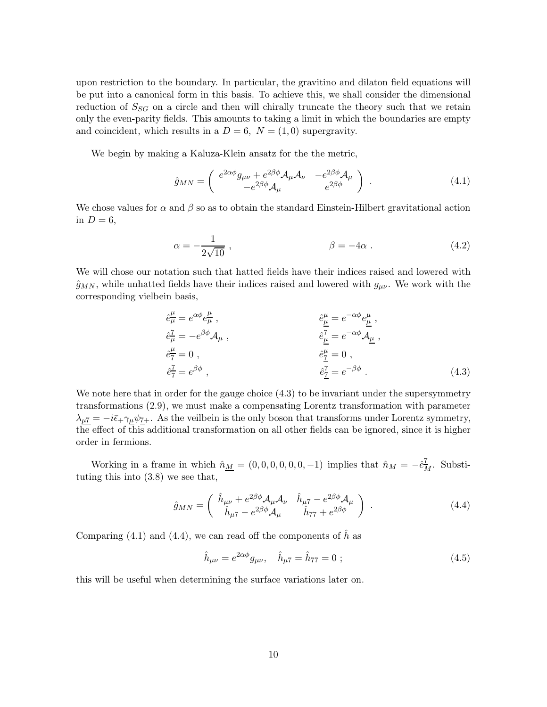upon restriction to the boundary. In particular, the gravitino and dilaton field equations will be put into a canonical form in this basis. To achieve this, we shall consider the dimensional reduction of  $S_{SG}$  on a circle and then will chirally truncate the theory such that we retain only the even-parity fields. This amounts to taking a limit in which the boundaries are empty and coincident, which results in a  $D = 6$ ,  $N = (1, 0)$  supergravity.

We begin by making a Kaluza-Klein ansatz for the the metric,

$$
\hat{g}_{MN} = \begin{pmatrix} e^{2\alpha\phi} g_{\mu\nu} + e^{2\beta\phi} \mathcal{A}_{\mu} \mathcal{A}_{\nu} & -e^{2\beta\phi} \mathcal{A}_{\mu} \\ -e^{2\beta\phi} \mathcal{A}_{\mu} & e^{2\beta\phi} \end{pmatrix} . \tag{4.1}
$$

We chose values for  $\alpha$  and  $\beta$  so as to obtain the standard Einstein-Hilbert gravitational action in  $D=6$ ,

$$
\alpha = -\frac{1}{2\sqrt{10}} \,, \qquad \beta = -4\alpha \,. \tag{4.2}
$$

We will chose our notation such that hatted fields have their indices raised and lowered with  $\hat{g}_{MN}$ , while unhatted fields have their indices raised and lowered with  $g_{\mu\nu}$ . We work with the corresponding vielbein basis,

$$
\hat{e}^{\mu}_{\mu} = e^{\alpha \phi} e^{\mu}_{\mu} , \n\hat{e}^{\tau}_{\mu} = -e^{\beta \phi} \mathcal{A}_{\mu} , \n\hat{e}^{\tau}_{\tau} = 0 , \n\hat{e}^{\tau}_{\tau} = e^{\beta \phi} , \n\hat{e}^{\tau}_{\tau} = e^{\beta \phi} ,
$$
\n(4.3)

We note here that in order for the gauge choice  $(4.3)$  to be invariant under the supersymmetry transformations (2.9), we must make a compensating Lorentz transformation with parameter  $\lambda_{\mu} \overline{\tau} = -i \overline{\epsilon}_+ \gamma_{\mu} \psi_{7+}$ . As the veilbein is the only boson that transforms under Lorentz symmetry, the effect of this additional transformation on all other fields can be ignored, since it is higher order in fermions.

Working in a frame in which  $\hat{n}_{\underline{M}} = (0, 0, 0, 0, 0, 0, -1)$  implies that  $\hat{n}_{\underline{M}} = -\hat{e}_{\underline{M}}^{\underline{7}}$ . Substituting this into (3.8) we see that,

$$
\hat{g}_{MN} = \begin{pmatrix} \hat{h}_{\mu\nu} + e^{2\beta\phi} \mathcal{A}_{\mu} \mathcal{A}_{\nu} & \hat{h}_{\mu 7} - e^{2\beta\phi} \mathcal{A}_{\mu} \\ \hat{h}_{\mu 7} - e^{2\beta\phi} \mathcal{A}_{\mu} & \hat{h}_{77} + e^{2\beta\phi} \end{pmatrix} . \tag{4.4}
$$

Comparing (4.1) and (4.4), we can read off the components of  $\hat{h}$  as

$$
\hat{h}_{\mu\nu} = e^{2\alpha\phi} g_{\mu\nu}, \quad \hat{h}_{\mu\tau} = \hat{h}_{77} = 0 \; ; \tag{4.5}
$$

this will be useful when determining the surface variations later on.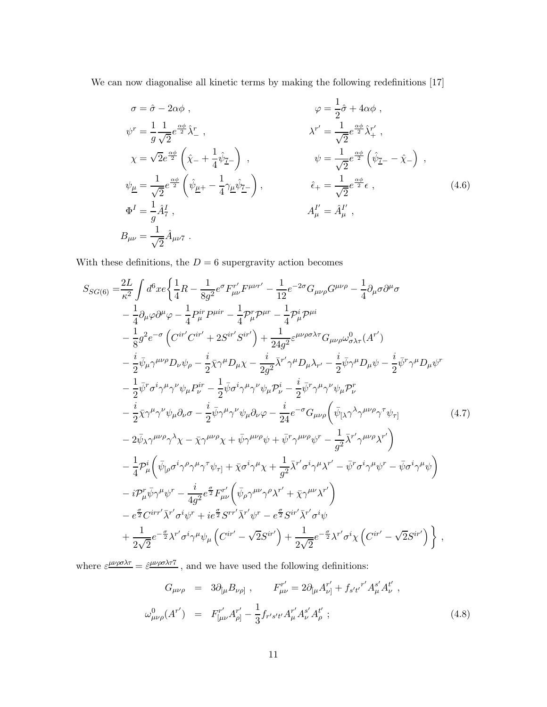We can now diagonalise all kinetic terms by making the following redefinitions [17]

$$
\sigma = \hat{\sigma} - 2\alpha\phi , \qquad \varphi = \frac{1}{2}\hat{\sigma} + 4\alpha\phi ,
$$
  
\n
$$
\psi^r = \frac{1}{g}\frac{1}{\sqrt{2}}e^{\frac{\alpha\phi}{2}}\hat{\lambda}^r , \qquad \lambda^{r'} = \frac{1}{\sqrt{2}}e^{\frac{\alpha\phi}{2}}\hat{\lambda}^{r'}_+ ,
$$
  
\n
$$
\chi = \sqrt{2}e^{\frac{\alpha\phi}{2}}\left(\hat{\chi}_- + \frac{1}{4}\hat{\psi}_{\mathcal{I}-}\right) , \qquad \psi = \frac{1}{\sqrt{2}}e^{\frac{\alpha\phi}{2}}\left(\hat{\psi}_{\mathcal{I}-} - \hat{\chi}_-\right) ,
$$
  
\n
$$
\psi_{\underline{\mu}} = \frac{1}{\sqrt{2}}e^{\frac{\alpha\phi}{2}}\left(\hat{\psi}_{\underline{\mu}+} - \frac{1}{4}\gamma_{\underline{\mu}}\hat{\psi}_{\mathcal{I}-}\right) , \qquad \hat{\epsilon}_{+} = \frac{1}{\sqrt{2}}e^{\frac{\alpha\phi}{2}}\epsilon ,
$$
  
\n
$$
\Phi^I = \frac{1}{g}\hat{A}^I_\tau , \qquad A^I_\mu = \hat{A}^{I'}_\mu ,
$$
  
\n
$$
B_{\mu\nu} = \frac{1}{\sqrt{2}}\hat{A}_{\mu\nu\tau} .
$$
  
\n(4.6)

With these definitions, the  $D=6$  supergravity action becomes

$$
S_{SG(6)} = \frac{2L}{\kappa^2} \int d^6x e \left\{ \frac{1}{4}R - \frac{1}{8g^2} e^{\sigma} F^{\prime\prime}_{\mu\nu} F^{\mu\nu\tau'} - \frac{1}{12} e^{-2\sigma} G_{\mu\nu\rho} G^{\mu\nu\rho} - \frac{1}{4} \partial_{\mu} \sigma \partial^{\mu} \sigma \right.\n- \frac{1}{4} \partial_{\mu} \varphi \partial^{\mu} \varphi - \frac{1}{4} P^{\text{ir}}_{\mu} P^{\mu\text{ir}} - \frac{1}{4} P^{\text{ir}}_{\mu} P^{\mu\text{ir}} \right.\n- \frac{1}{8} g^2 e^{-\sigma} \left( C^{\text{ir}'} C^{\text{ir}'} + 2 S^{\text{ir}'} S^{\text{ir}'} \right) + \frac{1}{24g^2} \varepsilon^{\mu\nu\rho\sigma\lambda\tau} G_{\mu\nu\rho\omega} \partial_{\lambda\tau} (A^{\tau'}) \n- \frac{i}{2} \bar{\psi}_{\mu} \gamma^{\mu\nu\rho} D_{\nu} \psi_{\rho} - \frac{i}{2} \bar{\chi} \gamma^{\mu} D_{\mu} \chi - \frac{i}{2g^2} \bar{\chi}^{\prime\prime} \gamma^{\mu} D_{\mu} \lambda_{\tau'} - \frac{i}{2} \bar{\psi} \gamma^{\mu} D_{\mu} \psi - \frac{i}{2} \bar{\psi}^{\tau} \gamma^{\mu} D_{\mu} \psi^{\tau} \n- \frac{1}{2} \bar{\psi}^{\tau} \sigma^i \gamma^{\mu} \gamma^{\nu} \psi_{\mu} P^{\text{ir}}_{\nu} - \frac{1}{2} \bar{\psi} \sigma^i \gamma^{\mu} \gamma^{\nu} \psi_{\mu} P^{\text{ir}}_{\nu} - \frac{i}{2} \bar{\psi}^{\tau} \gamma^{\mu} \gamma^{\nu} \psi_{\mu} P^{\text{r}}_{\nu} \n- \frac{i}{2} \bar{\chi} \gamma^{\mu} \gamma^{\nu} \psi_{\mu} \partial_{\nu} \sigma - \frac{i}{2} \bar{\psi} \gamma^{\mu} \gamma^{\nu} \psi_{\mu} \partial_{\nu} \varphi - \frac{i}{24} e^{-\sigma} G_{\mu\nu\rho} \left( \bar{\psi}_{\mu} \
$$

where  $\varepsilon^{\mu\nu\rho\sigma\lambda\tau} = \hat{\varepsilon}^{\mu\nu\rho\sigma\lambda\tau\tau}$ , and we have used the following definitions:

$$
G_{\mu\nu\rho} = 3\partial_{[\mu}B_{\nu\rho]}, \qquad F_{\mu\nu}^{r'} = 2\partial_{[\mu}A_{\nu]}^{r'} + f_{s't'}{}^{r'}A_{\mu}^{s'}A_{\nu}^{t'},
$$
  

$$
\omega_{\mu\nu\rho}^{0}(A^{r'}) = F_{[\mu\nu}^{r'}A_{\rho]}^{r'} - \frac{1}{3}f_{r's't'}A_{\mu}^{r'}A_{\nu}^{s'}A_{\rho}^{t'};
$$
 (4.8)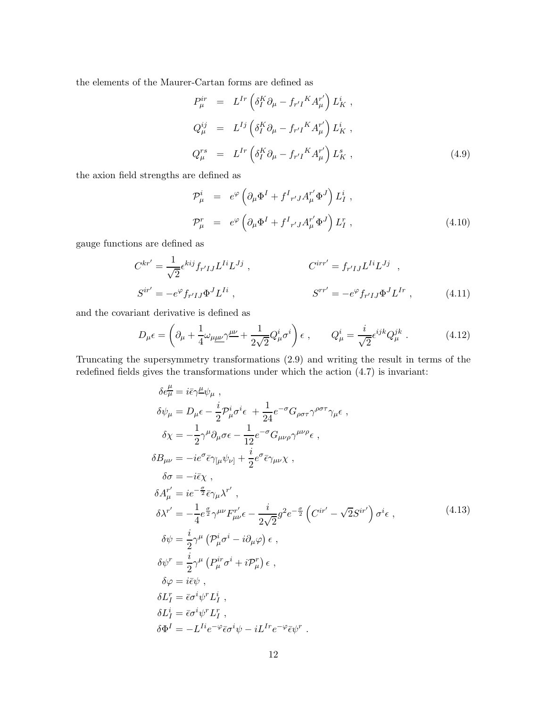the elements of the Maurer-Cartan forms are defined as

$$
P_{\mu}^{ir} = L^{Ir} \left( \delta_I^K \partial_{\mu} - f_{r'I}^{\ \ K} A_{\mu}^{r'} \right) L_K^i ,
$$
  
\n
$$
Q_{\mu}^{ij} = L^{Ij} \left( \delta_I^K \partial_{\mu} - f_{r'I}^{\ \ K} A_{\mu}^{r'} \right) L_K^i ,
$$
  
\n
$$
Q_{\mu}^{rs} = L^{Ir} \left( \delta_I^K \partial_{\mu} - f_{r'I}^{\ \ K} A_{\mu}^{r'} \right) L_K^s ,
$$
\n(4.9)

the axion field strengths are defined as

$$
\mathcal{P}^i_\mu = e^{\varphi} \left( \partial_\mu \Phi^I + f^I{}_{r'J} A^r_\mu \Phi^J \right) L^i_I ,
$$
\n
$$
\mathcal{P}^r_\mu = e^{\varphi} \left( \partial_\mu \Phi^I + f^I{}_{r'J} A^r_\mu \Phi^J \right) L^r_I , \qquad (4.10)
$$

gauge functions are defined as

$$
C^{kr'} = \frac{1}{\sqrt{2}} \epsilon^{kij} f_{r'IJ} L^{Ii} L^{Jj} , \qquad C^{irr'} = f_{r'IJ} L^{Ii} L^{Jj} ,
$$
  
\n
$$
S^{ir'} = -e^{\varphi} f_{r'IJ} \Phi^{J} L^{Ii} , \qquad S^{rr'} = -e^{\varphi} f_{r'IJ} \Phi^{J} L^{Ir} , \qquad (4.11)
$$

and the covariant derivative is defined as

 $\mathbf{r}$ 

$$
D_{\mu}\epsilon = \left(\partial_{\mu} + \frac{1}{4}\omega_{\mu\underline{\mu}\nu}\gamma^{\underline{\mu}\nu} + \frac{1}{2\sqrt{2}}Q_{\mu}^{i}\sigma^{i}\right)\epsilon\ ,\qquad Q_{\mu}^{i} = \frac{i}{\sqrt{2}}\epsilon^{ijk}Q_{\mu}^{jk}\ .\tag{4.12}
$$

Truncating the supersymmetry transformations (2.9) and writing the result in terms of the redefined fields gives the transformations under which the action (4.7) is invariant:

$$
\delta e^{\mu}_{\mu} = i\bar{\epsilon}\gamma^{\mu}\psi_{\mu} ,
$$
  
\n
$$
\delta\psi_{\mu} = D_{\mu}\epsilon - \frac{i}{2}\mathcal{P}^{i}_{\mu}\sigma^{i}\epsilon + \frac{1}{24}e^{-\sigma}G_{\rho\sigma\tau}\gamma^{\rho\sigma\tau}\gamma_{\mu}\epsilon ,
$$
  
\n
$$
\delta\chi = -\frac{1}{2}\gamma^{\mu}\partial_{\mu}\sigma\epsilon - \frac{1}{12}e^{-\sigma}G_{\mu\nu\rho}\gamma^{\mu\nu\rho}\epsilon ,
$$
  
\n
$$
\delta B_{\mu\nu} = -ie^{\sigma}\bar{\epsilon}\gamma_{\mu}\psi_{\nu} + \frac{i}{2}e^{\sigma}\bar{\epsilon}\gamma_{\mu\nu}\chi ,
$$
  
\n
$$
\delta\sigma = -i\bar{\epsilon}\chi ,
$$
  
\n
$$
\delta A^{\prime \prime}_{\mu} = ie^{-\frac{\sigma}{2}}\bar{\epsilon}\gamma_{\mu}\lambda^{\tau'},
$$
  
\n
$$
\delta\lambda^{\tau'} = -\frac{1}{4}e^{\frac{\sigma}{2}}\gamma^{\mu\nu}F^{\nu}_{\mu\nu}\epsilon - \frac{i}{2\sqrt{2}}g^{2}e^{-\frac{\sigma}{2}}\left(C^{ir'} - \sqrt{2}S^{ir'}\right)\sigma^{i}\epsilon ,
$$
  
\n
$$
\delta\psi = \frac{i}{2}\gamma^{\mu}\left(\mathcal{P}^{i}_{\mu}\sigma^{i} - i\partial_{\mu}\varphi\right)\epsilon ,
$$
  
\n
$$
\delta\psi^{\tau} = \frac{i}{2}\gamma^{\mu}\left(P^{ir}_{\mu}\sigma^{i} + i\mathcal{P}^{r}_{\mu}\right)\epsilon ,
$$
  
\n
$$
\delta\varphi = i\bar{\epsilon}\psi ,
$$
  
\n
$$
\delta L^{i}_{I} = \bar{\epsilon}\sigma^{i}\psi^{r}L^{i}_{I} ,
$$
  
\n
$$
\delta L^{i} = \bar{\epsilon}\sigma^{i}\psi^{r}L^{r}_{I} ,
$$
  
\n
$$
\delta\Phi^{I} = -L^{I}ie^{-\varphi}\bar{\epsilon}\sigma^{i}\psi - iL^{Ir}e^{-\varphi}\bar{\epsilon}\psi^{r} .
$$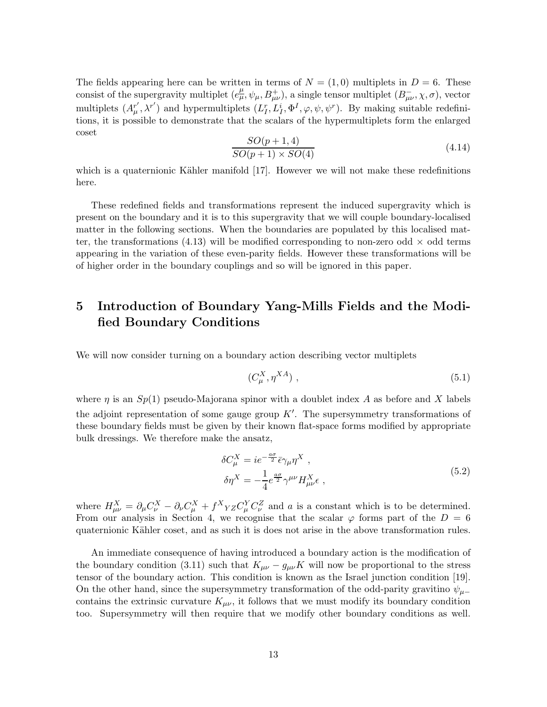The fields appearing here can be written in terms of  $N = (1,0)$  multiplets in  $D = 6$ . These consist of the supergravity multiplet  $(e^{\mu}_{\mu}, \psi_{\mu}, B^+_{\mu\nu})$ , a single tensor multiplet  $(B^-_{\mu\nu}, \chi, \sigma)$ , vector multiplets  $(A^{r'}_{\mu})$  $(u''_\\\mu, \lambda^{r'})$  and hypermultiplets  $(L_I^r, L_I^i, \Phi^I, \varphi, \psi, \psi^r)$ . By making suitable redefinitions, it is possible to demonstrate that the scalars of the hypermultiplets form the enlarged coset

$$
\frac{SO(p+1,4)}{SO(p+1)\times SO(4)}\tag{4.14}
$$

which is a quaternionic Kähler manifold  $[17]$ . However we will not make these redefinitions here.

These redefined fields and transformations represent the induced supergravity which is present on the boundary and it is to this supergravity that we will couple boundary-localised matter in the following sections. When the boundaries are populated by this localised matter, the transformations (4.13) will be modified corresponding to non-zero odd  $\times$  odd terms appearing in the variation of these even-parity fields. However these transformations will be of higher order in the boundary couplings and so will be ignored in this paper.

## 5 Introduction of Boundary Yang-Mills Fields and the Modified Boundary Conditions

We will now consider turning on a boundary action describing vector multiplets

$$
(C_{\mu}^X, \eta^{XA})\tag{5.1}
$$

where  $\eta$  is an  $Sp(1)$  pseudo-Majorana spinor with a doublet index A as before and X labels the adjoint representation of some gauge group  $K'$ . The supersymmetry transformations of these boundary fields must be given by their known flat-space forms modified by appropriate bulk dressings. We therefore make the ansatz,

$$
\delta C_{\mu}^{X} = ie^{-\frac{a\sigma}{2}} \bar{\epsilon} \gamma_{\mu} \eta^{X} ,
$$
  
\n
$$
\delta \eta^{X} = -\frac{1}{4} e^{\frac{a\sigma}{2}} \gamma^{\mu \nu} H_{\mu \nu}^{X} \epsilon ,
$$
\n(5.2)

where  $H_{\mu\nu}^X = \partial_{\mu}C_{\nu}^X - \partial_{\nu}C_{\mu}^X + f^X{}_{YZ}C_{\mu}^Y C_{\nu}^Z$  and a is a constant which is to be determined. From our analysis in Section 4, we recognise that the scalar  $\varphi$  forms part of the  $D = 6$ quaternionic Kähler coset, and as such it is does not arise in the above transformation rules.

An immediate consequence of having introduced a boundary action is the modification of the boundary condition (3.11) such that  $K_{\mu\nu} - g_{\mu\nu}K$  will now be proportional to the stress tensor of the boundary action. This condition is known as the Israel junction condition [19]. On the other hand, since the supersymmetry transformation of the odd-parity gravitino  $\psi_{\mu-}$ contains the extrinsic curvature  $K_{\mu\nu}$ , it follows that we must modify its boundary condition too. Supersymmetry will then require that we modify other boundary conditions as well.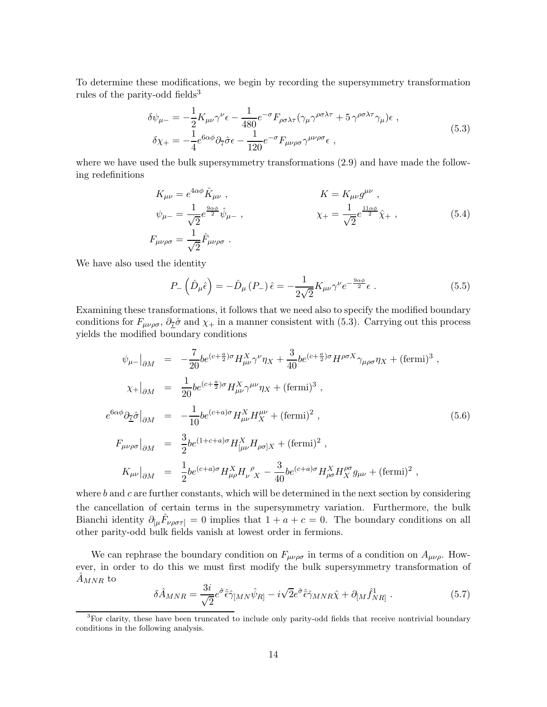To determine these modifications, we begin by recording the supersymmetry transformation rules of the parity-odd fields<sup>3</sup>

$$
\delta\psi_{\mu-} = -\frac{1}{2}K_{\mu\nu}\gamma^{\nu}\epsilon - \frac{1}{480}e^{-\sigma}F_{\rho\sigma\lambda\tau}(\gamma_{\mu}\gamma^{\rho\sigma\lambda\tau} + 5\gamma^{\rho\sigma\lambda\tau}\gamma_{\mu})\epsilon ,
$$
  
\n
$$
\delta\chi_{+} = -\frac{1}{4}e^{6\alpha\phi}\partial_{\overline{7}}\hat{\sigma}\epsilon - \frac{1}{120}e^{-\sigma}F_{\mu\nu\rho\sigma}\gamma^{\mu\nu\rho\sigma}\epsilon ,
$$
\n(5.3)

where we have used the bulk supersymmetry transformations (2.9) and have made the following redefinitions

$$
K_{\mu\nu} = e^{4\alpha\phi} \hat{K}_{\mu\nu} ,
$$
  
\n
$$
\psi_{\mu-} = \frac{1}{\sqrt{2}} e^{\frac{9\alpha\phi}{2}} \hat{\psi}_{\mu-} ,
$$
  
\n
$$
K = K_{\mu\nu} g^{\mu\nu} ,
$$
  
\n
$$
\chi_{+} = \frac{1}{\sqrt{2}} e^{\frac{11\alpha\phi}{2}} \hat{\chi}_{+} ,
$$
  
\n
$$
F_{\mu\nu\rho\sigma} = \frac{1}{\sqrt{2}} \hat{F}_{\mu\nu\rho\sigma} .
$$
\n(5.4)

We have also used the identity

$$
P_{-}\left(\hat{D}_{\mu}\hat{\epsilon}\right) = -\hat{D}_{\mu}\left(P_{-}\right)\hat{\epsilon} = -\frac{1}{2\sqrt{2}}K_{\mu\nu}\gamma^{\nu}e^{-\frac{9\alpha\phi}{2}}\epsilon\ .\tag{5.5}
$$

Examining these transformations, it follows that we need also to specify the modified boundary conditions for  $F_{\mu\nu\rho\sigma}$ ,  $\partial_{\underline{\tau}}\hat{\sigma}$  and  $\chi_+$  in a manner consistent with (5.3). Carrying out this process yields the modified boundary conditions

$$
\psi_{\mu-}|_{\partial M} = -\frac{7}{20} b e^{(c+\frac{a}{2})\sigma} H_{\mu\nu}^{X} \gamma^{\nu} \eta_{X} + \frac{3}{40} b e^{(c+\frac{a}{2})\sigma} H^{\rho \sigma X} \gamma_{\mu \rho \sigma} \eta_{X} + (\text{fermi})^{3} ,
$$
  
\n
$$
\chi_{+}|_{\partial M} = \frac{1}{20} b e^{(c+\frac{a}{2})\sigma} H_{\mu\nu}^{X} \gamma^{\mu \nu} \eta_{X} + (\text{fermi})^{3} ,
$$
  
\n
$$
e^{6\alpha\phi} \partial_{\tilde{L}} \hat{\sigma}|_{\partial M} = -\frac{1}{10} b e^{(c+a)\sigma} H_{\mu\nu}^{X} H_{X}^{\mu \nu} + (\text{fermi})^{2} ,
$$
  
\n
$$
F_{\mu\nu\rho\sigma}|_{\partial M} = \frac{3}{2} b e^{(1+c+a)\sigma} H_{[\mu\nu}^{X} H_{\rho \sigma]X} + (\text{fermi})^{2} ,
$$
  
\n
$$
K_{\mu\nu}|_{\partial M} = \frac{1}{2} b e^{(c+a)\sigma} H_{\mu\rho}^{X} H_{\nu}^{\rho} \gamma_{X} - \frac{3}{40} b e^{(c+a)\sigma} H_{\rho \sigma}^{X} H_{X}^{\rho \sigma} g_{\mu\nu} + (\text{fermi})^{2} ,
$$

where  $b$  and  $c$  are further constants, which will be determined in the next section by considering the cancellation of certain terms in the supersymmetry variation. Furthermore, the bulk Bianchi identity  $\partial_{\mu} \hat{F}_{\nu\rho\sigma\tau} = 0$  implies that  $1 + a + c = 0$ . The boundary conditions on all other parity-odd bulk fields vanish at lowest order in fermions.

We can rephrase the boundary condition on  $F_{\mu\nu\rho\sigma}$  in terms of a condition on  $A_{\mu\nu\rho}$ . However, in order to do this we must first modify the bulk supersymmetry transformation of  $A_{MNR}$  to

$$
\delta \hat{A}_{MNR} = \frac{3i}{\sqrt{2}} e^{\hat{\sigma}} \hat{\epsilon} \hat{\gamma}_{[MN} \hat{\psi}_{R]} - i \sqrt{2} e^{\hat{\sigma}} \hat{\epsilon} \hat{\gamma}_{MNR} \hat{\chi} + \partial_{[M} \hat{f}_{NR]}^1 . \tag{5.7}
$$

<sup>&</sup>lt;sup>3</sup>For clarity, these have been truncated to include only parity-odd fields that receive nontrivial boundary conditions in the following analysis.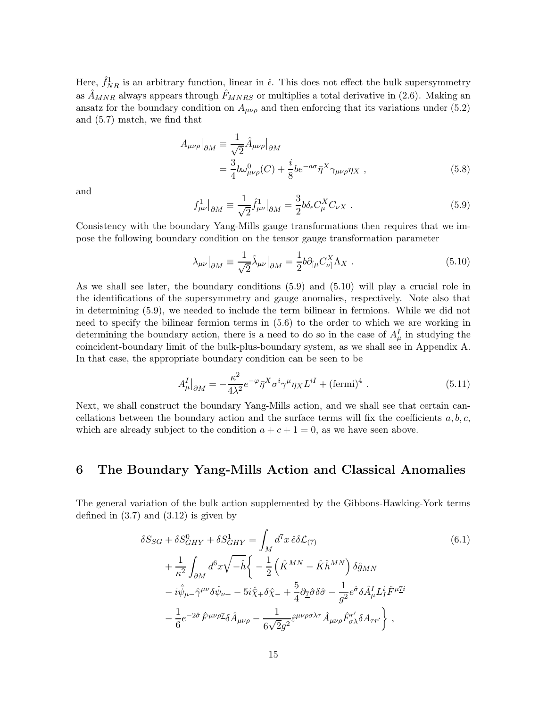Here,  $\hat{f}_{NR}$  is an arbitrary function, linear in  $\hat{\epsilon}$ . This does not effect the bulk supersymmetry as  $\hat{A}_{MNR}$  always appears through  $\hat{F}_{MNRS}$  or multiplies a total derivative in (2.6). Making an ansatz for the boundary condition on  $A_{\mu\nu\rho}$  and then enforcing that its variations under (5.2) and (5.7) match, we find that

$$
A_{\mu\nu\rho}\Big|_{\partial M} \equiv \frac{1}{\sqrt{2}} \hat{A}_{\mu\nu\rho}\Big|_{\partial M}
$$
  
= 
$$
\frac{3}{4} b \omega_{\mu\nu\rho}^0(C) + \frac{i}{8} b e^{-a\sigma} \bar{\eta}^X \gamma_{\mu\nu\rho} \eta_X ,
$$
 (5.8)

and

$$
f_{\mu\nu}^1|_{\partial M} \equiv \frac{1}{\sqrt{2}} \hat{f}_{\mu\nu}^1|_{\partial M} = \frac{3}{2} b \delta_{\epsilon} C_{\mu}^X C_{\nu X} . \tag{5.9}
$$

Consistency with the boundary Yang-Mills gauge transformations then requires that we impose the following boundary condition on the tensor gauge transformation parameter

$$
\lambda_{\mu\nu}\big|_{\partial M} \equiv \frac{1}{\sqrt{2}} \hat{\lambda}_{\mu\nu}\big|_{\partial M} = \frac{1}{2} b \partial_{\mu} C_{\nu\}^X \Lambda_X \ . \tag{5.10}
$$

As we shall see later, the boundary conditions (5.9) and (5.10) will play a crucial role in the identifications of the supersymmetry and gauge anomalies, respectively. Note also that in determining (5.9), we needed to include the term bilinear in fermions. While we did not need to specify the bilinear fermion terms in (5.6) to the order to which we are working in determining the boundary action, there is a need to do so in the case of  $A^I_\mu$  in studying the coincident-boundary limit of the bulk-plus-boundary system, as we shall see in Appendix A. In that case, the appropriate boundary condition can be seen to be

$$
A^I_{\mu}|_{\partial M} = -\frac{\kappa^2}{4\lambda^2} e^{-\varphi} \bar{\eta}^X \sigma^i \gamma^\mu \eta_X L^{iI} + (\text{fermi})^4 \ . \tag{5.11}
$$

Next, we shall construct the boundary Yang-Mills action, and we shall see that certain cancellations between the boundary action and the surface terms will fix the coefficients  $a, b, c$ , which are already subject to the condition  $a + c + 1 = 0$ , as we have seen above.

## 6 The Boundary Yang-Mills Action and Classical Anomalies

The general variation of the bulk action supplemented by the Gibbons-Hawking-York terms defined in  $(3.7)$  and  $(3.12)$  is given by

$$
\delta S_{SG} + \delta S_{GHY}^{0} + \delta S_{GHY}^{1} = \int_{M} d^{7}x \,\hat{e} \delta \mathcal{L}_{(7)}
$$
\n
$$
+ \frac{1}{\kappa^{2}} \int_{\partial M} d^{6}x \sqrt{-\hat{h}} \left\{ -\frac{1}{2} \left( \hat{K}^{MN} - \hat{K} \hat{h}^{MN} \right) \delta \hat{g}_{MN} \right.
$$
\n
$$
-i \hat{\psi}_{\mu} - \hat{\gamma}^{\mu \nu} \delta \hat{\psi}_{\nu+} - 5i \hat{\chi}_{+} \delta \hat{\chi}_{-} + \frac{5}{4} \partial_{\tilde{I}} \hat{\sigma} \delta \hat{\sigma} - \frac{1}{g^{2}} e^{\hat{\sigma}} \delta \hat{A}^{I}_{\mu} L^{i}_{I} \hat{F}^{\mu}{}^{\underline{T}i}
$$
\n
$$
- \frac{1}{6} e^{-2\hat{\sigma}} \hat{F}^{\mu \nu \rho}{}^{\underline{T}} \delta \hat{A}_{\mu \nu \rho} - \frac{1}{6\sqrt{2}g^{2}} \hat{\varepsilon}^{\mu \nu \rho \sigma \lambda \tau} \hat{A}_{\mu \nu \rho} \hat{F}^{\nu'}_{\sigma \lambda} \delta A_{\tau \tau'} \right\} , \qquad (6.1)
$$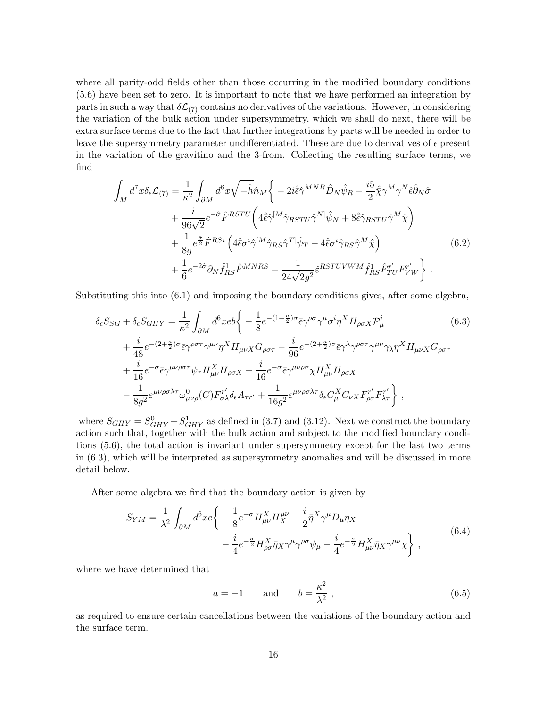where all parity-odd fields other than those occurring in the modified boundary conditions (5.6) have been set to zero. It is important to note that we have performed an integration by parts in such a way that  $\delta\mathcal{L}_{(7)}$  contains no derivatives of the variations. However, in considering the variation of the bulk action under supersymmetry, which we shall do next, there will be extra surface terms due to the fact that further integrations by parts will be needed in order to leave the supersymmetry parameter undifferentiated. These are due to derivatives of  $\epsilon$  present in the variation of the gravitino and the 3-from. Collecting the resulting surface terms, we find

$$
\int_{M} d^{7}x \delta_{\epsilon} \mathcal{L}_{(7)} = \frac{1}{\kappa^{2}} \int_{\partial M} d^{6}x \sqrt{-\hat{h}} \hat{n}_{M} \left\{ -2i \hat{\epsilon} \hat{\gamma}^{MNR} \hat{D}_{N} \hat{\psi}_{R} - \frac{i5}{2} \hat{\bar{\chi}} \gamma^{M} \gamma^{N} \hat{\epsilon} \hat{\partial}_{N} \hat{\sigma} \right.\n+ \frac{i}{96\sqrt{2}} e^{-\hat{\sigma}} \hat{F}^{RSTU} \left( 4 \hat{\epsilon} \hat{\gamma}^{[M} \hat{\gamma}_{RSTU} \hat{\gamma}^{N]} \hat{\psi}_{N} + 8 \hat{\epsilon} \hat{\gamma}_{RSTU} \hat{\gamma}^{M} \hat{\chi} \right)\n+ \frac{1}{8g} e^{\frac{\hat{\sigma}}{2}} \hat{F}^{RSi} \left( 4 \hat{\epsilon} \sigma^{i} \hat{\gamma}^{[M} \hat{\gamma}_{RS} \hat{\gamma}^{T]} \hat{\psi}_{T} - 4 \hat{\epsilon} \sigma^{i} \hat{\gamma}_{RS} \hat{\gamma}^{M} \hat{\chi} \right)\n+ \frac{1}{6} e^{-2\hat{\sigma}} \partial_{N} \hat{f}_{RS}^{1} \hat{F}^{MNRS} - \frac{1}{24\sqrt{2}g^{2}} \hat{\epsilon}^{RSTUVWM} \hat{f}_{RS}^{1} \hat{F}_{TU}^{r'} F_{VW}^{r'} \right\}.
$$
\n(6.2)

Substituting this into (6.1) and imposing the boundary conditions gives, after some algebra,

$$
\delta_{\epsilon}S_{SG} + \delta_{\epsilon}S_{GHY} = \frac{1}{\kappa^2} \int_{\partial M} d^6x e b \left\{ -\frac{1}{8} e^{-(1+\frac{a}{2})\sigma} \bar{\epsilon} \gamma^{\rho\sigma} \gamma^{\mu} \sigma^i \eta^X H_{\rho\sigma X} \mathcal{P}^i_{\mu} \right. \tag{6.3}
$$
\n
$$
+ \frac{i}{48} e^{-(2+\frac{a}{2})\sigma} \bar{\epsilon} \gamma^{\rho\sigma\tau} \gamma^{\mu\nu} \eta^X H_{\mu\nu X} G_{\rho\sigma\tau} - \frac{i}{96} e^{-(2+\frac{a}{2})\sigma} \bar{\epsilon} \gamma^{\lambda} \gamma^{\rho\sigma\tau} \gamma^{\mu\nu} \gamma_{\lambda} \eta^X H_{\mu\nu X} G_{\rho\sigma\tau} \right. \\
\left. + \frac{i}{16} e^{-\sigma} \bar{\epsilon} \gamma^{\mu\nu\rho\sigma\tau} \psi_{\tau} H_{\mu\nu}^X H_{\rho\sigma X} + \frac{i}{16} e^{-\sigma} \bar{\epsilon} \gamma^{\mu\nu\rho\sigma} \chi H_{\mu\nu}^X H_{\rho\sigma X} \right. \\
\left. - \frac{1}{8g^2} \varepsilon^{\mu\nu\rho\sigma\lambda\tau} \omega^0_{\mu\nu\rho}(C) F_{\sigma\lambda}^{r'} \delta_{\epsilon} A_{\tau r'} + \frac{1}{16g^2} \varepsilon^{\mu\nu\rho\sigma\lambda\tau} \delta_{\epsilon} C_{\mu}^X C_{\nu X} F_{\rho\sigma}^{r'} F_{\lambda\tau}^{r'} \right\} \,,
$$

where  $S_{GHY} = S_{GHY}^0 + S_{GHY}^1$  as defined in (3.7) and (3.12). Next we construct the boundary action such that, together with the bulk action and subject to the modified boundary conditions (5.6), the total action is invariant under supersymmetry except for the last two terms in (6.3), which will be interpreted as supersymmetry anomalies and will be discussed in more detail below.

After some algebra we find that the boundary action is given by

$$
S_{YM} = \frac{1}{\lambda^2} \int_{\partial M} d^6 x e \left\{ -\frac{1}{8} e^{-\sigma} H_{\mu\nu}^X H_X^{\mu\nu} - \frac{i}{2} \bar{\eta}^X \gamma^\mu D_\mu \eta_X \right. \\ \left. - \frac{i}{4} e^{-\frac{\sigma}{2}} H_{\rho\sigma}^X \bar{\eta}_X \gamma^\mu \gamma^{\rho\sigma} \psi_\mu - \frac{i}{4} e^{-\frac{\sigma}{2}} H_{\mu\nu}^X \bar{\eta}_X \gamma^{\mu\nu} \chi \right\} \,, \tag{6.4}
$$

where we have determined that

$$
a = -1 \qquad \text{and} \qquad b = \frac{\kappa^2}{\lambda^2} \,, \tag{6.5}
$$

as required to ensure certain cancellations between the variations of the boundary action and the surface term.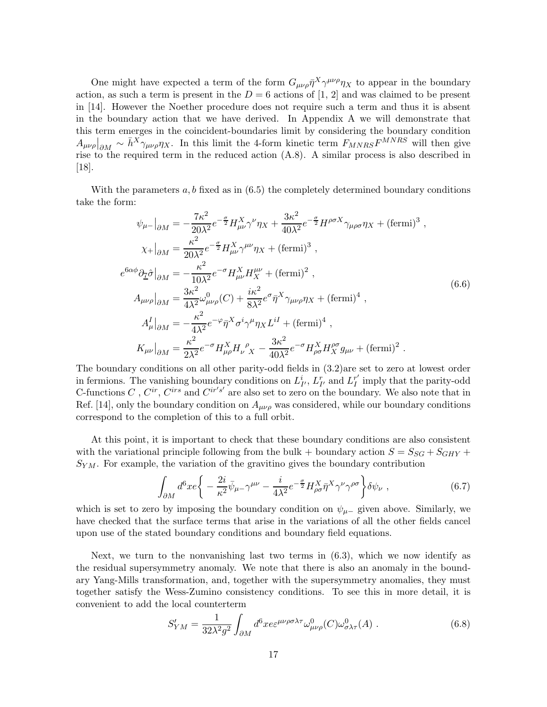One might have expected a term of the form  $G_{\mu\nu\rho}\bar{\eta}^X\gamma^{\mu\nu\rho}\eta_X$  to appear in the boundary action, as such a term is present in the  $D = 6$  actions of [1, 2] and was claimed to be present in [14]. However the Noether procedure does not require such a term and thus it is absent in the boundary action that we have derived. In Appendix A we will demonstrate that this term emerges in the coincident-boundaries limit by considering the boundary condition  $A_{\mu\nu\rho}\Big|_{\partial M} \sim \bar{h}^X \gamma_{\mu\nu\rho}\eta_X$ . In this limit the 4-form kinetic term  $F_{MNRS}F^{MNRS}$  will then give rise to the required term in the reduced action (A.8). A similar process is also described in [18].

With the parameters  $a, b$  fixed as in  $(6.5)$  the completely determined boundary conditions take the form:

$$
\psi_{\mu-}|_{\partial M} = -\frac{7\kappa^2}{20\lambda^2} e^{-\frac{\sigma}{2}} H_{\mu\nu}^X \gamma^\nu \eta_X + \frac{3\kappa^2}{40\lambda^2} e^{-\frac{\sigma}{2}} H^{\rho\sigma X} \gamma_{\mu\rho\sigma} \eta_X + (\text{fermi})^3 ,
$$
  
\n
$$
\chi_{+}|_{\partial M} = \frac{\kappa^2}{20\lambda^2} e^{-\frac{\sigma}{2}} H_{\mu\nu}^X \gamma^{\mu\nu} \eta_X + (\text{fermi})^3 ,
$$
  
\n
$$
e^{6\alpha\phi} \partial_{\tilde{L}} \hat{\sigma}|_{\partial M} = -\frac{\kappa^2}{10\lambda^2} e^{-\sigma} H_{\mu\nu}^X H_X^{\mu\nu} + (\text{fermi})^2 ,
$$
  
\n
$$
A_{\mu\nu\rho}|_{\partial M} = \frac{3\kappa^2}{4\lambda^2} \omega_{\mu\nu\rho}^0(C) + \frac{i\kappa^2}{8\lambda^2} e^{\sigma} \bar{\eta}^X \gamma_{\mu\nu\rho} \eta_X + (\text{fermi})^4 ,
$$
  
\n
$$
A_{\mu}^I|_{\partial M} = -\frac{\kappa^2}{4\lambda^2} e^{-\varphi} \bar{\eta}^X \sigma^i \gamma^\mu \eta_X L^{iI} + (\text{fermi})^4 ,
$$
  
\n
$$
K_{\mu\nu}|_{\partial M} = \frac{\kappa^2}{2\lambda^2} e^{-\sigma} H_{\mu\rho}^X H_{\nu}^{\rho} \gamma_X - \frac{3\kappa^2}{40\lambda^2} e^{-\sigma} H_{\rho\sigma}^X H_X^{\rho\sigma} g_{\mu\nu} + (\text{fermi})^2 .
$$

The boundary conditions on all other parity-odd fields in (3.2)are set to zero at lowest order in fermions. The vanishing boundary conditions on  $L_I^i$ ,  $L_{I'}^r$  and  $L_I^{r'}$  $I_I^r$  imply that the parity-odd C-functions  $C$ ,  $C^{ir}$ ,  $C^{irs}$  and  $C^{ir's'}$  are also set to zero on the boundary. We also note that in Ref. [14], only the boundary condition on  $A_{\mu\nu\rho}$  was considered, while our boundary conditions correspond to the completion of this to a full orbit.

At this point, it is important to check that these boundary conditions are also consistent with the variational principle following from the bulk + boundary action  $S = S_{SG} + S_{GHY} + S_{GHY}$  $S_{YM}$ . For example, the variation of the gravitino gives the boundary contribution

$$
\int_{\partial M} d^6 x e \bigg\{ -\frac{2i}{\kappa^2} \bar{\psi}_{\mu -} \gamma^{\mu \nu} - \frac{i}{4\lambda^2} e^{-\frac{\sigma}{2}} H_{\rho \sigma}^X \bar{\eta}^X \gamma^{\nu} \gamma^{\rho \sigma} \bigg\} \delta \psi_{\nu} , \qquad (6.7)
$$

which is set to zero by imposing the boundary condition on  $\psi_{\mu-}$  given above. Similarly, we have checked that the surface terms that arise in the variations of all the other fields cancel upon use of the stated boundary conditions and boundary field equations.

Next, we turn to the nonvanishing last two terms in  $(6.3)$ , which we now identify as the residual supersymmetry anomaly. We note that there is also an anomaly in the boundary Yang-Mills transformation, and, together with the supersymmetry anomalies, they must together satisfy the Wess-Zumino consistency conditions. To see this in more detail, it is convenient to add the local counterterm

$$
S'_{YM} = \frac{1}{32\lambda^2 g^2} \int_{\partial M} d^6 x e^{\mu\nu\rho\sigma\lambda\tau} \omega^0_{\mu\nu\rho}(C) \omega^0_{\sigma\lambda\tau}(A) . \tag{6.8}
$$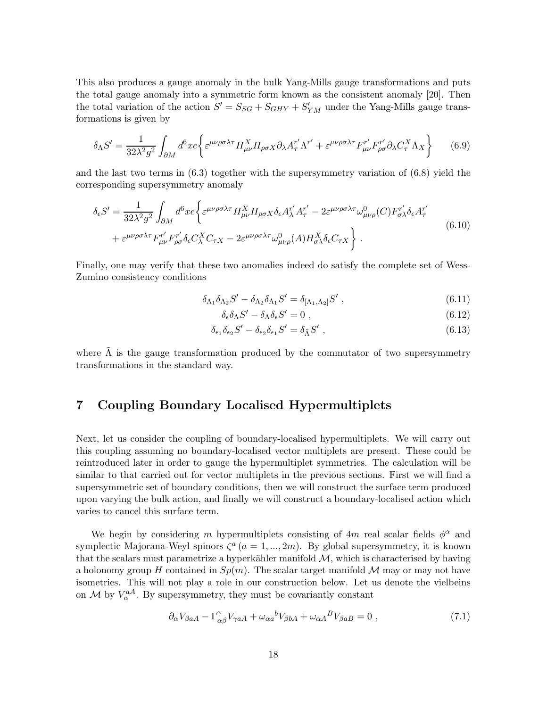This also produces a gauge anomaly in the bulk Yang-Mills gauge transformations and puts the total gauge anomaly into a symmetric form known as the consistent anomaly [20]. Then the total variation of the action  $S' = S_{SG} + S_{GHY} + S'_{YM}$  under the Yang-Mills gauge transformations is given by

$$
\delta_{\Lambda}S' = \frac{1}{32\lambda^2 g^2} \int_{\partial M} d^6x e \left\{ \varepsilon^{\mu\nu\rho\sigma\lambda\tau} H_{\mu\nu}^X H_{\rho\sigma X} \partial_{\lambda} A_{\tau}^{r'} \Lambda^{r'} + \varepsilon^{\mu\nu\rho\sigma\lambda\tau} F_{\mu\nu}^{r'} F_{\rho\sigma}^{r'} \partial_{\lambda} C_{\tau}^X \Lambda_X \right\} \tag{6.9}
$$

and the last two terms in  $(6.3)$  together with the supersymmetry variation of  $(6.8)$  yield the corresponding supersymmetry anomaly

$$
\delta_{\epsilon}S' = \frac{1}{32\lambda^2 g^2} \int_{\partial M} d^6 x e \left\{ \varepsilon^{\mu\nu\rho\sigma\lambda\tau} H_{\mu\nu}^X H_{\rho\sigma X} \delta_{\epsilon} A_{\lambda}^{r'} A_{\tau}^{r'} - 2\varepsilon^{\mu\nu\rho\sigma\lambda\tau} \omega_{\mu\nu\rho}^0(C) F_{\sigma\lambda}^{r'} \delta_{\epsilon} A_{\tau}^{r'} \right. \\
\left. + \varepsilon^{\mu\nu\rho\sigma\lambda\tau} F_{\mu\nu}^{r'} F_{\rho\sigma}^{r'} \delta_{\epsilon} C_{\lambda}^X C_{\tau X} - 2\varepsilon^{\mu\nu\rho\sigma\lambda\tau} \omega_{\mu\nu\rho}^0(A) H_{\sigma\lambda}^X \delta_{\epsilon} C_{\tau X} \right\}.
$$
\n(6.10)

Finally, one may verify that these two anomalies indeed do satisfy the complete set of Wess-Zumino consistency conditions

$$
\delta_{\Lambda_1}\delta_{\Lambda_2}S' - \delta_{\Lambda_2}\delta_{\Lambda_1}S' = \delta_{[\Lambda_1,\Lambda_2]}S',\qquad(6.11)
$$

$$
\delta_{\epsilon}\delta_{\Lambda}S' - \delta_{\Lambda}\delta_{\epsilon}S' = 0 , \qquad (6.12)
$$

$$
\delta_{\epsilon_1}\delta_{\epsilon_2}S' - \delta_{\epsilon_2}\delta_{\epsilon_1}S' = \delta_{\tilde{\Lambda}}S',\tag{6.13}
$$

where  $\tilde{\Lambda}$  is the gauge transformation produced by the commutator of two supersymmetry transformations in the standard way.

## 7 Coupling Boundary Localised Hypermultiplets

Next, let us consider the coupling of boundary-localised hypermultiplets. We will carry out this coupling assuming no boundary-localised vector multiplets are present. These could be reintroduced later in order to gauge the hypermultiplet symmetries. The calculation will be similar to that carried out for vector multiplets in the previous sections. First we will find a supersymmetric set of boundary conditions, then we will construct the surface term produced upon varying the bulk action, and finally we will construct a boundary-localised action which varies to cancel this surface term.

We begin by considering m hypermultiplets consisting of  $4m$  real scalar fields  $\phi^{\alpha}$  and symplectic Majorana-Weyl spinors  $\zeta^a$   $(a = 1, ..., 2m)$ . By global supersymmetry, it is known that the scalars must parametrize a hyperkähler manifold  $M$ , which is characterised by having a holonomy group H contained in  $Sp(m)$ . The scalar target manifold M may or may not have isometries. This will not play a role in our construction below. Let us denote the vielbeins on  $\mathcal{M}$  by  $V_{\alpha}^{aA}$ . By supersymmetry, they must be covariantly constant

$$
\partial_{\alpha} V_{\beta aA} - \Gamma^{\gamma}_{\alpha\beta} V_{\gamma aA} + \omega_{\alpha a}{}^{b} V_{\beta bA} + \omega_{\alpha A}{}^{B} V_{\beta aB} = 0 , \qquad (7.1)
$$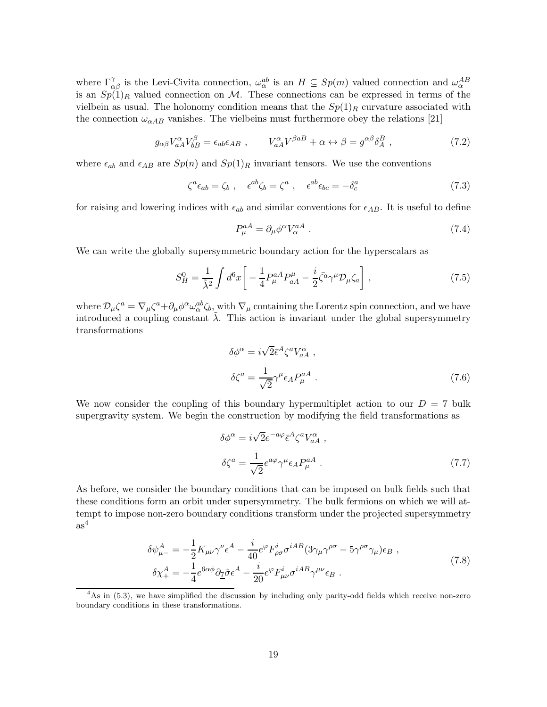where  $\Gamma^{\gamma}_{\alpha\beta}$  is the Levi-Civita connection,  $\omega^{ab}_{\alpha}$  is an  $H \subseteq Sp(m)$  valued connection and  $\omega^{AB}_{\alpha}$ is an  $Sp(1)<sub>R</sub>$  valued connection on M. These connections can be expressed in terms of the vielbein as usual. The holonomy condition means that the  $Sp(1)_R$  curvature associated with the connection  $\omega_{\alpha AB}$  vanishes. The vielbeins must furthermore obey the relations [21]

$$
g_{\alpha\beta}V_{aA}^{\alpha}V_{bB}^{\beta} = \epsilon_{ab}\epsilon_{AB} , \qquad V_{aA}^{\alpha}V^{\beta aB} + \alpha \leftrightarrow \beta = g^{\alpha\beta}\delta_A^B , \qquad (7.2)
$$

where  $\epsilon_{ab}$  and  $\epsilon_{AB}$  are  $Sp(n)$  and  $Sp(1)_R$  invariant tensors. We use the conventions

$$
\zeta^a \epsilon_{ab} = \zeta_b \;, \quad \epsilon^{ab} \zeta_b = \zeta^a \;, \quad \epsilon^{ab} \epsilon_{bc} = -\delta^a_c \tag{7.3}
$$

for raising and lowering indices with  $\epsilon_{ab}$  and similar conventions for  $\epsilon_{AB}$ . It is useful to define

$$
P_{\mu}^{aA} = \partial_{\mu} \phi^{\alpha} V_{\alpha}^{aA} \tag{7.4}
$$

We can write the globally supersymmetric boundary action for the hyperscalars as

$$
S_H^0 = \frac{1}{\tilde{\lambda}^2} \int d^6x \left[ -\frac{1}{4} P_\mu^{aA} P_{aA}^\mu - \frac{i}{2} \bar{\zeta}^a \gamma^\mu \mathcal{D}_\mu \zeta_a \right],\tag{7.5}
$$

where  $\mathcal{D}_{\mu}\zeta^a = \nabla_{\mu}\zeta^a + \partial_{\mu}\phi^{\alpha}\omega_{\alpha}^{ab}\zeta_{b,\omega}$  with  $\nabla_{\mu}$  containing the Lorentz spin connection, and we have introduced a coupling constant  $\lambda$ . This action is invariant under the global supersymmetry transformations

$$
\delta\phi^{\alpha} = i\sqrt{2}\bar{\epsilon}^{A}\zeta^{a}V_{aA}^{\alpha} ,
$$

$$
\delta\zeta^{a} = \frac{1}{\sqrt{2}}\gamma^{\mu}\epsilon_{A}P_{\mu}^{aA} .
$$
 (7.6)

We now consider the coupling of this boundary hypermultiplet action to our  $D = 7$  bulk supergravity system. We begin the construction by modifying the field transformations as

$$
\delta\phi^{\alpha} = i\sqrt{2}e^{-a\varphi}\bar{\epsilon}^{A}\zeta^{a}V_{aA}^{\alpha} ,
$$
  

$$
\delta\zeta^{a} = \frac{1}{\sqrt{2}}e^{a\varphi}\gamma^{\mu}\epsilon_{A}P_{\mu}^{aA} .
$$
 (7.7)

As before, we consider the boundary conditions that can be imposed on bulk fields such that these conditions form an orbit under supersymmetry. The bulk fermions on which we will attempt to impose non-zero boundary conditions transform under the projected supersymmetry  $as<sup>4</sup>$ 

$$
\delta\psi_{\mu-}^{A} = -\frac{1}{2}K_{\mu\nu}\gamma^{\nu}\epsilon^{A} - \frac{i}{40}e^{\varphi}F_{\rho\sigma}^{i}\sigma^{iAB}(3\gamma_{\mu}\gamma^{\rho\sigma} - 5\gamma^{\rho\sigma}\gamma_{\mu})\epsilon_{B} ,
$$
  
\n
$$
\delta\chi_{+}^{A} = -\frac{1}{4}e^{6\alpha\phi}\partial_{\underline{\Upsilon}}\hat{\sigma}\epsilon^{A} - \frac{i}{20}e^{\varphi}F_{\mu\nu}^{i}\sigma^{iAB}\gamma^{\mu\nu}\epsilon_{B} .
$$
\n(7.8)

<sup>4</sup>As in (5.3), we have simplified the discussion by including only parity-odd fields which receive non-zero boundary conditions in these transformations.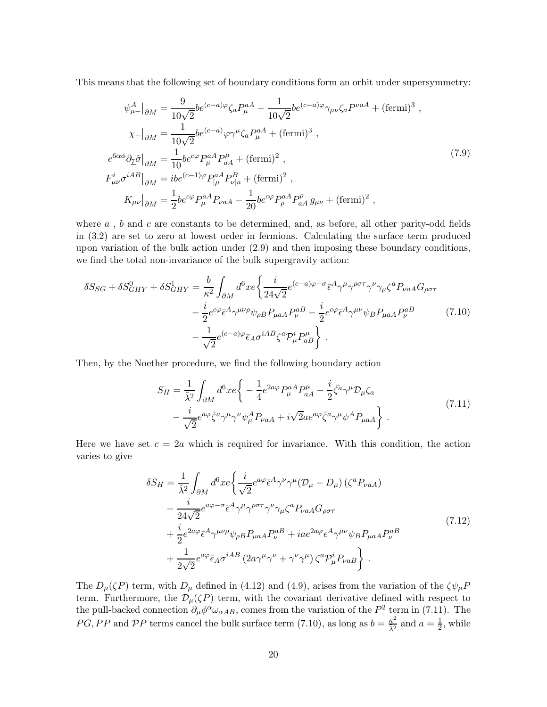This means that the following set of boundary conditions form an orbit under supersymmetry:

$$
\psi_{\mu-}^{A}|_{\partial M} = \frac{9}{10\sqrt{2}} b e^{(c-a)\varphi} \zeta_{a} P_{\mu}^{aA} - \frac{1}{10\sqrt{2}} b e^{(c-a)\varphi} \gamma_{\mu\nu} \zeta_{a} P^{\nu aA} + (\text{fermi})^{3} ,
$$
  
\n
$$
\chi_{+}|_{\partial M} = \frac{1}{10\sqrt{2}} b e^{(c-a)} \varphi \gamma^{\mu} \zeta_{a} P_{\mu}^{aA} + (\text{fermi})^{3} ,
$$
  
\n
$$
e^{6\alpha\phi} \partial_{\tilde{\mathcal{I}}} \hat{\sigma}|_{\partial M} = \frac{1}{10} b e^{c\varphi} P_{\mu}^{aA} P_{aA}^{\mu} + (\text{fermi})^{2} ,
$$
  
\n
$$
F_{\mu\nu}^{i} \sigma^{iAB}|_{\partial M} = ib e^{(c-1)\varphi} P_{[\mu}^{aA} P_{\nu]a}^{B} + (\text{fermi})^{2} ,
$$
  
\n
$$
K_{\mu\nu}|_{\partial M} = \frac{1}{2} b e^{c\varphi} P_{\mu}^{aA} P_{\nu aA} - \frac{1}{20} b e^{c\varphi} P_{\rho}^{aA} P_{aA}^{ \rho} g_{\mu\nu} + (\text{fermi})^{2} ,
$$

where  $a$ ,  $b$  and  $c$  are constants to be determined, and, as before, all other parity-odd fields in (3.2) are set to zero at lowest order in fermions. Calculating the surface term produced upon variation of the bulk action under (2.9) and then imposing these boundary conditions, we find the total non-invariance of the bulk supergravity action:

$$
\delta S_{SG} + \delta S_{GHY}^{0} + \delta S_{GHY}^{1} = \frac{b}{\kappa^{2}} \int_{\partial M} d^{6}x e \left\{ \frac{i}{24\sqrt{2}} e^{(c-a)\varphi - \sigma} \bar{\epsilon}^{A} \gamma^{\mu} \gamma^{\rho \sigma \tau} \gamma^{\nu} \gamma_{\mu} \zeta^{a} P_{\nu aA} G_{\rho \sigma \tau} \right. \\ \left. - \frac{i}{2} e^{c\varphi} \bar{\epsilon}^{A} \gamma^{\mu \nu \rho} \psi_{\rho B} P_{\mu a A} P_{\nu}^{aB} - \frac{i}{2} e^{c\varphi} \bar{\epsilon}^{A} \gamma^{\mu \nu} \psi_{B} P_{\mu a A} P_{\nu}^{aB} \right. \\ \left. - \frac{1}{\sqrt{2}} e^{(c-a)\varphi} \bar{\epsilon}_{A} \sigma^{iAB} \zeta^{a} P_{\mu}^{i} P_{aB}^{\mu} \right\} . \tag{7.10}
$$

Then, by the Noether procedure, we find the following boundary action

$$
S_H = \frac{1}{\tilde{\lambda}^2} \int_{\partial M} d^6 x e \left\{ -\frac{1}{4} e^{2a\varphi} P^a_\mu A P^\mu_{aA} - \frac{i}{2} \bar{\zeta}^a \gamma^\mu \mathcal{D}_\mu \zeta_a \right.-\frac{i}{\sqrt{2}} e^{a\varphi} \bar{\zeta}^a \gamma^\mu \gamma^\nu \psi^A_\mu P_{\nu aA} + i \sqrt{2} a e^{a\varphi} \bar{\zeta}^a \gamma^\mu \psi^A P_{\mu aA} \right\}.
$$
(7.11)

Here we have set  $c = 2a$  which is required for invariance. With this condition, the action varies to give

$$
\delta S_H = \frac{1}{\tilde{\lambda}^2} \int_{\partial M} d^6 x e \left\{ \frac{i}{\sqrt{2}} e^{a\varphi} \bar{\epsilon}^A \gamma^\nu \gamma^\mu (D_\mu - D_\mu) \left( \zeta^a P_{\nu aA} \right) \right.\n- \frac{i}{24\sqrt{2}} e^{a\varphi - \sigma} \bar{\epsilon}^A \gamma^\mu \gamma^{\rho \sigma \tau} \gamma^\nu \gamma_\mu \zeta^a P_{\nu aA} G_{\rho \sigma \tau} \n+ \frac{i}{2} e^{2a\varphi} \bar{\epsilon}^A \gamma^{\mu \nu \rho} \psi_{\rho B} P_{\mu a A} P_\nu^{aB} + i a e^{2a\varphi} \epsilon^A \gamma^{\mu \nu} \psi_B P_{\mu a A} P_\nu^{aB} \n+ \frac{1}{2\sqrt{2}} e^{a\varphi} \bar{\epsilon}_A \sigma^{iAB} \left( 2a\gamma^\mu \gamma^\nu + \gamma^\nu \gamma^\mu \right) \zeta^a P_\mu^i P_{\nu aB} \right\} .
$$
\n(7.12)

The  $D_{\mu}(\zeta P)$  term, with  $D_{\mu}$  defined in (4.12) and (4.9), arises from the variation of the  $\zeta \psi_{\mu} P$ term. Furthermore, the  $\mathcal{D}_{\mu}(\zeta P)$  term, with the covariant derivative defined with respect to the pull-backed connection  $\partial_{\mu}\phi^{\alpha}\omega_{\alpha AB}$ , comes from the variation of the  $P^2$  term in (7.11). The PG, PP and PP terms cancel the bulk surface term (7.10), as long as  $b = \frac{\kappa^2}{\lambda^2}$  $rac{\kappa^2}{\tilde{\lambda}^2}$  and  $a = \frac{1}{2}$  $\frac{1}{2}$ , while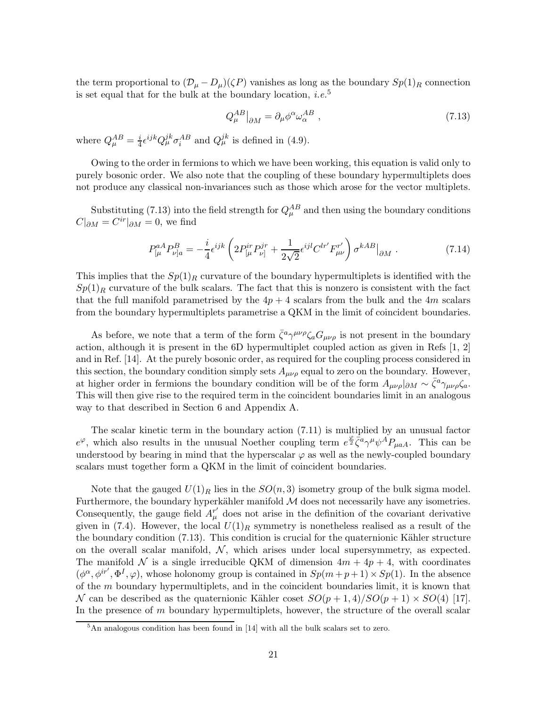the term proportional to  $(\mathcal{D}_{\mu} - D_{\mu})(\zeta P)$  vanishes as long as the boundary  $Sp(1)_R$  connection is set equal that for the bulk at the boundary location, *i.e.*<sup>5</sup>

$$
Q_{\mu}^{AB}\big|_{\partial M} = \partial_{\mu}\phi^{\alpha}\omega_{\alpha}^{AB} , \qquad (7.13)
$$

where  $Q_{\mu}^{AB} = \frac{i}{4} \epsilon^{ijk} Q_{\mu}^{jk} \sigma_i^{AB}$  and  $Q_{\mu}^{jk}$  is defined in (4.9).

Owing to the order in fermions to which we have been working, this equation is valid only to purely bosonic order. We also note that the coupling of these boundary hypermultiplets does not produce any classical non-invariances such as those which arose for the vector multiplets.

Substituting (7.13) into the field strength for  $Q_{\mu}^{AB}$  and then using the boundary conditions  $C|_{\partial M} = C^{ir}|_{\partial M} = 0$ , we find

$$
P_{\lbrack\mu}^{aA}P_{\nu]a}^{B} = -\frac{i}{4}\epsilon^{ijk}\left(2P_{\lbrack\mu}^{ir}P_{\nu]}^{jr} + \frac{1}{2\sqrt{2}}\epsilon^{ijl}C^{lr'}F_{\mu\nu}^{r'}\right)\sigma^{kAB}\big|_{\partial M}.
$$
 (7.14)

This implies that the  $Sp(1)_R$  curvature of the boundary hypermultiplets is identified with the  $Sp(1)<sub>R</sub>$  curvature of the bulk scalars. The fact that this is nonzero is consistent with the fact that the full manifold parametrised by the  $4p + 4$  scalars from the bulk and the  $4m$  scalars from the boundary hypermultiplets parametrise a QKM in the limit of coincident boundaries.

As before, we note that a term of the form  $\bar{\zeta}^a \gamma^{\mu\nu\rho} \zeta_a G_{\mu\nu\rho}$  is not present in the boundary action, although it is present in the 6D hypermultiplet coupled action as given in Refs [1, 2] and in Ref. [14]. At the purely bosonic order, as required for the coupling process considered in this section, the boundary condition simply sets  $A_{\mu\nu\rho}$  equal to zero on the boundary. However, at higher order in fermions the boundary condition will be of the form  $A_{\mu\nu\rho}|_{\partial M} \sim \bar{\zeta}^a \gamma_{\mu\nu\rho} \zeta_a$ . This will then give rise to the required term in the coincident boundaries limit in an analogous way to that described in Section 6 and Appendix A.

The scalar kinetic term in the boundary action (7.11) is multiplied by an unusual factor  $e^{\varphi}$ , which also results in the unusual Noether coupling term  $e^{\frac{\varphi}{2}}\bar{\zeta}^a \gamma^{\mu} \psi^A P_{\mu aA}$ . This can be understood by bearing in mind that the hyperscalar  $\varphi$  as well as the newly-coupled boundary scalars must together form a QKM in the limit of coincident boundaries.

Note that the gauged  $U(1)_R$  lies in the  $SO(n,3)$  isometry group of the bulk sigma model. Furthermore, the boundary hyperkähler manifold  $M$  does not necessarily have any isometries. Consequently, the gauge field  $A^{\tau'}_{\mu}$  does not arise in the definition of the covariant derivative given in (7.4). However, the local  $U(1)_R$  symmetry is nonetheless realised as a result of the the boundary condition  $(7.13)$ . This condition is crucial for the quaternionic Kähler structure on the overall scalar manifold,  $\mathcal{N}$ , which arises under local supersymmetry, as expected. The manifold N is a single irreducible QKM of dimension  $4m + 4p + 4$ , with coordinates  $(\phi^{\alpha}, \phi^{ir'}, \Phi^I, \varphi)$ , whose holonomy group is contained in  $Sp(m+p+1) \times Sp(1)$ . In the absence of the m boundary hypermultiplets, and in the coincident boundaries limit, it is known that N can be described as the quaternionic Kähler coset  $SO(p+1,4)/SO(p+1) \times SO(4)$  [17]. In the presence of  $m$  boundary hypermultiplets, however, the structure of the overall scalar

<sup>5</sup>An analogous condition has been found in [14] with all the bulk scalars set to zero.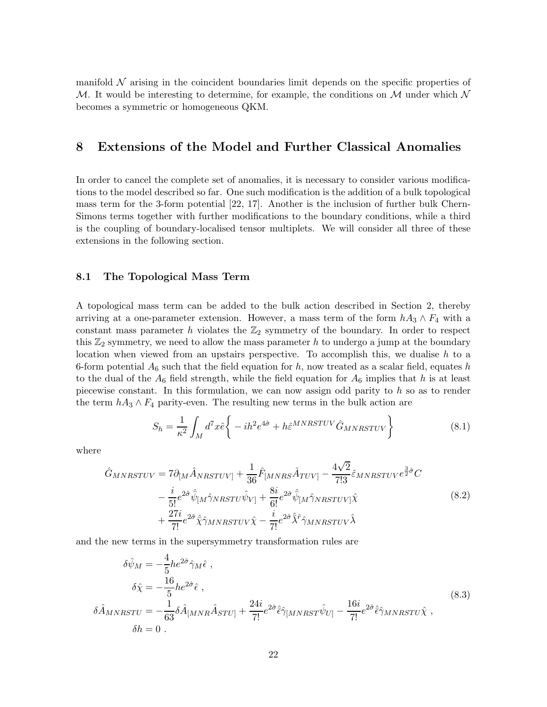manifold  $\mathcal N$  arising in the coincident boundaries limit depends on the specific properties of M. It would be interesting to determine, for example, the conditions on M under which  $\mathcal N$ becomes a symmetric or homogeneous QKM.

## 8 Extensions of the Model and Further Classical Anomalies

In order to cancel the complete set of anomalies, it is necessary to consider various modifications to the model described so far. One such modification is the addition of a bulk topological mass term for the 3-form potential [22, 17]. Another is the inclusion of further bulk Chern-Simons terms together with further modifications to the boundary conditions, while a third is the coupling of boundary-localised tensor multiplets. We will consider all three of these extensions in the following section.

#### 8.1 The Topological Mass Term

A topological mass term can be added to the bulk action described in Section 2, thereby arriving at a one-parameter extension. However, a mass term of the form  $hA_3 \wedge F_4$  with a constant mass parameter h violates the  $\mathbb{Z}_2$  symmetry of the boundary. In order to respect this  $\mathbb{Z}_2$  symmetry, we need to allow the mass parameter h to undergo a jump at the boundary location when viewed from an upstairs perspective. To accomplish this, we dualise  $h$  to a 6-form potential  $A_6$  such that the field equation for h, now treated as a scalar field, equates h to the dual of the  $A_6$  field strength, while the field equation for  $A_6$  implies that h is at least piecewise constant. In this formulation, we can now assign odd parity to  $h$  so as to render the term  $hA_3 \wedge F_4$  parity-even. The resulting new terms in the bulk action are

$$
S_h = \frac{1}{\kappa^2} \int_M d^7x \hat{e} \left\{ -ih^2 e^{4\hat{\sigma}} + h \hat{\varepsilon}^{MNRSTUV} \hat{G}_{MNRSTUV} \right\} \tag{8.1}
$$

where

$$
\hat{G}_{MNRSTUV} = 7\partial_{[M}\hat{A}_{NRSTUV]} + \frac{1}{36}\hat{F}_{[MNRS}\hat{A}_{TUV]} - \frac{4\sqrt{2}}{7!3}\hat{\epsilon}_{MNRSTUV}e^{\frac{3}{2}\hat{\sigma}}C \n- \frac{i}{5!}e^{2\hat{\sigma}}\hat{\psi}_{[M}\hat{\gamma}_{NRSTU}\hat{\psi}_{V]} + \frac{8i}{6!}e^{2\hat{\sigma}}\hat{\psi}_{[M}\hat{\gamma}_{NRSTUV]}\hat{\chi} \n+ \frac{27i}{7!}e^{2\hat{\sigma}}\hat{\chi}\hat{\gamma}_{MNRSTUV}\hat{\chi} - \frac{i}{7!}e^{2\hat{\sigma}}\hat{\lambda}^{\hat{\tau}}\hat{\gamma}_{MNRSTUV}\hat{\lambda}
$$
\n(8.2)

and the new terms in the supersymmetry transformation rules are

$$
\delta\hat{\psi}_M = -\frac{4}{5}he^{2\hat{\sigma}}\hat{\gamma}_M\hat{\epsilon} ,
$$
  
\n
$$
\delta\hat{\chi} = -\frac{16}{5}he^{2\hat{\sigma}}\hat{\epsilon} ,
$$
  
\n
$$
\delta\hat{A}_{MNRSTU} = -\frac{1}{63}\delta\hat{A}_{[MNR}\hat{A}_{STU]} + \frac{24i}{7!}e^{2\hat{\sigma}}\hat{\epsilon}\hat{\gamma}_{[MNRST}\hat{\psi}_{U]} - \frac{16i}{7!}e^{2\hat{\sigma}}\hat{\epsilon}\hat{\gamma}_{MNRSTU}\hat{\chi} ,
$$
  
\n
$$
\delta h = 0 .
$$
\n(8.3)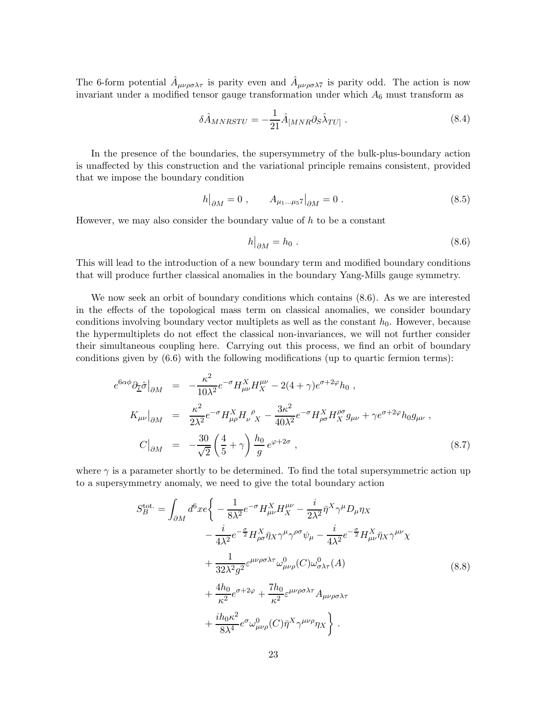The 6-form potential  $\hat{A}_{\mu\nu\rho\sigma\lambda\tau}$  is parity even and  $\hat{A}_{\mu\nu\rho\sigma\lambda\tau}$  is parity odd. The action is now invariant under a modified tensor gauge transformation under which  $A_6$  must transform as

$$
\delta \hat{A}_{MNRSTU} = -\frac{1}{21} \hat{A}_{[MNR} \partial_S \hat{\lambda}_{TU]} \ . \tag{8.4}
$$

In the presence of the boundaries, the supersymmetry of the bulk-plus-boundary action is unaffected by this construction and the variational principle remains consistent, provided that we impose the boundary condition

$$
h|_{\partial M} = 0 , \qquad A_{\mu_1...\mu_5} \eta|_{\partial M} = 0 . \tag{8.5}
$$

However, we may also consider the boundary value of  $h$  to be a constant

$$
h\big|_{\partial M} = h_0 \tag{8.6}
$$

This will lead to the introduction of a new boundary term and modified boundary conditions that will produce further classical anomalies in the boundary Yang-Mills gauge symmetry.

We now seek an orbit of boundary conditions which contains (8.6). As we are interested in the effects of the topological mass term on classical anomalies, we consider boundary conditions involving boundary vector multiplets as well as the constant  $h_0$ . However, because the hypermultiplets do not effect the classical non-invariances, we will not further consider their simultaneous coupling here. Carrying out this process, we find an orbit of boundary conditions given by (6.6) with the following modifications (up to quartic fermion terms):

$$
e^{6\alpha\phi}\partial_{\overline{L}}\hat{\sigma}\big|_{\partial M} = -\frac{\kappa^2}{10\lambda^2}e^{-\sigma}H_{\mu\nu}^XH_{X}^{\mu\nu} - 2(4+\gamma)e^{\sigma+2\varphi}h_0 ,
$$
  
\n
$$
K_{\mu\nu}\big|_{\partial M} = \frac{\kappa^2}{2\lambda^2}e^{-\sigma}H_{\mu\rho}^XH_{\nu}^{\ \rho}{}_{X} - \frac{3\kappa^2}{40\lambda^2}e^{-\sigma}H_{\rho\sigma}^XH_{X}^{\rho\sigma}g_{\mu\nu} + \gamma e^{\sigma+2\varphi}h_0g_{\mu\nu} ,
$$
  
\n
$$
C\big|_{\partial M} = -\frac{30}{\sqrt{2}}\left(\frac{4}{5}+\gamma\right)\frac{h_0}{g}e^{\varphi+2\sigma} ,
$$
\n(8.7)

where  $\gamma$  is a parameter shortly to be determined. To find the total supersymmetric action up to a supersymmetry anomaly, we need to give the total boundary action

$$
S_B^{\text{tot.}} = \int_{\partial M} d^6 x e \left\{ -\frac{1}{8\lambda^2} e^{-\sigma} H_{\mu\nu}^X H_X^{\mu\nu} - \frac{i}{2\lambda^2} \bar{\eta}^X \gamma^{\mu} D_{\mu} \eta_X -\frac{i}{4\lambda^2} e^{-\frac{\sigma}{2}} H_{\rho\sigma}^X \bar{\eta}_X \gamma^{\mu} \gamma^{\rho\sigma} \psi_{\mu} - \frac{i}{4\lambda^2} e^{-\frac{\sigma}{2}} H_{\mu\nu}^X \bar{\eta}_X \gamma^{\mu\nu} \chi + \frac{1}{32\lambda^2 g^2} \varepsilon^{\mu\nu\rho\sigma \lambda \tau} \omega^0_{\mu\nu\rho} (C) \omega^0_{\sigma\lambda \tau} (A) + \frac{4h_0}{\kappa^2} e^{\sigma + 2\varphi} + \frac{7h_0}{\kappa^2} \varepsilon^{\mu\nu\rho\sigma \lambda \tau} A_{\mu\nu\rho\sigma \lambda \tau} + \frac{i h_0 \kappa^2}{8\lambda^4} e^{\sigma} \omega^0_{\mu\nu\rho} (C) \bar{\eta}^X \gamma^{\mu\nu\rho} \eta_X \right\} .
$$
 (8.8)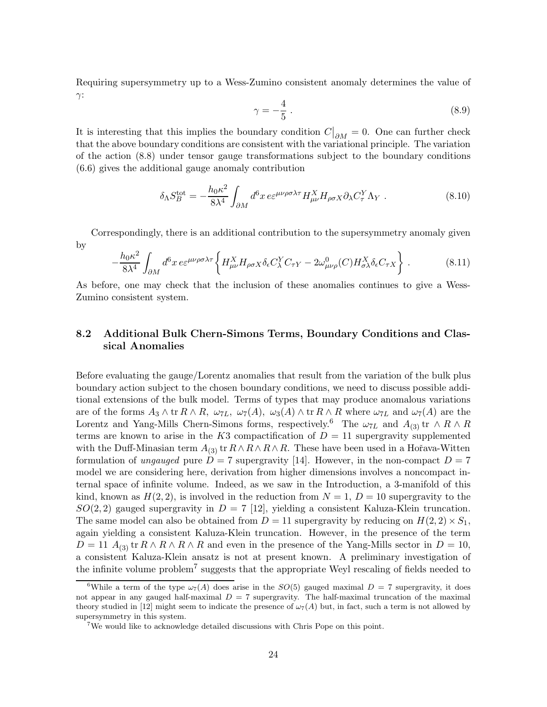Requiring supersymmetry up to a Wess-Zumino consistent anomaly determines the value of  $\gamma$ :

$$
\gamma = -\frac{4}{5} \,. \tag{8.9}
$$

It is interesting that this implies the boundary condition  $C|_{\partial M} = 0$ . One can further check that the above boundary conditions are consistent with the variational principle. The variation of the action (8.8) under tensor gauge transformations subject to the boundary conditions (6.6) gives the additional gauge anomaly contribution

$$
\delta_{\Lambda} S_B^{\text{tot}} = -\frac{h_0 \kappa^2}{8\lambda^4} \int_{\partial M} d^6 x \, e \varepsilon^{\mu\nu\rho\sigma\lambda\tau} H_{\mu\nu}^X H_{\rho\sigma X} \partial_{\lambda} C_\tau^Y \Lambda_Y \,. \tag{8.10}
$$

Correspondingly, there is an additional contribution to the supersymmetry anomaly given by

$$
-\frac{h_0 \kappa^2}{8\lambda^4} \int_{\partial M} d^6 x \, \varepsilon \varepsilon^{\mu\nu\rho\sigma\lambda\tau} \left\{ H_{\mu\nu}^X H_{\rho\sigma X} \delta_\epsilon C_\lambda^Y C_{\tau Y} - 2\omega_{\mu\nu\rho}^0(C) H_{\sigma\lambda}^X \delta_\epsilon C_{\tau X} \right\} \,. \tag{8.11}
$$

As before, one may check that the inclusion of these anomalies continues to give a Wess-Zumino consistent system.

## 8.2 Additional Bulk Chern-Simons Terms, Boundary Conditions and Classical Anomalies

Before evaluating the gauge/Lorentz anomalies that result from the variation of the bulk plus boundary action subject to the chosen boundary conditions, we need to discuss possible additional extensions of the bulk model. Terms of types that may produce anomalous variations are of the forms  $A_3 \wedge \text{tr } R \wedge R$ ,  $\omega_{7L}$ ,  $\omega_7(A)$ ,  $\omega_3(A) \wedge \text{tr } R \wedge R$  where  $\omega_{7L}$  and  $\omega_7(A)$  are the Lorentz and Yang-Mills Chern-Simons forms, respectively.<sup>6</sup> The  $\omega_{7L}$  and  $A_{(3)}$  tr ∧ R ∧ R terms are known to arise in the K3 compactification of  $D = 11$  supergravity supplemented with the Duff-Minasian term  $A_{(3)}$  tr  $R \wedge R \wedge R \wedge R$ . These have been used in a Hořava-Witten formulation of ungauged pure  $D = 7$  supergravity [14]. However, in the non-compact  $D = 7$ model we are considering here, derivation from higher dimensions involves a noncompact internal space of infinite volume. Indeed, as we saw in the Introduction, a 3-manifold of this kind, known as  $H(2, 2)$ , is involved in the reduction from  $N = 1$ ,  $D = 10$  supergravity to the  $SO(2, 2)$  gauged supergravity in  $D = 7$  [12], yielding a consistent Kaluza-Klein truncation. The same model can also be obtained from  $D = 11$  supergravity by reducing on  $H(2, 2) \times S_1$ , again yielding a consistent Kaluza-Klein truncation. However, in the presence of the term  $D = 11$   $A_{(3)}$  tr  $R \wedge R \wedge R \wedge R$  and even in the presence of the Yang-Mills sector in  $D = 10$ , a consistent Kaluza-Klein ansatz is not at present known. A preliminary investigation of the infinite volume problem<sup>7</sup> suggests that the appropriate Weyl rescaling of fields needed to

<sup>&</sup>lt;sup>6</sup>While a term of the type  $\omega_7(A)$  does arise in the SO(5) gauged maximal  $D = 7$  supergravity, it does not appear in any gauged half-maximal  $D = 7$  supergravity. The half-maximal truncation of the maximal theory studied in [12] might seem to indicate the presence of  $\omega_7(A)$  but, in fact, such a term is not allowed by supersymmetry in this system.

<sup>7</sup>We would like to acknowledge detailed discussions with Chris Pope on this point.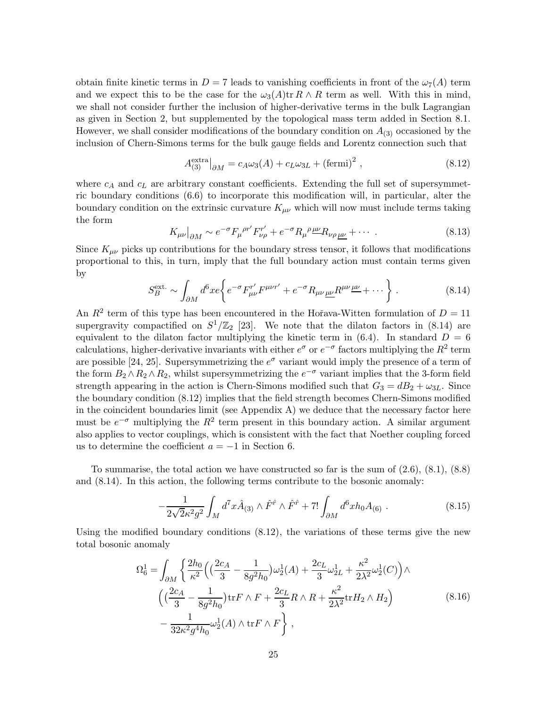obtain finite kinetic terms in  $D = 7$  leads to vanishing coefficients in front of the  $\omega_7(A)$  term and we expect this to be the case for the  $\omega_3(A)$ tr  $R \wedge R$  term as well. With this in mind, we shall not consider further the inclusion of higher-derivative terms in the bulk Lagrangian as given in Section 2, but supplemented by the topological mass term added in Section 8.1. However, we shall consider modifications of the boundary condition on  $A_{(3)}$  occasioned by the inclusion of Chern-Simons terms for the bulk gauge fields and Lorentz connection such that

$$
A_{(3)}^{\text{extra}}\big|_{\partial M} = c_A \omega_3(A) + c_L \omega_{3L} + (\text{fermi})^2 ,\qquad (8.12)
$$

where  $c_A$  and  $c_L$  are arbitrary constant coefficients. Extending the full set of supersymmetric boundary conditions (6.6) to incorporate this modification will, in particular, alter the boundary condition on the extrinsic curvature  $K_{\mu\nu}$  which will now must include terms taking the form

$$
K_{\mu\nu}\big|_{\partial M} \sim e^{-\sigma} F_{\mu}{}^{\rho r'} F_{\nu\rho}^{r'} + e^{-\sigma} R_{\mu}{}^{\rho} \frac{\mu\nu}{\Delta} R_{\nu\rho}{}_{\mu\nu} + \cdots \tag{8.13}
$$

Since  $K_{\mu\nu}$  picks up contributions for the boundary stress tensor, it follows that modifications proportional to this, in turn, imply that the full boundary action must contain terms given by

$$
S_B^{\text{ext.}} \sim \int_{\partial M} d^6 x e \left\{ e^{-\sigma} F_{\mu\nu}^{r'} F^{\mu\nu r'} + e^{-\sigma} R_{\mu\nu}{}_{\underline{\mu}\underline{\nu}} R^{\mu\nu}{}^{\underline{\mu}\underline{\nu}} + \cdots \right\} \,. \tag{8.14}
$$

An  $R^2$  term of this type has been encountered in the Hořava-Witten formulation of  $D = 11$ supergravity compactified on  $S^1/\mathbb{Z}_2$  [23]. We note that the dilaton factors in (8.14) are equivalent to the dilaton factor multiplying the kinetic term in  $(6.4)$ . In standard  $D = 6$ calculations, higher-derivative invariants with either  $e^{\sigma}$  or  $e^{-\sigma}$  factors multiplying the  $R^2$  term are possible [24, 25]. Supersymmetrizing the  $e^{\sigma}$  variant would imply the presence of a term of the form  $B_2 \wedge R_2 \wedge R_2$ , whilst supersymmetrizing the  $e^{-\sigma}$  variant implies that the 3-form field strength appearing in the action is Chern-Simons modified such that  $G_3 = dB_2 + \omega_{3L}$ . Since the boundary condition (8.12) implies that the field strength becomes Chern-Simons modified in the coincident boundaries limit (see Appendix A) we deduce that the necessary factor here must be  $e^{-\sigma}$  multiplying the  $R^2$  term present in this boundary action. A similar argument also applies to vector couplings, which is consistent with the fact that Noether coupling forced us to determine the coefficient  $a = -1$  in Section 6.

To summarise, the total action we have constructed so far is the sum of  $(2.6)$ ,  $(8.1)$ ,  $(8.8)$ and (8.14). In this action, the following terms contribute to the bosonic anomaly:

$$
-\frac{1}{2\sqrt{2}\kappa^2 g^2} \int_M d^7x \hat{A}_{(3)} \wedge \hat{F}^{\hat{r}} \wedge \hat{F}^{\hat{r}} + 7! \int_{\partial M} d^6x h_0 A_{(6)} . \tag{8.15}
$$

Using the modified boundary conditions (8.12), the variations of these terms give the new total bosonic anomaly

$$
\Omega_6^1 = \int_{\partial M} \left\{ \frac{2h_0}{\kappa^2} \left( \left( \frac{2c_A}{3} - \frac{1}{8g^2 h_0} \right) \omega_2^1(A) + \frac{2c_L}{3} \omega_{2L}^1 + \frac{\kappa^2}{2\lambda^2} \omega_2^1(C) \right) \wedge \left( \left( \frac{2c_A}{3} - \frac{1}{8g^2 h_0} \right) \text{tr} F \wedge F + \frac{2c_L}{3} R \wedge R + \frac{\kappa^2}{2\lambda^2} \text{tr} H_2 \wedge H_2 \right) - \frac{1}{32\kappa^2 g^4 h_0} \omega_2^1(A) \wedge \text{tr} F \wedge F \right\},
$$
\n(8.16)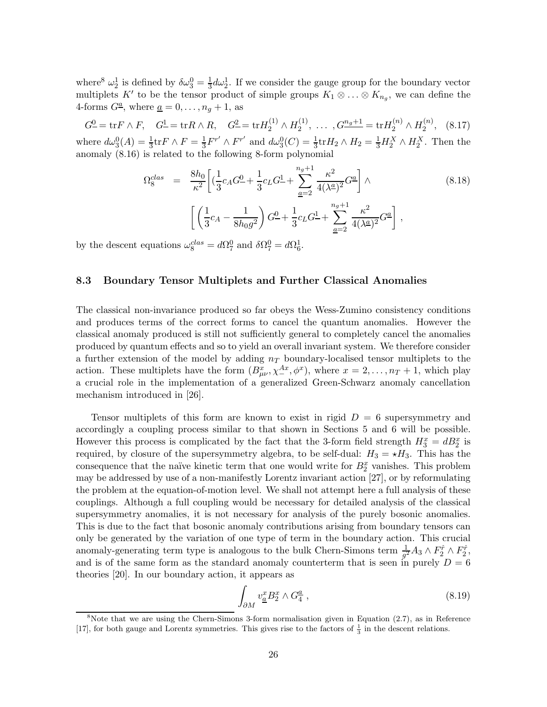where<sup>8</sup>  $\omega_2^1$  is defined by  $\delta \omega_3^0 = \frac{1}{3}$  $\frac{1}{3}d\omega_2^1$ . If we consider the gauge group for the boundary vector multiplets K' to be the tensor product of simple groups  $K_1 \otimes \ldots \otimes K_{n_g}$ , we can define the 4-forms  $G^{\underline{a}}$ , where  $\underline{a} = 0, \ldots, n_g + 1$ , as

 $G^0 = \text{tr} F \wedge F$ ,  $G^1 = \text{tr} R \wedge R$ ,  $G^2 = \text{tr} H_2^{(1)} \wedge H_2^{(1)}$  $G_2^{(1)}, \ldots, G_{\frac{m_g+1}{2}} = \text{tr} H_2^{(n)} \wedge H_2^{(n)}$  $2^{(n)}, (8.17)$ where  $d\omega_3^0(A) = \frac{1}{3} \text{tr} F \wedge F = \frac{1}{3} F^{r'} \wedge F^{r'}$  and  $d\omega_3^0(C) = \frac{1}{3} \text{tr} H_2 \wedge H_2 = \frac{1}{3} H_2^X \wedge H_2^X$ . Then the anomaly (8.16) is related to the following 8-form polynomial

$$
\Omega_8^{clas} = \frac{8h_0}{\kappa^2} \left[ \left( \frac{1}{3} c_A G^0 + \frac{1}{3} c_L G^1 + \sum_{\underline{a}=2}^{n_g+1} \frac{\kappa^2}{4(\lambda^{\underline{a}})^2} G^{\underline{a}} \right] \wedge \qquad (8.18)
$$

$$
\left[ \left( \frac{1}{3} c_A - \frac{1}{8h_0 g^2} \right) G^0 + \frac{1}{3} c_L G^1 + \sum_{\underline{a}=2}^{n_g+1} \frac{\kappa^2}{4(\lambda^{\underline{a}})^2} G^{\underline{a}} \right],
$$

by the descent equations  $\omega_8^{clas} = d\Omega_7^0$  and  $\delta\Omega_7^0 = d\Omega_6^1$ .

#### 8.3 Boundary Tensor Multiplets and Further Classical Anomalies

The classical non-invariance produced so far obeys the Wess-Zumino consistency conditions and produces terms of the correct forms to cancel the quantum anomalies. However the classical anomaly produced is still not sufficiently general to completely cancel the anomalies produced by quantum effects and so to yield an overall invariant system. We therefore consider a further extension of the model by adding  $n<sub>T</sub>$  boundary-localised tensor multiplets to the action. These multiplets have the form  $(B_{\mu\nu}^x, \chi_{-}^{Ax}, \phi^x)$ , where  $x = 2, \ldots, n_T + 1$ , which play a crucial role in the implementation of a generalized Green-Schwarz anomaly cancellation mechanism introduced in [26].

Tensor multiplets of this form are known to exist in rigid  $D = 6$  supersymmetry and accordingly a coupling process similar to that shown in Sections 5 and 6 will be possible. However this process is complicated by the fact that the 3-form field strength  $H_3^x = dB_2^x$  is required, by closure of the supersymmetry algebra, to be self-dual:  $H_3 = \star H_3$ . This has the consequence that the naïve kinetic term that one would write for  $B_2^x$  vanishes. This problem may be addressed by use of a non-manifestly Lorentz invariant action [27], or by reformulating the problem at the equation-of-motion level. We shall not attempt here a full analysis of these couplings. Although a full coupling would be necessary for detailed analysis of the classical supersymmetry anomalies, it is not necessary for analysis of the purely bosonic anomalies. This is due to the fact that bosonic anomaly contributions arising from boundary tensors can only be generated by the variation of one type of term in the boundary action. This crucial anomaly-generating term type is analogous to the bulk Chern-Simons term  $\frac{1}{g^2}A_3 \wedge F_2^{\hat{r}} \wedge F_2^{\hat{r}}$ , and is of the same form as the standard anomaly counterterm that is seen in purely  $D = 6$ theories [20]. In our boundary action, it appears as

$$
\int_{\partial M} v^x_{\underline{a}} B^x_2 \wedge G^{\underline{a}}_4 , \qquad (8.19)
$$

 $8$ Note that we are using the Chern-Simons 3-form normalisation given in Equation (2.7), as in Reference [17], for both gauge and Lorentz symmetries. This gives rise to the factors of  $\frac{1}{3}$  in the descent relations.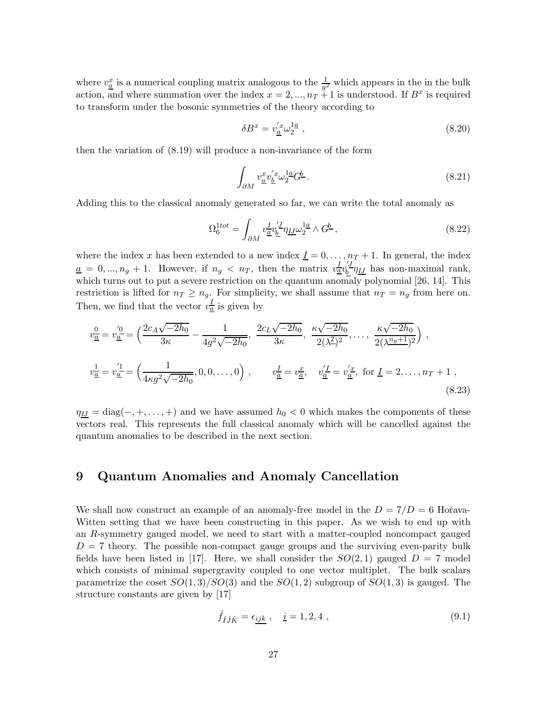where  $v_{\underline{a}}^x$  is a numerical coupling matrix analogous to the  $\frac{1}{g^2}$  which appears in the in the bulk action, and where summation over the index  $x = 2, ..., n<sub>T</sub> + 1$  is understood. If  $B<sup>x</sup>$  is required to transform under the bosonic symmetries of the theory according to

$$
\delta B^x = v'_a \omega_2^{1a} \,,\tag{8.20}
$$

then the variation of (8.19) will produce a non-invariance of the form

$$
\int_{\partial M} v_{\underline{a}}^x v_{\underline{b}}^{'x} \omega_{2}^{1\underline{a}} G^{\underline{b}}.
$$
\n(8.21)

Adding this to the classical anomaly generated so far, we can write the total anomaly as

$$
\Omega_6^{1tot} = \int_{\partial M} v^I_{\underline{a}} v^{'J}_{\underline{b}} \eta_{\underline{L}} \omega_2^{1\underline{a}} \wedge G^{\underline{b}} \,, \tag{8.22}
$$

where the index x has been extended to a new index  $\underline{I} = 0, \ldots, n_T + 1$ . In general, the index  $\underline{a} = 0, ..., n_g + 1$ . However, if  $n_g < n_T$ , then the matrix  $v_{\underline{a}}^{I} v_{\underline{b}}^{I'}$  $\frac{\partial}{\partial \rho} \eta_{IJ}$  has non-maximal rank, which turns out to put a severe restriction on the quantum anomaly polynomial [26, 14]. This restriction is lifted for  $n_T \ge n_g$ . For simplicity, we shall assume that  $n_T = n_g$  from here on. Then, we find that the vector  $v_{\underline{a}}^I$  is given by

$$
v_{\overline{\underline{a}}}^{0} = v_{\underline{a}}^{'0} = \left(\frac{2c_A\sqrt{-2h_0}}{3\kappa} - \frac{1}{4g^2\sqrt{-2h_0}}, \frac{2c_L\sqrt{-2h_0}}{3\kappa}, \frac{\kappa\sqrt{-2h_0}}{2(\lambda^2)^2}, \dots, \frac{\kappa\sqrt{-2h_0}}{2(\lambda^{\frac{n_g+1}{2}})^2}\right),
$$
  

$$
v_{\overline{\underline{a}}}^{1} = v_{\underline{a}}^{'1} = \left(\frac{1}{4\kappa g^2\sqrt{-2h_0}}, 0, 0, \dots, 0\right), \qquad v_{\overline{\underline{a}}}^{I} = v_{\overline{\underline{a}}}^{x}, \quad v_{\underline{a}}^{'I} = v_{\overline{\underline{a}}}^{'x}, \text{ for } I = 2, \dots, n_T + 1,
$$
\n(8.23)

 $\eta_{IJ} = \text{diag}(-, +, \dots, +)$  and we have assumed  $h_0 < 0$  which makes the components of these vectors real. This represents the full classical anomaly which will be cancelled against the quantum anomalies to be described in the next section.

## 9 Quantum Anomalies and Anomaly Cancellation

We shall now construct an example of an anomaly-free model in the  $D = 7/D = 6$  Hořava-Witten setting that we have been constructing in this paper. As we wish to end up with an R-symmetry gauged model, we need to start with a matter-coupled noncompact gauged  $D = 7$  theory. The possible non-compact gauge groups and the surviving even-parity bulk fields have been listed in [17]. Here, we shall consider the  $SO(2,1)$  gauged  $D = 7$  model which consists of minimal supergravity coupled to one vector multiplet. The bulk scalars parametrize the coset  $SO(1,3)/SO(3)$  and the  $SO(1,2)$  subgroup of  $SO(1,3)$  is gauged. The structure constants are given by [17]

$$
\hat{f}_{\hat{I}\hat{J}\hat{K}} = \epsilon_{\underline{ijk}} \,, \quad \underline{i} = 1, 2, 4 \,, \tag{9.1}
$$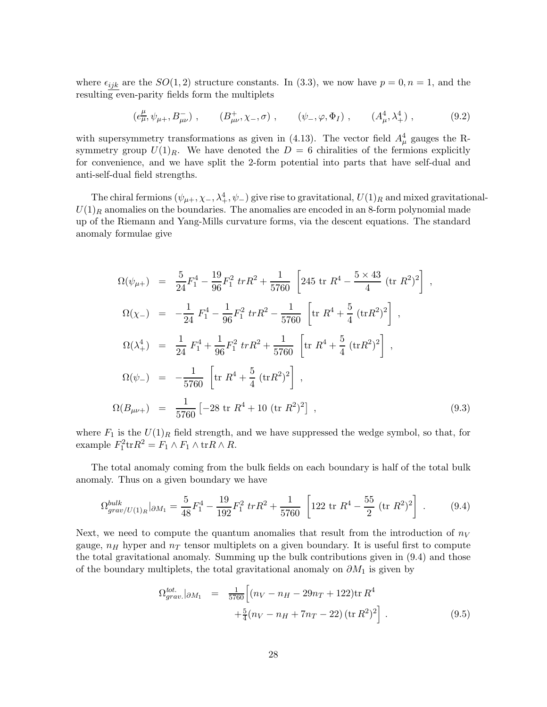where  $\epsilon_{ijk}$  are the  $SO(1, 2)$  structure constants. In (3.3), we now have  $p = 0, n = 1$ , and the resulting even-parity fields form the multiplets

$$
(e^{\mu}_{\mu}, \psi_{\mu+}, B^{-}_{\mu\nu}), \qquad (B^{+}_{\mu\nu}, \chi_{-}, \sigma) , \qquad (\psi_{-}, \varphi, \Phi_{I}) , \qquad (A^{4}_{\mu}, \lambda^{4}_{+}) , \qquad (9.2)
$$

with supersymmetry transformations as given in (4.13). The vector field  $A^4_\mu$  gauges the Rsymmetry group  $U(1)_R$ . We have denoted the  $D = 6$  chiralities of the fermions explicitly for convenience, and we have split the 2-form potential into parts that have self-dual and anti-self-dual field strengths.

The chiral fermions  $(\psi_{\mu+}, \chi_-, \lambda^4_+, \psi_-)$  give rise to gravitational,  $U(1)_R$  and mixed gravitational- $U(1)_R$  anomalies on the boundaries. The anomalies are encoded in an 8-form polynomial made up of the Riemann and Yang-Mills curvature forms, via the descent equations. The standard anomaly formulae give

$$
\Omega(\psi_{\mu+}) = \frac{5}{24} F_1^4 - \frac{19}{96} F_1^2 \ tr R^2 + \frac{1}{5760} \left[ 245 \ tr \ R^4 - \frac{5 \times 43}{4} \ (tr \ R^2)^2 \right],
$$
  
\n
$$
\Omega(\chi_{-}) = -\frac{1}{24} F_1^4 - \frac{1}{96} F_1^2 \ tr R^2 - \frac{1}{5760} \left[ tr \ R^4 + \frac{5}{4} \ (tr R^2)^2 \right],
$$
  
\n
$$
\Omega(\lambda_+^4) = \frac{1}{24} F_1^4 + \frac{1}{96} F_1^2 \ tr R^2 + \frac{1}{5760} \left[ tr \ R^4 + \frac{5}{4} \ (tr R^2)^2 \right],
$$
  
\n
$$
\Omega(\psi_{-}) = -\frac{1}{5760} \left[ tr \ R^4 + \frac{5}{4} \ (tr R^2)^2 \right],
$$
  
\n
$$
\Omega(B_{\mu\nu+}) = \frac{1}{5760} \left[ -28 \ tr \ R^4 + 10 \ (tr \ R^2)^2 \right],
$$
\n(9.3)

where  $F_1$  is the  $U(1)_R$  field strength, and we have suppressed the wedge symbol, so that, for example  $F_1^2 \text{tr} R^2 = F_1 \wedge F_1 \wedge \text{tr} R \wedge R$ .

The total anomaly coming from the bulk fields on each boundary is half of the total bulk anomaly. Thus on a given boundary we have

$$
\Omega_{grav/U(1)_R}^{bulk}|_{\partial M_1} = \frac{5}{48}F_1^4 - \frac{19}{192}F_1^2 \ trR^2 + \frac{1}{5760} \left[122 \ tr \ R^4 - \frac{55}{2} \ (tr \ R^2)^2\right] \ . \tag{9.4}
$$

Next, we need to compute the quantum anomalies that result from the introduction of  $n_V$ gauge,  $n_H$  hyper and  $n_T$  tensor multiplets on a given boundary. It is useful first to compute the total gravitational anomaly. Summing up the bulk contributions given in (9.4) and those of the boundary multiplets, the total gravitational anomaly on  $\partial M_1$  is given by

$$
\Omega_{grav.}^{tot.} |_{\partial M_1} = \frac{1}{5760} \Big[ (n_V - n_H - 29n_T + 122) \text{tr} \, R^4 + \frac{5}{4} (n_V - n_H + 7n_T - 22) \, (\text{tr} \, R^2)^2 \Big] \,. \tag{9.5}
$$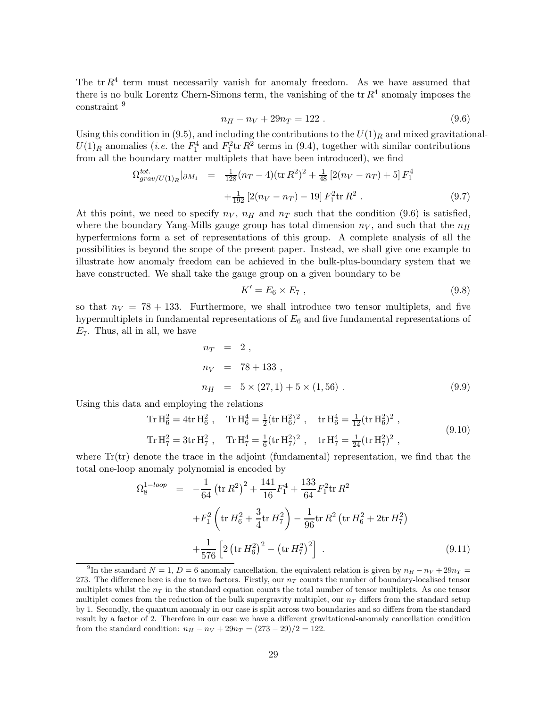The  $tr R<sup>4</sup>$  term must necessarily vanish for anomaly freedom. As we have assumed that there is no bulk Lorentz Chern-Simons term, the vanishing of the  $tr R<sup>4</sup>$  anomaly imposes the constraint <sup>9</sup>

$$
n_H - n_V + 29n_T = 122 \tag{9.6}
$$

Using this condition in (9.5), and including the contributions to the  $U(1)<sub>R</sub>$  and mixed gravitational- $U(1)_R$  anomalies (*i.e.* the  $F_1^4$  and  $F_1^2$ tr  $R^2$  terms in (9.4), together with similar contributions from all the boundary matter multiplets that have been introduced), we find

$$
\Omega_{grav/U(1)_R}^{tot.} \rvert_{\partial M_1} = \frac{1}{128} (n_T - 4)(\text{tr } R^2)^2 + \frac{1}{48} [2(n_V - n_T) + 5] F_1^4
$$
  
 
$$
+ \frac{1}{192} [2(n_V - n_T) - 19] F_1^2 \text{tr } R^2 . \tag{9.7}
$$

At this point, we need to specify  $n_V$ ,  $n_H$  and  $n_T$  such that the condition (9.6) is satisfied, where the boundary Yang-Mills gauge group has total dimension  $n_V$ , and such that the  $n_H$ hyperfermions form a set of representations of this group. A complete analysis of all the possibilities is beyond the scope of the present paper. Instead, we shall give one example to illustrate how anomaly freedom can be achieved in the bulk-plus-boundary system that we have constructed. We shall take the gauge group on a given boundary to be

$$
K'=E_6\times E_7,\t\t(9.8)
$$

so that  $n_V = 78 + 133$ . Furthermore, we shall introduce two tensor multiplets, and five hypermultiplets in fundamental representations of  $E_6$  and five fundamental representations of  $E_7$ . Thus, all in all, we have

$$
n_T = 2,
$$
  
\n
$$
n_V = 78 + 133,
$$
  
\n
$$
n_H = 5 \times (27, 1) + 5 \times (1, 56).
$$
\n(9.9)

Using this data and employing the relations

Tr H<sub>6</sub><sup>2</sup> = 4tr H<sub>6</sub><sup>2</sup>, Tr H<sub>6</sub><sup>4</sup> = 
$$
\frac{1}{2}
$$
(tr H<sub>6</sub><sup>2</sup>)<sup>2</sup>, tr H<sub>6</sub><sup>4</sup> =  $\frac{1}{12}$ (tr H<sub>6</sub><sup>2</sup>)<sup>2</sup>,  
Tr H<sub>7</sub><sup>2</sup> = 3tr H<sub>7</sub><sup>2</sup>, Tr H<sub>7</sub><sup>4</sup> =  $\frac{1}{6}$ (tr H<sub>7</sub><sup>2</sup>)<sup>2</sup>, tr H<sub>7</sub><sup>4</sup> =  $\frac{1}{24}$ (tr H<sub>7</sub><sup>2</sup>)<sup>2</sup>, (9.10)

where  $Tr(tr)$  denote the trace in the adjoint (fundamental) representation, we find that the total one-loop anomaly polynomial is encoded by

$$
\Omega_8^{1-loop} = -\frac{1}{64} \left( \text{tr} \, R^2 \right)^2 + \frac{141}{16} F_1^4 + \frac{133}{64} F_1^2 \text{tr} \, R^2 \n+ F_1^2 \left( \text{tr} \, H_6^2 + \frac{3}{4} \text{tr} \, H_7^2 \right) - \frac{1}{96} \text{tr} \, R^2 \left( \text{tr} \, H_6^2 + 2 \text{tr} \, H_7^2 \right) \n+ \frac{1}{576} \left[ 2 \left( \text{tr} \, H_6^2 \right)^2 - \left( \text{tr} \, H_7^2 \right)^2 \right] .
$$
\n(9.11)

<sup>&</sup>lt;sup>9</sup>In the standard  $N = 1, D = 6$  anomaly cancellation, the equivalent relation is given by  $n_H - n_V + 29n_T =$ 273. The difference here is due to two factors. Firstly, our  $n<sub>T</sub>$  counts the number of boundary-localised tensor multiplets whilst the  $n<sub>T</sub>$  in the standard equation counts the total number of tensor multiplets. As one tensor multiplet comes from the reduction of the bulk supergravity multiplet, our  $n<sub>T</sub>$  differs from the standard setup by 1. Secondly, the quantum anomaly in our case is split across two boundaries and so differs from the standard result by a factor of 2. Therefore in our case we have a different gravitational-anomaly cancellation condition from the standard condition:  $n_H - n_V + 29n_T = (273 - 29)/2 = 122$ .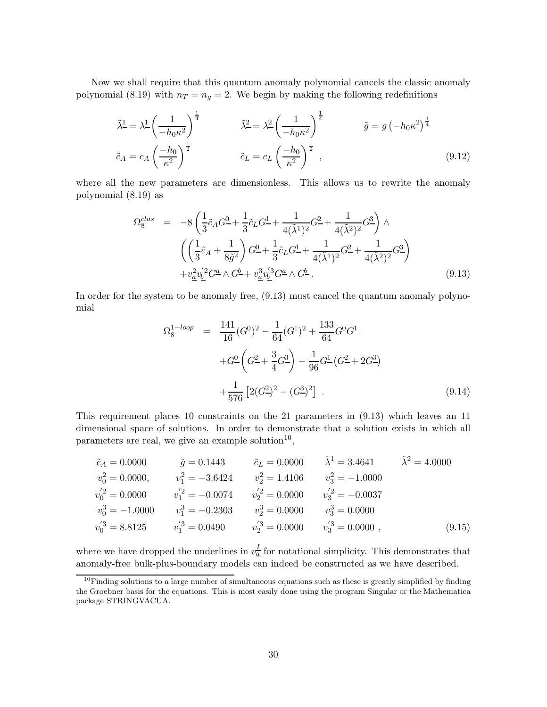Now we shall require that this quantum anomaly polynomial cancels the classic anomaly polynomial (8.19) with  $n_T = n_g = 2$ . We begin by making the following redefinitions

$$
\tilde{\lambda}^{\underline{1}} = \lambda^{\underline{1}} \left( \frac{1}{-h_0 \kappa^2} \right)^{\frac{1}{4}} \qquad \qquad \tilde{\lambda}^{\underline{2}} = \lambda^{\underline{2}} \left( \frac{1}{-h_0 \kappa^2} \right)^{\frac{1}{4}} \qquad \qquad \tilde{g} = g \left( -h_0 \kappa^2 \right)^{\frac{1}{4}}
$$
\n
$$
\tilde{c}_A = c_A \left( \frac{-h_0}{\kappa^2} \right)^{\frac{1}{2}} \qquad \qquad \tilde{c}_L = c_L \left( \frac{-h_0}{\kappa^2} \right)^{\frac{1}{2}}, \qquad (9.12)
$$

where all the new parameters are dimensionless. This allows us to rewrite the anomaly polynomial (8.19) as

$$
\Omega_8^{clas} = -8\left(\frac{1}{3}\tilde{c}_A G^0 + \frac{1}{3}\tilde{c}_L G^1 + \frac{1}{4(\tilde{\lambda}^1)^2} G^2 + \frac{1}{4(\tilde{\lambda}^2)^2} G^3\right) \wedge \left(\left(\frac{1}{3}\tilde{c}_A + \frac{1}{8\tilde{g}^2}\right) G^0 + \frac{1}{3}\tilde{c}_L G^1 + \frac{1}{4(\tilde{\lambda}^1)^2} G^2 + \frac{1}{4(\tilde{\lambda}^2)^2} G^3\right) + v_{\underline{a}}^2 v_{\underline{b}}^{'2} G^{\underline{a}} \wedge G^{\underline{b}} + v_{\underline{a}}^3 v_{\underline{b}}^{'3} G^{\underline{a}} \wedge G^{\underline{b}}.
$$
\n(9.13)

In order for the system to be anomaly free, (9.13) must cancel the quantum anomaly polynomial

$$
\Omega_8^{1-loop} = \frac{141}{16} (G^0)^2 - \frac{1}{64} (G^1)^2 + \frac{133}{64} G^0 G^1 -
$$
  
+
$$
G^0 \left( G^2 + \frac{3}{4} G^3 \right) - \frac{1}{96} G^1 \left( G^2 + 2G^3 \right)
$$
  
+
$$
\frac{1}{576} \left[ 2(G^2)^2 - (G^3)^2 \right] .
$$
 (9.14)

This requirement places 10 constraints on the 21 parameters in (9.13) which leaves an 11 dimensional space of solutions. In order to demonstrate that a solution exists in which all parameters are real, we give an example solution $10$ ,

$$
\tilde{c}_A = 0.0000 \qquad \tilde{g} = 0.1443 \qquad \tilde{c}_L = 0.0000 \qquad \tilde{\lambda}^1 = 3.4641 \qquad \tilde{\lambda}^2 = 4.0000
$$
  
\n
$$
v_0^2 = 0.0000, \qquad v_1^2 = -3.6424 \qquad v_2^2 = 1.4106 \qquad v_3^2 = -1.0000
$$
  
\n
$$
v_0'^2 = 0.0000 \qquad v_1'^2 = -0.0074 \qquad v_2'^2 = 0.0000 \qquad v_3'^2 = -0.0037
$$
  
\n
$$
v_0^3 = -1.0000 \qquad v_1^3 = -0.2303 \qquad v_2^3 = 0.0000 \qquad v_3^3 = 0.0000
$$
  
\n
$$
v_0'^3 = 8.8125 \qquad v_1'^3 = 0.0490 \qquad v_2'^3 = 0.0000 \qquad v_3'^3 = 0.0000 \qquad (9.15)
$$

where we have dropped the underlines in  $v_{\overline{a}}^I$  for notational simplicity. This demonstrates that anomaly-free bulk-plus-boundary models can indeed be constructed as we have described.

 $10$ Finding solutions to a large number of simultaneous equations such as these is greatly simplified by finding the Groebner basis for the equations. This is most easily done using the program Singular or the Mathematica package STRINGVACUA.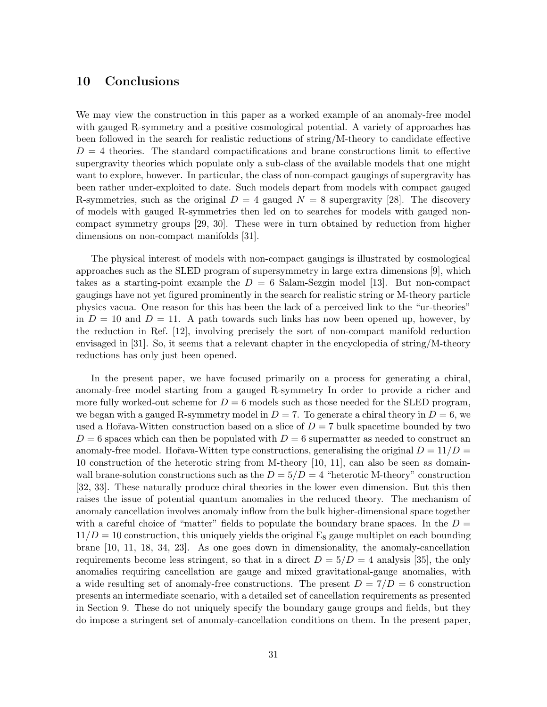## 10 Conclusions

We may view the construction in this paper as a worked example of an anomaly-free model with gauged R-symmetry and a positive cosmological potential. A variety of approaches has been followed in the search for realistic reductions of string/M-theory to candidate effective  $D = 4$  theories. The standard compactifications and brane constructions limit to effective supergravity theories which populate only a sub-class of the available models that one might want to explore, however. In particular, the class of non-compact gaugings of supergravity has been rather under-exploited to date. Such models depart from models with compact gauged R-symmetries, such as the original  $D = 4$  gauged  $N = 8$  supergravity [28]. The discovery of models with gauged R-symmetries then led on to searches for models with gauged noncompact symmetry groups [29, 30]. These were in turn obtained by reduction from higher dimensions on non-compact manifolds [31].

The physical interest of models with non-compact gaugings is illustrated by cosmological approaches such as the SLED program of supersymmetry in large extra dimensions [9], which takes as a starting-point example the  $D = 6$  Salam-Sezgin model [13]. But non-compact gaugings have not yet figured prominently in the search for realistic string or M-theory particle physics vacua. One reason for this has been the lack of a perceived link to the "ur-theories" in  $D = 10$  and  $D = 11$ . A path towards such links has now been opened up, however, by the reduction in Ref. [12], involving precisely the sort of non-compact manifold reduction envisaged in [31]. So, it seems that a relevant chapter in the encyclopedia of string/M-theory reductions has only just been opened.

In the present paper, we have focused primarily on a process for generating a chiral, anomaly-free model starting from a gauged R-symmetry In order to provide a richer and more fully worked-out scheme for  $D = 6$  models such as those needed for the SLED program, we began with a gauged R-symmetry model in  $D = 7$ . To generate a chiral theory in  $D = 6$ , we used a Hořava-Witten construction based on a slice of  $D = 7$  bulk spacetime bounded by two  $D=6$  spaces which can then be populated with  $D=6$  supermatter as needed to construct an anomaly-free model. Hořava-Witten type constructions, generalising the original  $D = 11/D =$ 10 construction of the heterotic string from M-theory [10, 11], can also be seen as domainwall brane-solution constructions such as the  $D = 5/D = 4$  "heterotic M-theory" construction [32, 33]. These naturally produce chiral theories in the lower even dimension. But this then raises the issue of potential quantum anomalies in the reduced theory. The mechanism of anomaly cancellation involves anomaly inflow from the bulk higher-dimensional space together with a careful choice of "matter" fields to populate the boundary brane spaces. In the  $D =$  $11/D = 10$  construction, this uniquely yields the original E<sub>8</sub> gauge multiplet on each bounding brane [10, 11, 18, 34, 23]. As one goes down in dimensionality, the anomaly-cancellation requirements become less stringent, so that in a direct  $D = 5/D = 4$  analysis [35], the only anomalies requiring cancellation are gauge and mixed gravitational-gauge anomalies, with a wide resulting set of anomaly-free constructions. The present  $D = 7/D = 6$  construction presents an intermediate scenario, with a detailed set of cancellation requirements as presented in Section 9. These do not uniquely specify the boundary gauge groups and fields, but they do impose a stringent set of anomaly-cancellation conditions on them. In the present paper,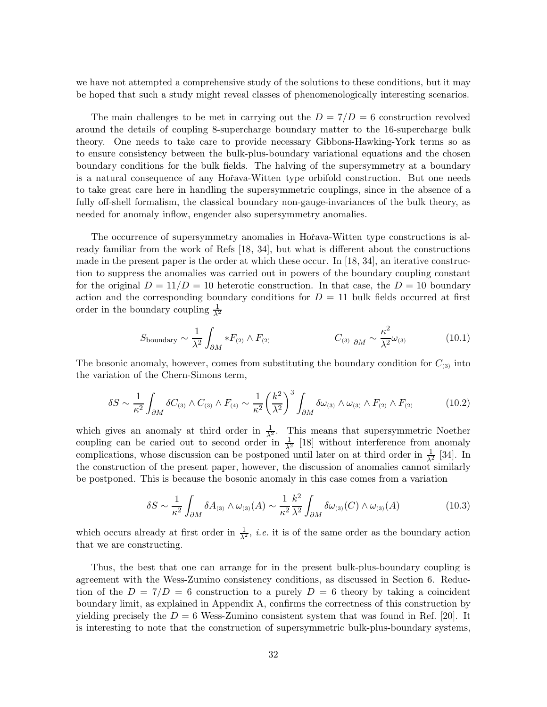we have not attempted a comprehensive study of the solutions to these conditions, but it may be hoped that such a study might reveal classes of phenomenologically interesting scenarios.

The main challenges to be met in carrying out the  $D = 7/D = 6$  construction revolved around the details of coupling 8-supercharge boundary matter to the 16-supercharge bulk theory. One needs to take care to provide necessary Gibbons-Hawking-York terms so as to ensure consistency between the bulk-plus-boundary variational equations and the chosen boundary conditions for the bulk fields. The halving of the supersymmetry at a boundary is a natural consequence of any Hořava-Witten type orbifold construction. But one needs to take great care here in handling the supersymmetric couplings, since in the absence of a fully off-shell formalism, the classical boundary non-gauge-invariances of the bulk theory, as needed for anomaly inflow, engender also supersymmetry anomalies.

The occurrence of supersymmetry anomalies in Hořava-Witten type constructions is already familiar from the work of Refs [18, 34], but what is different about the constructions made in the present paper is the order at which these occur. In  $[18, 34]$ , an iterative construction to suppress the anomalies was carried out in powers of the boundary coupling constant for the original  $D = 11/D = 10$  heterotic construction. In that case, the  $D = 10$  boundary action and the corresponding boundary conditions for  $D = 11$  bulk fields occurred at first order in the boundary coupling  $\frac{1}{\lambda^2}$ 

$$
S_{\text{boundary}} \sim \frac{1}{\lambda^2} \int_{\partial M} *F_{(2)} \wedge F_{(2)} \qquad \qquad C_{(3)}\big|_{\partial M} \sim \frac{\kappa^2}{\lambda^2} \omega_{(3)} \qquad (10.1)
$$

The bosonic anomaly, however, comes from substituting the boundary condition for  $C_{(3)}$  into the variation of the Chern-Simons term,

$$
\delta S \sim \frac{1}{\kappa^2} \int_{\partial M} \delta C_{(3)} \wedge C_{(3)} \wedge F_{(4)} \sim \frac{1}{\kappa^2} \left(\frac{k^2}{\lambda^2}\right)^3 \int_{\partial M} \delta \omega_{(3)} \wedge \omega_{(3)} \wedge F_{(2)} \wedge F_{(2)} \tag{10.2}
$$

which gives an anomaly at third order in  $\frac{1}{\lambda^2}$ . This means that supersymmetric Noether coupling can be caried out to second order in  $\frac{1}{\lambda^2}$  [18] without interference from anomaly complications, whose discussion can be postponed until later on at third order in  $\frac{1}{\lambda^2}$  [34]. In the construction of the present paper, however, the discussion of anomalies cannot similarly be postponed. This is because the bosonic anomaly in this case comes from a variation

$$
\delta S \sim \frac{1}{\kappa^2} \int_{\partial M} \delta A_{(3)} \wedge \omega_{(3)}(A) \sim \frac{1}{\kappa^2} \frac{k^2}{\lambda^2} \int_{\partial M} \delta \omega_{(3)}(C) \wedge \omega_{(3)}(A) \tag{10.3}
$$

which occurs already at first order in  $\frac{1}{\lambda^2}$ , *i.e.* it is of the same order as the boundary action that we are constructing.

Thus, the best that one can arrange for in the present bulk-plus-boundary coupling is agreement with the Wess-Zumino consistency conditions, as discussed in Section 6. Reduction of the  $D = 7/D = 6$  construction to a purely  $D = 6$  theory by taking a coincident boundary limit, as explained in Appendix A, confirms the correctness of this construction by yielding precisely the  $D = 6$  Wess-Zumino consistent system that was found in Ref. [20]. It is interesting to note that the construction of supersymmetric bulk-plus-boundary systems,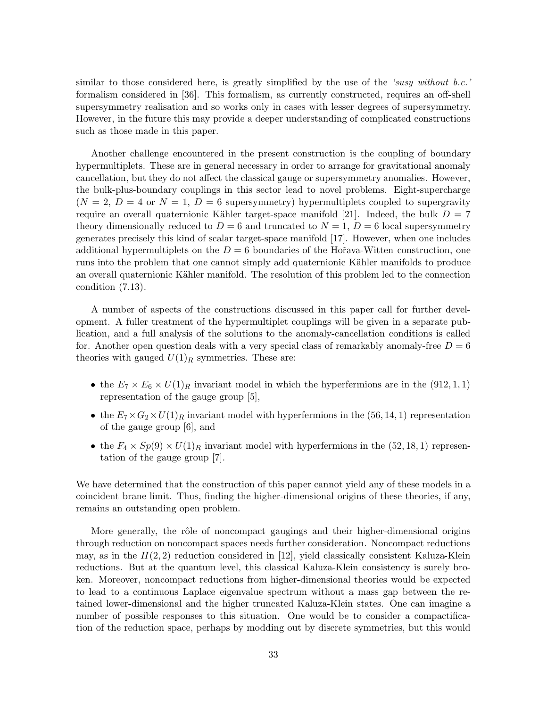similar to those considered here, is greatly simplified by the use of the 'susy without b.c.' formalism considered in [36]. This formalism, as currently constructed, requires an off-shell supersymmetry realisation and so works only in cases with lesser degrees of supersymmetry. However, in the future this may provide a deeper understanding of complicated constructions such as those made in this paper.

Another challenge encountered in the present construction is the coupling of boundary hypermultiplets. These are in general necessary in order to arrange for gravitational anomaly cancellation, but they do not affect the classical gauge or supersymmetry anomalies. However, the bulk-plus-boundary couplings in this sector lead to novel problems. Eight-supercharge  $(N = 2, D = 4 \text{ or } N = 1, D = 6$  supersymmetry) hypermultiplets coupled to supergravity require an overall quaternionic Kähler target-space manifold [21]. Indeed, the bulk  $D = 7$ theory dimensionally reduced to  $D = 6$  and truncated to  $N = 1$ ,  $D = 6$  local supersymmetry generates precisely this kind of scalar target-space manifold [17]. However, when one includes additional hypermultiplets on the  $D = 6$  boundaries of the Hořava-Witten construction, one runs into the problem that one cannot simply add quaternionic Kähler manifolds to produce an overall quaternionic Kähler manifold. The resolution of this problem led to the connection condition (7.13).

A number of aspects of the constructions discussed in this paper call for further development. A fuller treatment of the hypermultiplet couplings will be given in a separate publication, and a full analysis of the solutions to the anomaly-cancellation conditions is called for. Another open question deals with a very special class of remarkably anomaly-free  $D = 6$ theories with gauged  $U(1)_R$  symmetries. These are:

- the  $E_7 \times E_6 \times U(1)_R$  invariant model in which the hyperfermions are in the (912, 1, 1) representation of the gauge group [5],
- the  $E_7 \times G_2 \times U(1)_R$  invariant model with hyperfermions in the (56, 14, 1) representation of the gauge group [6], and
- the  $F_4 \times Sp(9) \times U(1)_R$  invariant model with hyperfermions in the (52, 18, 1) representation of the gauge group [7].

We have determined that the construction of this paper cannot yield any of these models in a coincident brane limit. Thus, finding the higher-dimensional origins of these theories, if any, remains an outstanding open problem.

More generally, the rôle of noncompact gaugings and their higher-dimensional origins through reduction on noncompact spaces needs further consideration. Noncompact reductions may, as in the  $H(2, 2)$  reduction considered in [12], yield classically consistent Kaluza-Klein reductions. But at the quantum level, this classical Kaluza-Klein consistency is surely broken. Moreover, noncompact reductions from higher-dimensional theories would be expected to lead to a continuous Laplace eigenvalue spectrum without a mass gap between the retained lower-dimensional and the higher truncated Kaluza-Klein states. One can imagine a number of possible responses to this situation. One would be to consider a compactification of the reduction space, perhaps by modding out by discrete symmetries, but this would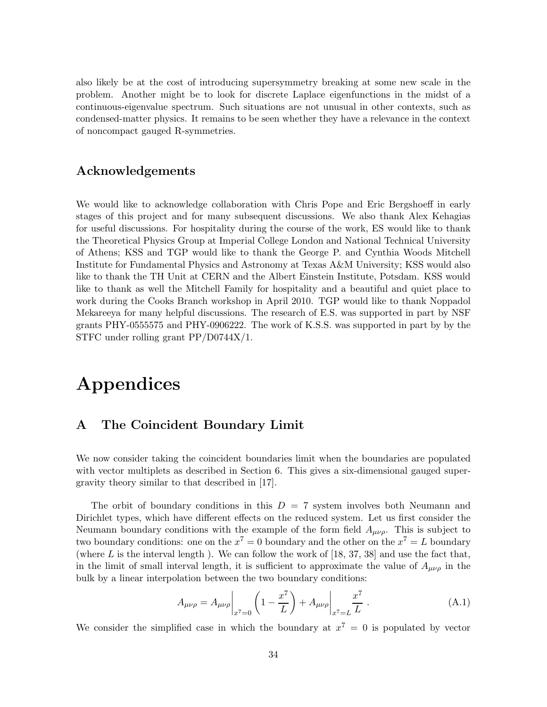also likely be at the cost of introducing supersymmetry breaking at some new scale in the problem. Another might be to look for discrete Laplace eigenfunctions in the midst of a continuous-eigenvalue spectrum. Such situations are not unusual in other contexts, such as condensed-matter physics. It remains to be seen whether they have a relevance in the context of noncompact gauged R-symmetries.

## Acknowledgements

We would like to acknowledge collaboration with Chris Pope and Eric Bergshoeff in early stages of this project and for many subsequent discussions. We also thank Alex Kehagias for useful discussions. For hospitality during the course of the work, ES would like to thank the Theoretical Physics Group at Imperial College London and National Technical University of Athens; KSS and TGP would like to thank the George P. and Cynthia Woods Mitchell Institute for Fundamental Physics and Astronomy at Texas A&M University; KSS would also like to thank the TH Unit at CERN and the Albert Einstein Institute, Potsdam. KSS would like to thank as well the Mitchell Family for hospitality and a beautiful and quiet place to work during the Cooks Branch workshop in April 2010. TGP would like to thank Noppadol Mekareeya for many helpful discussions. The research of E.S. was supported in part by NSF grants PHY-0555575 and PHY-0906222. The work of K.S.S. was supported in part by by the STFC under rolling grant PP/D0744X/1.

# Appendices

## A The Coincident Boundary Limit

We now consider taking the coincident boundaries limit when the boundaries are populated with vector multiplets as described in Section 6. This gives a six-dimensional gauged supergravity theory similar to that described in [17].

The orbit of boundary conditions in this  $D = 7$  system involves both Neumann and Dirichlet types, which have different effects on the reduced system. Let us first consider the Neumann boundary conditions with the example of the form field  $A_{\mu\nu\rho}$ . This is subject to two boundary conditions: one on the  $x^7 = 0$  boundary and the other on the  $x^7 = L$  boundary (where  $L$  is the interval length). We can follow the work of  $[18, 37, 38]$  and use the fact that, in the limit of small interval length, it is sufficient to approximate the value of  $A_{\mu\nu\rho}$  in the bulk by a linear interpolation between the two boundary conditions:

$$
A_{\mu\nu\rho} = A_{\mu\nu\rho} \bigg|_{x^7 = 0} \left( 1 - \frac{x^7}{L} \right) + A_{\mu\nu\rho} \bigg|_{x^7 = L} \frac{x^7}{L} . \tag{A.1}
$$

We consider the simplified case in which the boundary at  $x^7 = 0$  is populated by vector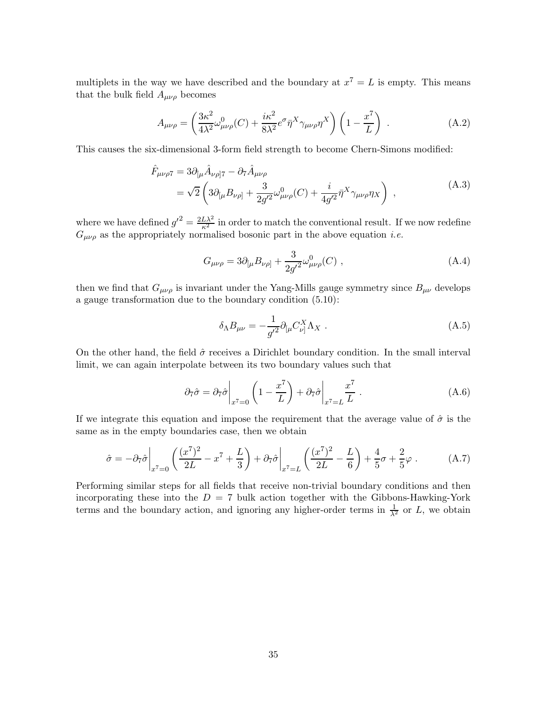multiplets in the way we have described and the boundary at  $x^7 = L$  is empty. This means that the bulk field  $A_{\mu\nu\rho}$  becomes

$$
A_{\mu\nu\rho} = \left(\frac{3\kappa^2}{4\lambda^2} \omega_{\mu\nu\rho}^0(C) + \frac{i\kappa^2}{8\lambda^2} e^{\sigma} \bar{\eta}^X \gamma_{\mu\nu\rho} \eta^X\right) \left(1 - \frac{x^7}{L}\right) . \tag{A.2}
$$

This causes the six-dimensional 3-form field strength to become Chern-Simons modified:

$$
\hat{F}_{\mu\nu\rho7} = 3\partial_{[\mu}\hat{A}_{\nu\rho]7} - \partial_7\hat{A}_{\mu\nu\rho} \n= \sqrt{2} \left( 3\partial_{[\mu}B_{\nu\rho]} + \frac{3}{2g^{\prime 2}} \omega_{\mu\nu\rho}^0(C) + \frac{i}{4g^{\prime 2}} \bar{\eta}^X \gamma_{\mu\nu\rho} \eta_X \right) ,
$$
\n(A.3)

where we have defined  $g'^2 = \frac{2L\lambda^2}{\kappa^2}$  in order to match the conventional result. If we now redefine  $G_{\mu\nu\rho}$  as the appropriately normalised bosonic part in the above equation *i.e.* 

$$
G_{\mu\nu\rho} = 3\partial_{[\mu}B_{\nu\rho]} + \frac{3}{2g^{\prime 2}}\omega_{\mu\nu\rho}^{0}(C) , \qquad (A.4)
$$

then we find that  $G_{\mu\nu\rho}$  is invariant under the Yang-Mills gauge symmetry since  $B_{\mu\nu}$  develops a gauge transformation due to the boundary condition (5.10):

$$
\delta_{\Lambda}B_{\mu\nu} = -\frac{1}{g^{\prime 2}}\partial_{[\mu}C_{\nu]}^{X}\Lambda_{X} . \qquad (A.5)
$$

On the other hand, the field  $\hat{\sigma}$  receives a Dirichlet boundary condition. In the small interval limit, we can again interpolate between its two boundary values such that

$$
\partial_7 \hat{\sigma} = \partial_7 \hat{\sigma} \bigg|_{x^7 = 0} \left( 1 - \frac{x^7}{L} \right) + \partial_7 \hat{\sigma} \bigg|_{x^7 = L} \frac{x^7}{L} . \tag{A.6}
$$

If we integrate this equation and impose the requirement that the average value of  $\hat{\sigma}$  is the same as in the empty boundaries case, then we obtain

$$
\hat{\sigma} = -\partial_7 \hat{\sigma} \bigg|_{x^7=0} \left( \frac{(x^7)^2}{2L} - x^7 + \frac{L}{3} \right) + \partial_7 \hat{\sigma} \bigg|_{x^7=L} \left( \frac{(x^7)^2}{2L} - \frac{L}{6} \right) + \frac{4}{5} \sigma + \frac{2}{5} \varphi . \tag{A.7}
$$

Performing similar steps for all fields that receive non-trivial boundary conditions and then incorporating these into the  $D = 7$  bulk action together with the Gibbons-Hawking-York terms and the boundary action, and ignoring any higher-order terms in  $\frac{1}{\lambda^2}$  or L, we obtain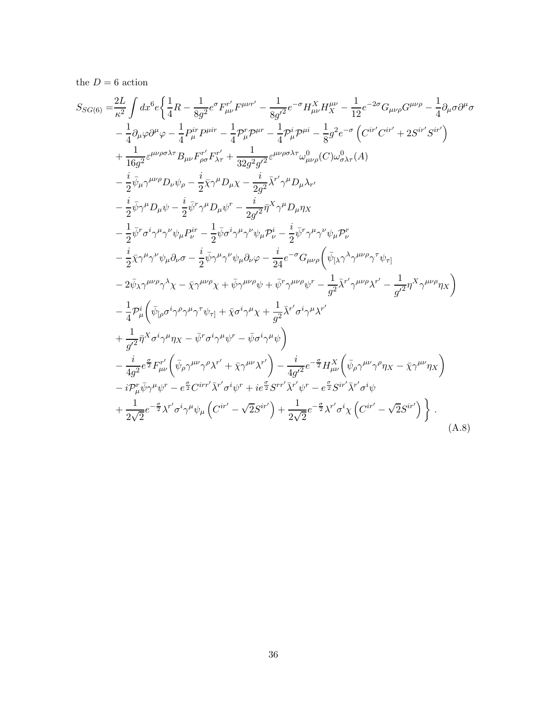the  $D=6$  action

$$
S_{SG(6)} = \frac{2L}{\kappa^2} \int dx^6 e \left\{ \frac{1}{4} R - \frac{1}{8g^2} e^{\sigma} F''_{\mu\nu} F^{\mu\nu\tau'} - \frac{1}{8g^2} e^{-\sigma} H^X_{\mu\nu} H^{\mu\nu}_{X} - \frac{1}{12} e^{-2\sigma} G_{\mu\nu\rho} G^{\mu\nu\rho} - \frac{1}{4} \partial_{\mu} \sigma \partial^{\mu} \sigma - \frac{1}{4} \partial_{\mu}^{\mu} P^{\mu} P^{\mu} F^{\nu} - \frac{1}{4} P^{\nu}_{\mu} P^{\mu \tau} - \frac{1}{4} P^{\nu}_{\mu} P^{\mu \tau} - \frac{1}{8} g^2 e^{-\sigma} \left( C^{ir'} C^{ir'} + 2 S^{ir'} S^{ir'} \right) + \frac{1}{16g^2} e^{\mu\nu\rho\sigma\lambda\tau} B_{\mu\nu} F''_{\rho\sigma} F''_{X\tau} + \frac{1}{32g^2 g'^2} e^{\mu\nu\rho\sigma\lambda\tau} \omega_{\mu\nu\rho} (C) \omega^0_{\sigma\lambda\tau} (A) - \frac{i}{2} \bar{\psi}_{\mu} \gamma^{\mu\nu\rho} D_{\nu} \psi_{\rho} - \frac{i}{2} \bar{\chi} \gamma^{\mu} D_{\mu} \chi - \frac{i}{2g^2} \bar{\lambda}^{r'} \gamma^{\mu} D_{\mu} \lambda_{r'} - \frac{i}{2} \bar{\psi} \gamma^{\mu} D_{\mu} \psi - \frac{i}{2} \bar{\psi}^{\tau} \gamma^{\mu} D_{\mu} \psi^{\tau} - \frac{i}{2g^2} \bar{\eta}^{\lambda} \gamma^{\mu} D_{\mu} \eta \chi - \frac{1}{2} \bar{\psi} \gamma^{\mu} \gamma^{\mu} \gamma^{\nu} \psi_{\mu} P^{\mu}_{\nu} - \frac{i}{2} \bar{\psi} \sigma^i \gamma^{\mu} \gamma^{\nu} \psi_{\mu} P^{\mu}_{\nu} - \frac{i}{2} \bar{\psi}^{\tau} \gamma^{\mu} \gamma^{\nu} \psi_{\mu} P^{\tau}_{\nu} - \frac{i}{2} \bar{\psi} \gamma^{\mu} \gamma^{\nu} \psi_{\mu} \partial_{\nu} \sigma - \frac{i}{2}
$$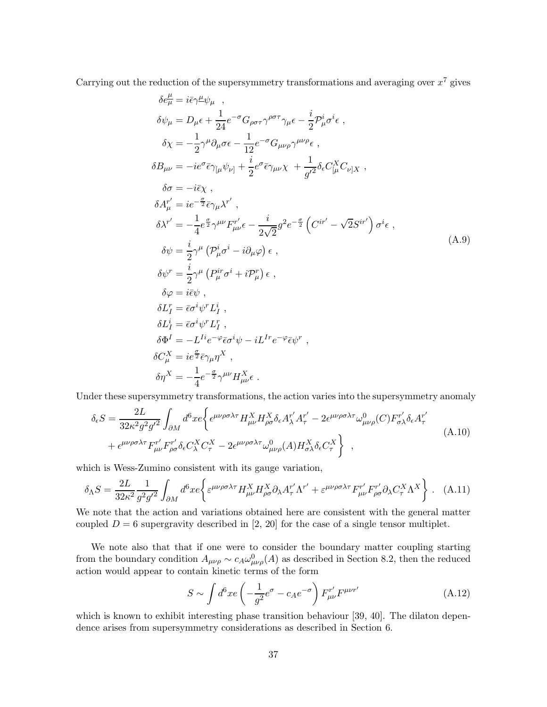Carrying out the reduction of the supersymmetry transformations and averaging over  $x^7$  gives

$$
\delta e^{\mu}_{\mu} = i\bar{\epsilon}\gamma^{\mu}\psi_{\mu} ,
$$
  
\n
$$
\delta\psi_{\mu} = D_{\mu}\epsilon + \frac{1}{24}e^{-\sigma}G_{\rho\sigma\tau}\gamma^{\rho\sigma\tau}\gamma_{\mu}\epsilon - \frac{i}{2}\mathcal{P}^{i}_{\mu}\sigma^{i}\epsilon ,
$$
  
\n
$$
\delta\chi = -\frac{1}{2}\gamma^{\mu}\partial_{\mu}\sigma\epsilon - \frac{1}{12}e^{-\sigma}G_{\mu\nu\rho}\gamma^{\mu\nu\rho}\epsilon ,
$$
  
\n
$$
\delta B_{\mu\nu} = -ie^{\sigma}\bar{\epsilon}\gamma_{\mu}\psi_{\nu\rvert} + \frac{i}{2}e^{\sigma}\bar{\epsilon}\gamma_{\mu\nu}\chi + \frac{1}{g^{\prime 2}}\delta_{\epsilon}C_{\mu}^{X}C_{\nu\vert X} ,
$$
  
\n
$$
\delta\sigma = -i\bar{\epsilon}\chi ,
$$
  
\n
$$
\delta A^{\nu'}_{\mu} = ie^{-\frac{\sigma}{2}}\bar{\epsilon}\gamma_{\mu}\lambda^{\tau'} ,
$$
  
\n
$$
\delta\chi' = -\frac{1}{4}e^{\frac{\sigma}{2}}\gamma^{\mu\nu}F^{\nu'}_{\mu\nu}\epsilon - \frac{i}{2\sqrt{2}}g^{2}e^{-\frac{\sigma}{2}}\left(C^{ir'} - \sqrt{2}S^{ir'}\right)\sigma^{i}\epsilon ,
$$
  
\n
$$
\delta\psi = \frac{i}{2}\gamma^{\mu}\left(P^{i}_{\mu}\sigma^{i} - i\partial_{\mu}\varphi\right)\epsilon ,
$$
  
\n
$$
\delta\psi = i\bar{\epsilon}\psi ,
$$
  
\n
$$
\delta\psi = i\bar{\epsilon}\psi \gamma
$$
  
\n
$$
\delta L^{r}_{I} = \bar{\epsilon}\sigma^{i}\psi^{r}L^{r}_{I} ,
$$
  
\n
$$
\delta\Phi^{i} = -L^{Ii}e^{-\varphi}\bar{\epsilon}\sigma^{i}\psi - iL^{Ir}e^{-\varphi}\bar{\epsilon}\psi^{r} ,
$$
  
\n
$$
\delta\sigma^{\chi}_{\mu} = ie^{\frac{\sigma}{2}}\bar{\epsilon}\gamma_{\mu}\eta^{\chi} ,
$$
  
\n
$$
\delta\eta^{\chi} = -\frac{1}{4}e^{-\frac{\sigma}{2}}\gamma^{\
$$

Under these supersymmetry transformations, the action varies into the supersymmetry anomaly

$$
\delta_{\epsilon}S = \frac{2L}{32\kappa^2 g^2 g'^2} \int_{\partial M} d^6 x e \left\{ \epsilon^{\mu\nu\rho\sigma\lambda\tau} H_{\mu\nu}^X H_{\rho\sigma}^X \delta_{\epsilon} A_{\lambda}^{r'} A_{\tau}^{r'} - 2\epsilon^{\mu\nu\rho\sigma\lambda\tau} \omega_{\mu\nu\rho}^0(C) F_{\sigma\lambda}^{r'} \delta_{\epsilon} A_{\tau}^{r'} - \epsilon^{\mu\nu\rho\sigma\lambda\tau} F_{\mu\nu}^{r'} F_{\rho\sigma}^{r'} \delta_{\epsilon} C_{\lambda}^X C_{\tau}^X - 2\epsilon^{\mu\nu\rho\sigma\lambda\tau} \omega_{\mu\nu\rho}^0(A) H_{\sigma\lambda}^X \delta_{\epsilon} C_{\tau}^X \right\} , \tag{A.10}
$$

which is Wess-Zumino consistent with its gauge variation,

$$
\delta_{\Lambda}S = \frac{2L}{32\kappa^2} \frac{1}{g^2 g'^2} \int_{\partial M} d^6x e \left\{ \varepsilon^{\mu\nu\rho\sigma\lambda\tau} H_{\mu\nu}^X H_{\rho\sigma}^X \partial_{\lambda} A_{\tau}^{r'} \Lambda^{r'} + \varepsilon^{\mu\nu\rho\sigma\lambda\tau} F_{\mu\nu}^{r'} F_{\rho\sigma}^{r'} \partial_{\lambda} C_{\tau}^X \Lambda^X \right\} \,. \tag{A.11}
$$

We note that the action and variations obtained here are consistent with the general matter coupled  $D = 6$  supergravity described in [2, 20] for the case of a single tensor multiplet.

We note also that that if one were to consider the boundary matter coupling starting from the boundary condition  $A_{\mu\nu\rho} \sim c_A \omega_{\mu\nu\rho}^0(A)$  as described in Section 8.2, then the reduced action would appear to contain kinetic terms of the form

$$
S \sim \int d^6 x e \left( -\frac{1}{g^2} e^{\sigma} - c_A e^{-\sigma} \right) F_{\mu\nu}^{r'} F^{\mu\nu r'}
$$
 (A.12)

which is known to exhibit interesting phase transition behaviour [39, 40]. The dilaton dependence arises from supersymmetry considerations as described in Section 6.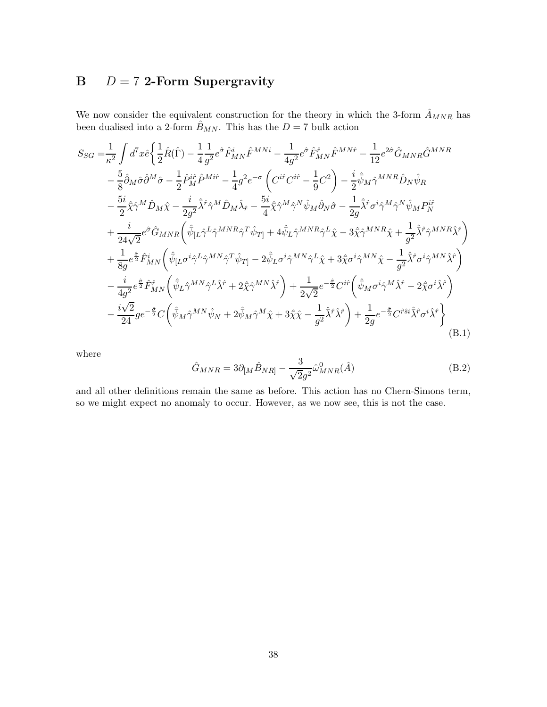## B  $D = 7$  2-Form Supergravity

We now consider the equivalent construction for the theory in which the 3-form  $\hat{A}_{MNR}$  has been dualised into a 2-form  $\hat{B}_{MN}$ . This has the  $D = 7$  bulk action

$$
S_{SG} = \frac{1}{\kappa^2} \int d^7x \hat{e} \left\{ \frac{1}{2} \hat{R}(\hat{\Gamma}) - \frac{1}{4} \frac{1}{g^2} e^{\hat{\sigma}} \hat{F}_{MN}^i \hat{F}^{MNi} - \frac{1}{4g^2} e^{\hat{\sigma}} \hat{F}_{MN}^{\hat{F}} \hat{F}^{MN\hat{F}} - \frac{1}{12} e^{2\hat{\sigma}} \hat{G}_{MNR} \hat{G}^{MNR} \right.\n- \frac{5}{8} \hat{\partial}_M \hat{\sigma} \hat{\partial}^M \hat{\sigma} - \frac{1}{2} \hat{P}_{M}^{i\hat{F}} \hat{P}^{Mi\hat{F}} - \frac{1}{4} g^2 e^{-\sigma} \left( C^{i\hat{r}} C^{i\hat{r}} - \frac{1}{9} C^2 \right) - \frac{i}{2} \hat{\psi}_M \hat{\gamma}^{MNR} \hat{D}_N \hat{\psi}_R \n- \frac{5i}{2} \hat{\chi} \hat{\gamma}^M \hat{D}_M \hat{\chi} - \frac{i}{2g^2} \hat{\lambda}^{\hat{F}} \hat{\gamma}^M \hat{D}_M \hat{\lambda}_{\hat{r}} - \frac{5i}{4} \hat{\chi} \hat{\gamma}^M \hat{\gamma}^N \hat{\psi}_M \hat{\partial}_N \hat{\sigma} - \frac{1}{2g} \hat{\lambda}^{\hat{F}} \sigma^i \hat{\gamma}^M \hat{\gamma}^N \hat{\psi}_M P_N^{\hat{H}} \n+ \frac{i}{24\sqrt{2}} e^{\hat{\sigma}} \hat{G}_{MNR} \left( \hat{\bar{\psi}}_{\vec{L}} \hat{\gamma}^L \hat{\gamma}^{MNR} \hat{\gamma}^T \hat{\psi}_{T\vec{l}} + 4 \hat{\bar{\psi}}_L \hat{\gamma}^{MNR} \hat{\gamma}^L \hat{\chi} - 3 \hat{\chi} \hat{\gamma}^{MNN} \hat{\chi} + \frac{1}{g^2} \hat{\lambda}^{\hat{F}} \hat{\gamma}^{MNR} \hat{\lambda}^{\hat{F}} \right) \n+ \frac{1}{8g} e^{\hat{\sigma}} \hat{F}_{MN}^i \left( \hat{\bar{\psi}}_{\vec{L}} \sigma^i \hat{\gamma}^{MN} \hat{\gamma}^T \hat{\psi}_{T\vec{l}} - 2 \hat{\bar{\
$$

where

$$
\hat{G}_{MNR} = 3\partial_{[M}\hat{B}_{NR]} - \frac{3}{\sqrt{2}g^2}\hat{\omega}_{MNR}^0(\hat{A})
$$
\n(B.2)

and all other definitions remain the same as before. This action has no Chern-Simons term, so we might expect no anomaly to occur. However, as we now see, this is not the case.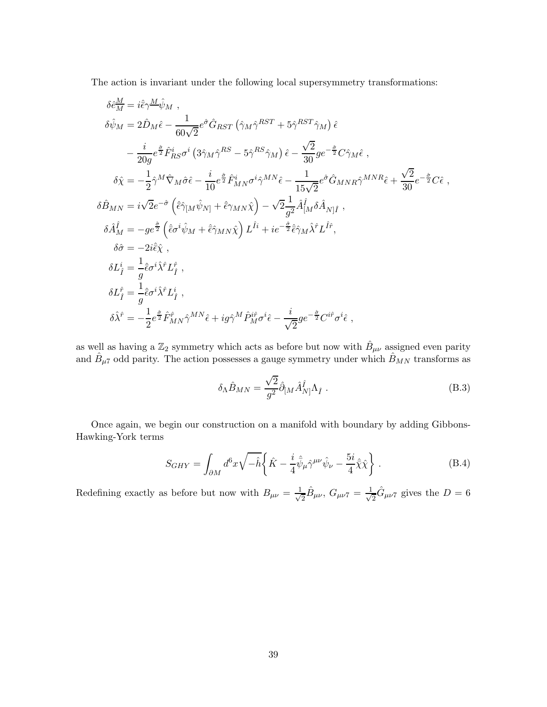The action is invariant under the following local supersymmetry transformations:

$$
\delta \hat{e}_{M}^{\underline{M}} = i \hat{\epsilon} \gamma^{\underline{M}} \hat{\psi}_{M} ,
$$
  
\n
$$
\delta \hat{\psi}_{M} = 2 \hat{D}_{M} \hat{\epsilon} - \frac{1}{60\sqrt{2}} e^{\hat{\sigma}} \hat{G}_{RST} (\hat{\gamma}_{M} \hat{\gamma}^{RST} + 5 \hat{\gamma}^{RST} \hat{\gamma}_{M}) \hat{\epsilon} \n- \frac{i}{20g} e^{\frac{\hat{\sigma}}{2}} \hat{F}_{RS}^{i} \sigma^{i} (3 \hat{\gamma}_{M} \hat{\gamma}^{RS} - 5 \hat{\gamma}^{RS} \hat{\gamma}_{M}) \hat{\epsilon} - \frac{\sqrt{2}}{30} g e^{-\frac{\hat{\sigma}}{2}} C \hat{\gamma}_{M} \hat{\epsilon} ,
$$
  
\n
$$
\delta \hat{\chi} = -\frac{1}{2} \hat{\gamma}^{M} \hat{\nabla}_{M} \hat{\sigma} \hat{\epsilon} - \frac{i}{10} e^{\frac{\hat{\sigma}}{2}} \hat{F}_{MN}^{i} \sigma^{i} \hat{\gamma}^{MN} \hat{\epsilon} - \frac{1}{15\sqrt{2}} e^{\hat{\sigma}} \hat{G}_{MNR} \hat{\gamma}^{MNR} \hat{\epsilon} + \frac{\sqrt{2}}{30} e^{-\frac{\hat{\sigma}}{2}} C \hat{\epsilon} ,
$$
  
\n
$$
\delta \hat{B}_{MN} = i \sqrt{2} e^{-\hat{\sigma}} (\hat{\epsilon} \hat{\gamma}_{[M} \hat{\psi}_{N]} + \hat{\epsilon} \gamma_{MN} \hat{\chi}) - \sqrt{2} \frac{1}{g^2} \hat{A}_{[M}^{\hat{\beta}} \hat{A}_{N] \hat{I}} ,
$$
  
\n
$$
\delta \hat{A}_{M}^{\hat{\ell}} = -g e^{\frac{\hat{\sigma}}{2}} (\hat{\epsilon} \sigma^{i} \hat{\psi}_{M} + \hat{\epsilon} \hat{\gamma}_{MN} \hat{\chi}) L^{\hat{I}i} + i e^{-\frac{\hat{\sigma}}{2}} \hat{\epsilon} \hat{\gamma}_{M} \hat{\chi}^{\hat{\tau}} L^{\hat{f}} ,
$$
  
\n
$$
\delta \hat{\sigma} = -2 i \hat{\epsilon} \hat{\chi} ,
$$
  
\n
$$
\delta L_{\hat{I}}^{\hat{\ell}} = \frac{1}{g} \hat{\epsilon} \sigma^{i} \hat{\lambda
$$

as well as having a  $\mathbb{Z}_2$  symmetry which acts as before but now with  $\hat{B}_{\mu\nu}$  assigned even parity and  $\hat{B}_{\mu 7}$  odd parity. The action possesses a gauge symmetry under which  $\hat{B}_{MN}$  transforms as

$$
\delta_{\Lambda}\hat{B}_{MN} = \frac{\sqrt{2}}{g^2}\hat{\partial}_{[M}\hat{A}^{\hat{I}}_{N]}\Lambda_{\hat{I}} . \tag{B.3}
$$

Once again, we begin our construction on a manifold with boundary by adding Gibbons-Hawking-York terms

$$
S_{GHY} = \int_{\partial M} d^6 x \sqrt{-\hat{h}} \left\{ \hat{K} - \frac{i}{4} \hat{\bar{\psi}}_\mu \hat{\gamma}^{\mu\nu} \hat{\psi}_\nu - \frac{5i}{4} \hat{\bar{\chi}} \hat{\chi} \right\} . \tag{B.4}
$$

Redefining exactly as before but now with  $B_{\mu\nu} = \frac{1}{\sqrt{2}}$  $\frac{1}{2}\hat{B}_{\mu\nu},\ G_{\mu\nu7}=\frac{1}{\sqrt{2}}$  $\frac{1}{2}\hat{G}_{\mu\nu\gamma}$  gives the  $D=6$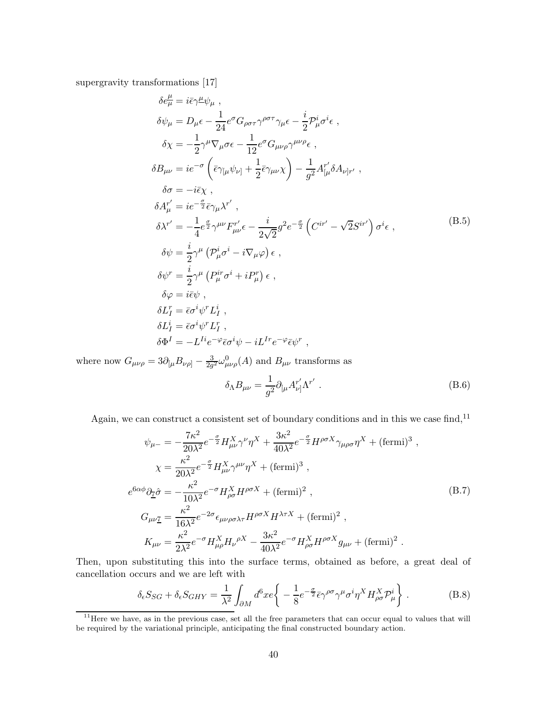supergravity transformations [17]

$$
\delta e^{\mu}_{\mu} = i\bar{\epsilon}\gamma^{\mu}\psi_{\mu} ,
$$
  
\n
$$
\delta\psi_{\mu} = D_{\mu}\epsilon - \frac{1}{24}e^{\sigma}G_{\rho\sigma\tau}\gamma^{\rho\sigma\tau}\gamma_{\mu}\epsilon - \frac{i}{2}\mathcal{P}^{i}_{\mu}\sigma^{i}\epsilon ,
$$
  
\n
$$
\delta\chi = -\frac{1}{2}\gamma^{\mu}\nabla_{\mu}\sigma\epsilon - \frac{1}{12}e^{\sigma}G_{\mu\nu\rho}\gamma^{\mu\nu\rho}\epsilon ,
$$
  
\n
$$
\delta B_{\mu\nu} = ie^{-\sigma}(\bar{\epsilon}\gamma_{\mu}\psi_{\nu]} + \frac{1}{2}\bar{\epsilon}\gamma_{\mu\nu}\chi) - \frac{1}{g^{2}}A^{r'}_{[\mu}\delta A_{\nu]r'} ,
$$
  
\n
$$
\delta\sigma = -i\bar{\epsilon}\chi ,
$$
  
\n
$$
\delta A^{r'}_{\mu} = ie^{-\frac{\sigma}{2}}\bar{\epsilon}\gamma_{\mu}\chi^{r'} ,
$$
  
\n
$$
\delta\chi^{r'} = -\frac{1}{4}e^{\frac{\sigma}{2}}\gamma^{\mu\nu}F^{r'}_{\mu\nu}\epsilon - \frac{i}{2\sqrt{2}}g^{2}e^{-\frac{\sigma}{2}}(C^{ir'} - \sqrt{2}S^{ir'})\sigma^{i}\epsilon ,
$$
  
\n
$$
\delta\psi = \frac{i}{2}\gamma^{\mu}(\mathcal{P}^{i}_{\mu}\sigma^{i} - i\nabla_{\mu}\varphi)\epsilon ,
$$
  
\n
$$
\delta\psi^{r} = \frac{i}{2}\gamma^{\mu}(\mathcal{P}^{ir}_{\mu}\sigma^{i} + i\mathcal{P}^{r}_{\mu})\epsilon ,
$$
  
\n
$$
\delta\varphi = i\bar{\epsilon}\psi ,
$$
  
\n
$$
\delta L^{r}_{I} = \bar{\epsilon}\sigma^{i}\psi^{r}L^{i}_{I} ,
$$
  
\n
$$
\delta L^{i} = \bar{\epsilon}\sigma^{i}\psi^{r}L^{r}_{I} ,
$$
  
\n
$$
\delta\Phi^{I} = -L^{I}ie^{-\varphi}\bar{\epsilon}\sigma^{i}\psi - iL^{I}re^{-\varphi}\bar{\epsilon}\psi^{r} ,
$$

where now  $G_{\mu\nu\rho} = 3\partial_{[\mu}B_{\nu\rho]} - \frac{3}{2g}$  $\frac{3}{2g^2}\omega_{\mu\nu\rho}^0(A)$  and  $B_{\mu\nu}$  transforms as

$$
\delta_{\Lambda}B_{\mu\nu} = \frac{1}{g^2} \partial_{[\mu}A_{\nu]}^{r'} \Lambda^{r'} . \qquad (B.6)
$$

Again, we can construct a consistent set of boundary conditions and in this we case find,  $^{\mathrm{11}}$ 

$$
\psi_{\mu-} = -\frac{7\kappa^2}{20\lambda^2} e^{-\frac{\sigma}{2}} H_{\mu\nu}^X \gamma^\nu \eta^X + \frac{3\kappa^2}{40\lambda^2} e^{-\frac{\sigma}{2}} H^{\rho\sigma X} \gamma_{\mu\rho\sigma} \eta^X + (\text{fermi})^3 ,
$$
  
\n
$$
\chi = \frac{\kappa^2}{20\lambda^2} e^{-\frac{\sigma}{2}} H_{\mu\nu}^X \gamma^{\mu\nu} \eta^X + (\text{fermi})^3 ,
$$
  
\n
$$
e^{6\alpha\phi} \partial_{\overline{1}} \hat{\sigma} = -\frac{\kappa^2}{10\lambda^2} e^{-\sigma} H_{\rho\sigma}^X H^{\rho\sigma X} + (\text{fermi})^2 ,
$$
  
\n
$$
G_{\mu\nu\overline{1}} = \frac{\kappa^2}{16\lambda^2} e^{-2\sigma} \epsilon_{\mu\nu\rho\sigma\lambda\tau} H^{\rho\sigma X} H^{\lambda\tau X} + (\text{fermi})^2 ,
$$
  
\n
$$
K_{\mu\nu} = \frac{\kappa^2}{2\lambda^2} e^{-\sigma} H_{\mu\rho}^X H_{\nu}^{\rho X} - \frac{3\kappa^2}{40\lambda^2} e^{-\sigma} H_{\rho\sigma}^X H^{\rho\sigma X} g_{\mu\nu} + (\text{fermi})^2 .
$$

Then, upon substituting this into the surface terms, obtained as before, a great deal of cancellation occurs and we are left with

$$
\delta_{\epsilon} S_{SG} + \delta_{\epsilon} S_{GHY} = \frac{1}{\lambda^2} \int_{\partial M} d^6 x e \left\{ -\frac{1}{8} e^{-\frac{\sigma}{2}} \bar{\epsilon} \gamma^{\rho \sigma} \gamma^{\mu} \sigma^i \eta^X H_{\rho \sigma}^X \mathcal{P}_{\mu}^i \right\}.
$$
 (B.8)

<sup>&</sup>lt;sup>11</sup>Here we have, as in the previous case, set all the free parameters that can occur equal to values that will be required by the variational principle, anticipating the final constructed boundary action.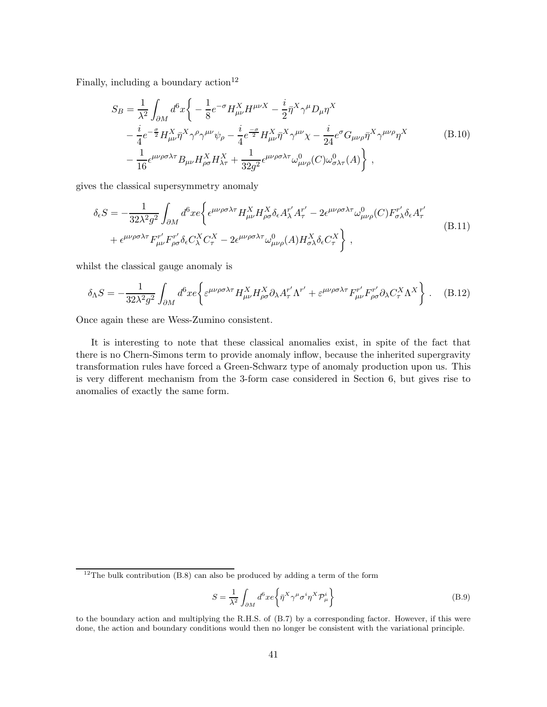Finally, including a boundary  $\arctan^{12}$ 

$$
S_B = \frac{1}{\lambda^2} \int_{\partial M} d^6 x \left\{ -\frac{1}{8} e^{-\sigma} H_{\mu\nu}^X H^{\mu\nu X} - \frac{i}{2} \bar{\eta}^X \gamma^\mu D_\mu \eta^X \right.- \frac{i}{4} e^{-\frac{\sigma}{2}} H_{\mu\nu}^X \bar{\eta}^X \gamma^\rho \gamma^{\mu\nu} \psi_\rho - \frac{i}{4} e^{-\frac{\sigma}{2}} H_{\mu\nu}^X \bar{\eta}^X \gamma^{\mu\nu} \chi - \frac{i}{24} e^{\sigma} G_{\mu\nu\rho} \bar{\eta}^X \gamma^{\mu\nu\rho} \eta^X \right.- \frac{1}{16} \epsilon^{\mu\nu\rho\sigma\lambda\tau} B_{\mu\nu} H_{\rho\sigma}^X H_{\lambda\tau}^X + \frac{1}{32g^2} \epsilon^{\mu\nu\rho\sigma\lambda\tau} \omega_{\mu\nu\rho}^0(C) \omega_{\sigma\lambda\tau}^0(A) \right\},
$$
(B.10)

gives the classical supersymmetry anomaly

$$
\delta_{\epsilon}S = -\frac{1}{32\lambda^2 g^2} \int_{\partial M} d^6x e \left\{ \epsilon^{\mu\nu\rho\sigma\lambda\tau} H_{\mu\nu}^X H_{\rho\sigma}^X \delta_{\epsilon} A_{\lambda}^{r'} A_{\tau}^{r'} - 2\epsilon^{\mu\nu\rho\sigma\lambda\tau} \omega_{\mu\nu\rho}^0(C) F_{\sigma\lambda}^{r'} \delta_{\epsilon} A_{\tau}^{r'} + \epsilon^{\mu\nu\rho\sigma\lambda\tau} F_{\mu\nu}^{r'} F_{\rho\sigma}^{r'} \delta_{\epsilon} C_{\lambda}^X C_{\tau}^X - 2\epsilon^{\mu\nu\rho\sigma\lambda\tau} \omega_{\mu\nu\rho}^0(A) H_{\sigma\lambda}^X \delta_{\epsilon} C_{\tau}^X \right\} ,
$$
\n(B.11)

whilst the classical gauge anomaly is

$$
\delta_{\Lambda}S = -\frac{1}{32\lambda^2 g^2} \int_{\partial M} d^6 x e \left\{ \varepsilon^{\mu\nu\rho\sigma\lambda\tau} H_{\mu\nu}^X H_{\rho\sigma}^X \partial_{\lambda} A_{\tau}^{r'} \Lambda^{r'} + \varepsilon^{\mu\nu\rho\sigma\lambda\tau} F_{\mu\nu}^{r'} F_{\rho\sigma}^{r'} \partial_{\lambda} C_{\tau}^X \Lambda^X \right\} \,. \tag{B.12}
$$

Once again these are Wess-Zumino consistent.

It is interesting to note that these classical anomalies exist, in spite of the fact that there is no Chern-Simons term to provide anomaly inflow, because the inherited supergravity transformation rules have forced a Green-Schwarz type of anomaly production upon us. This is very different mechanism from the 3-form case considered in Section 6, but gives rise to anomalies of exactly the same form.

$$
S = \frac{1}{\lambda^2} \int_{\partial M} d^6 x e \left\{ \bar{\eta}^X \gamma^\mu \sigma^i \eta^X \mathcal{P}_\mu^i \right\} \tag{B.9}
$$

<sup>&</sup>lt;sup>12</sup>The bulk contribution  $(B.8)$  can also be produced by adding a term of the form

to the boundary action and multiplying the R.H.S. of (B.7) by a corresponding factor. However, if this were done, the action and boundary conditions would then no longer be consistent with the variational principle.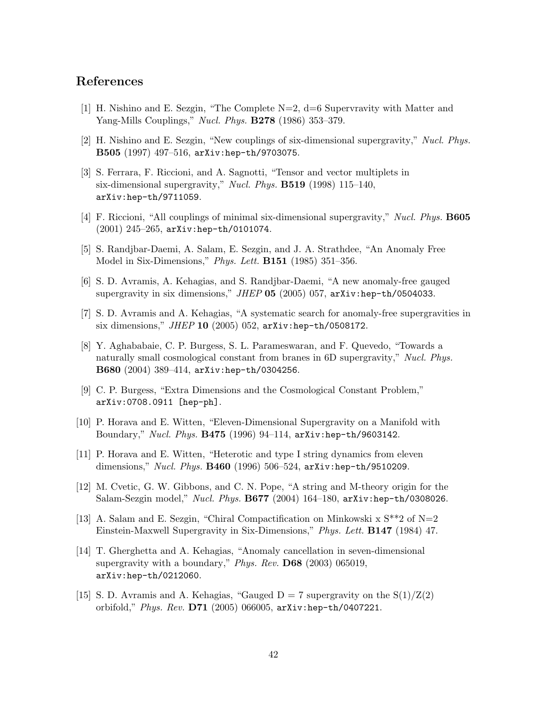## References

- [1] H. Nishino and E. Sezgin, "The Complete N=2, d=6 Supervravity with Matter and Yang-Mills Couplings," *Nucl. Phys.* **B278** (1986) 353–379.
- [2] H. Nishino and E. Sezgin, "New couplings of six-dimensional supergravity," Nucl. Phys. B505 (1997) 497–516, arXiv:hep-th/9703075.
- [3] S. Ferrara, F. Riccioni, and A. Sagnotti, "Tensor and vector multiplets in six-dimensional supergravity," *Nucl. Phys.* **B519** (1998) 115–140, arXiv:hep-th/9711059.
- [4] F. Riccioni, "All couplings of minimal six-dimensional supergravity," Nucl. Phys. B605 (2001) 245–265, arXiv:hep-th/0101074.
- [5] S. Randjbar-Daemi, A. Salam, E. Sezgin, and J. A. Strathdee, "An Anomaly Free Model in Six-Dimensions," Phys. Lett. B151 (1985) 351–356.
- [6] S. D. Avramis, A. Kehagias, and S. Randjbar-Daemi, "A new anomaly-free gauged supergravity in six dimensions," JHEP 05 (2005) 057, arXiv:hep-th/0504033.
- [7] S. D. Avramis and A. Kehagias, "A systematic search for anomaly-free supergravities in six dimensions," JHEP 10 (2005) 052, arXiv:hep-th/0508172.
- [8] Y. Aghababaie, C. P. Burgess, S. L. Parameswaran, and F. Quevedo, "Towards a naturally small cosmological constant from branes in 6D supergravity," Nucl. Phys. B680 (2004) 389–414, arXiv:hep-th/0304256.
- [9] C. P. Burgess, "Extra Dimensions and the Cosmological Constant Problem," arXiv:0708.0911 [hep-ph].
- [10] P. Horava and E. Witten, "Eleven-Dimensional Supergravity on a Manifold with Boundary," Nucl. Phys. B475 (1996) 94–114, arXiv:hep-th/9603142.
- [11] P. Horava and E. Witten, "Heterotic and type I string dynamics from eleven dimensions," Nucl. Phys.  $B460$  (1996) 506–524, arXiv:hep-th/9510209.
- [12] M. Cvetic, G. W. Gibbons, and C. N. Pope, "A string and M-theory origin for the Salam-Sezgin model," *Nucl. Phys.* **B677** (2004) 164–180, arXiv:hep-th/0308026.
- [13] A. Salam and E. Sezgin, "Chiral Compactification on Minkowski x  $S^{**2}$  of N=2 Einstein-Maxwell Supergravity in Six-Dimensions," Phys. Lett. B147 (1984) 47.
- [14] T. Gherghetta and A. Kehagias, "Anomaly cancellation in seven-dimensional supergravity with a boundary," Phys. Rev. D68 (2003) 065019, arXiv:hep-th/0212060.
- [15] S. D. Avramis and A. Kehagias, "Gauged  $D = 7$  supergravity on the  $S(1)/Z(2)$ orbifold," Phys. Rev. D71 (2005) 066005, arXiv:hep-th/0407221.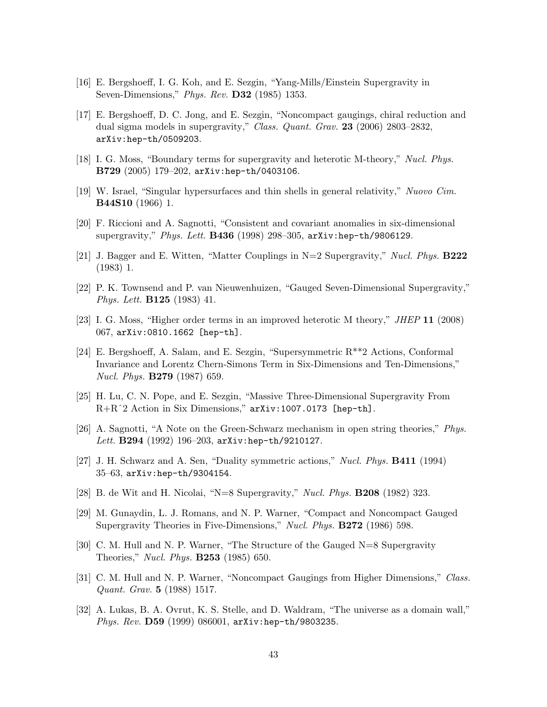- [16] E. Bergshoeff, I. G. Koh, and E. Sezgin, "Yang-Mills/Einstein Supergravity in Seven-Dimensions," Phys. Rev. D32 (1985) 1353.
- [17] E. Bergshoeff, D. C. Jong, and E. Sezgin, "Noncompact gaugings, chiral reduction and dual sigma models in supergravity," Class. Quant. Grav. 23 (2006) 2803-2832, arXiv:hep-th/0509203.
- [18] I. G. Moss, "Boundary terms for supergravity and heterotic M-theory," Nucl. Phys. B729 (2005) 179–202, arXiv:hep-th/0403106.
- [19] W. Israel, "Singular hypersurfaces and thin shells in general relativity," Nuovo Cim. B44S10 (1966) 1.
- [20] F. Riccioni and A. Sagnotti, "Consistent and covariant anomalies in six-dimensional supergravity," Phys. Lett. **B436** (1998) 298–305, arXiv:hep-th/9806129.
- [21] J. Bagger and E. Witten, "Matter Couplings in N=2 Supergravity," Nucl. Phys. B222 (1983) 1.
- [22] P. K. Townsend and P. van Nieuwenhuizen, "Gauged Seven-Dimensional Supergravity," Phys. Lett. B125 (1983) 41.
- [23] I. G. Moss, "Higher order terms in an improved heterotic M theory," JHEP 11 (2008) 067, arXiv:0810.1662 [hep-th].
- [24] E. Bergshoeff, A. Salam, and E. Sezgin, "Supersymmetric R\*\*2 Actions, Conformal Invariance and Lorentz Chern-Simons Term in Six-Dimensions and Ten-Dimensions," Nucl. Phys. B279 (1987) 659.
- [25] H. Lu, C. N. Pope, and E. Sezgin, "Massive Three-Dimensional Supergravity From R+Rˆ2 Action in Six Dimensions," arXiv:1007.0173 [hep-th].
- [26] A. Sagnotti, "A Note on the Green-Schwarz mechanism in open string theories," Phys. Lett. B294 (1992) 196-203, arXiv:hep-th/9210127.
- [27] J. H. Schwarz and A. Sen, "Duality symmetric actions," Nucl. Phys. B411 (1994) 35–63, arXiv:hep-th/9304154.
- [28] B. de Wit and H. Nicolai, "N=8 Supergravity," Nucl. Phys. B208 (1982) 323.
- [29] M. Gunaydin, L. J. Romans, and N. P. Warner, "Compact and Noncompact Gauged Supergravity Theories in Five-Dimensions," Nucl. Phys. B272 (1986) 598.
- [30] C. M. Hull and N. P. Warner, "The Structure of the Gauged N=8 Supergravity Theories," Nucl. Phys. B253 (1985) 650.
- [31] C. M. Hull and N. P. Warner, "Noncompact Gaugings from Higher Dimensions," Class. Quant. Grav. 5 (1988) 1517.
- [32] A. Lukas, B. A. Ovrut, K. S. Stelle, and D. Waldram, "The universe as a domain wall," *Phys. Rev.*  $D59$  (1999) 086001, arXiv:hep-th/9803235.